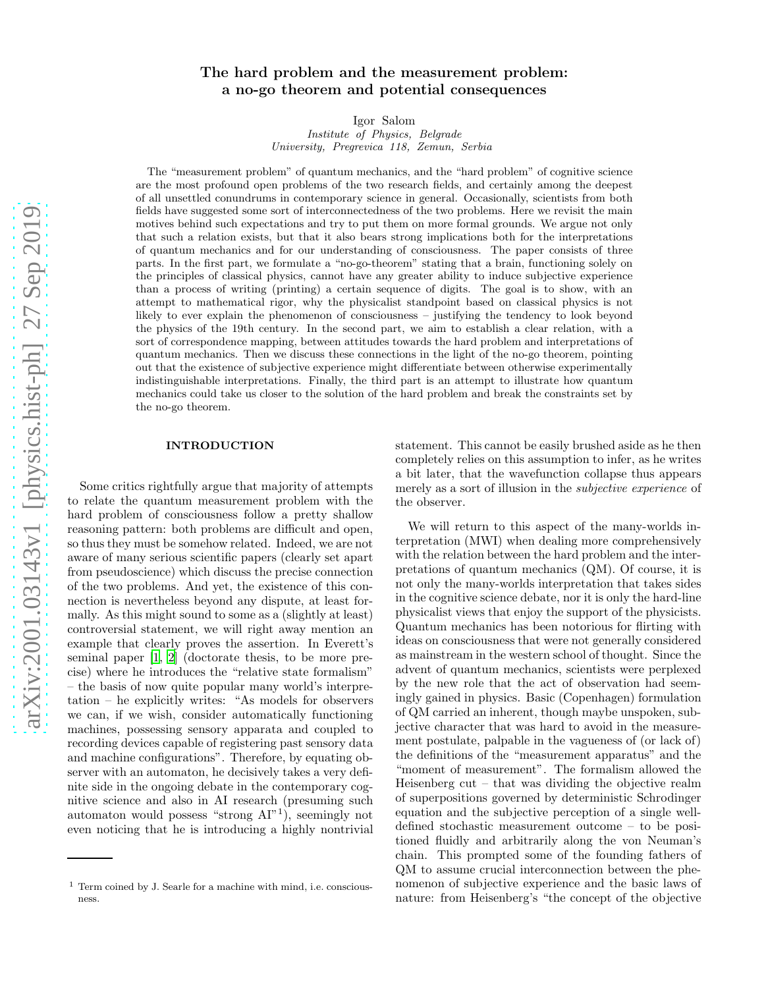# arXiv:2001.03143v1 [physics.hist-ph] 27 Sep 2019 [arXiv:2001.03143v1 \[physics.hist-ph\] 27 Sep 2019](http://arxiv.org/abs/2001.03143v1)

# The hard problem and the measurement problem: a no-go theorem and potential consequences

Igor Salom

Institute of Physics, Belgrade University, Pregrevica 118, Zemun, Serbia

The "measurement problem" of quantum mechanics, and the "hard problem" of cognitive science are the most profound open problems of the two research fields, and certainly among the deepest of all unsettled conundrums in contemporary science in general. Occasionally, scientists from both fields have suggested some sort of interconnectedness of the two problems. Here we revisit the main motives behind such expectations and try to put them on more formal grounds. We argue not only that such a relation exists, but that it also bears strong implications both for the interpretations of quantum mechanics and for our understanding of consciousness. The paper consists of three parts. In the first part, we formulate a "no-go-theorem" stating that a brain, functioning solely on the principles of classical physics, cannot have any greater ability to induce subjective experience than a process of writing (printing) a certain sequence of digits. The goal is to show, with an attempt to mathematical rigor, why the physicalist standpoint based on classical physics is not likely to ever explain the phenomenon of consciousness – justifying the tendency to look beyond the physics of the 19th century. In the second part, we aim to establish a clear relation, with a sort of correspondence mapping, between attitudes towards the hard problem and interpretations of quantum mechanics. Then we discuss these connections in the light of the no-go theorem, pointing out that the existence of subjective experience might differentiate between otherwise experimentally indistinguishable interpretations. Finally, the third part is an attempt to illustrate how quantum mechanics could take us closer to the solution of the hard problem and break the constraints set by the no-go theorem.

# INTRODUCTION

Some critics rightfully argue that majority of attempts to relate the quantum measurement problem with the hard problem of consciousness follow a pretty shallow reasoning pattern: both problems are difficult and open, so thus they must be somehow related. Indeed, we are not aware of many serious scientific papers (clearly set apart from pseudoscience) which discuss the precise connection of the two problems. And yet, the existence of this connection is nevertheless beyond any dispute, at least formally. As this might sound to some as a (slightly at least) controversial statement, we will right away mention an example that clearly proves the assertion. In Everett's seminal paper [\[1,](#page-47-0) [2\]](#page-47-1) (doctorate thesis, to be more precise) where he introduces the "relative state formalism" – the basis of now quite popular many world's interpretation – he explicitly writes: "As models for observers we can, if we wish, consider automatically functioning machines, possessing sensory apparata and coupled to recording devices capable of registering past sensory data and machine configurations". Therefore, by equating observer with an automaton, he decisively takes a very definite side in the ongoing debate in the contemporary cognitive science and also in AI research (presuming such automaton would possess "strong AI"<sup>1</sup> ), seemingly not even noticing that he is introducing a highly nontrivial statement. This cannot be easily brushed aside as he then completely relies on this assumption to infer, as he writes a bit later, that the wavefunction collapse thus appears merely as a sort of illusion in the *subjective experience* of the observer.

We will return to this aspect of the many-worlds interpretation (MWI) when dealing more comprehensively with the relation between the hard problem and the interpretations of quantum mechanics (QM). Of course, it is not only the many-worlds interpretation that takes sides in the cognitive science debate, nor it is only the hard-line physicalist views that enjoy the support of the physicists. Quantum mechanics has been notorious for flirting with ideas on consciousness that were not generally considered as mainstream in the western school of thought. Since the advent of quantum mechanics, scientists were perplexed by the new role that the act of observation had seemingly gained in physics. Basic (Copenhagen) formulation of QM carried an inherent, though maybe unspoken, subjective character that was hard to avoid in the measurement postulate, palpable in the vagueness of (or lack of) the definitions of the "measurement apparatus" and the "moment of measurement". The formalism allowed the Heisenberg cut – that was dividing the objective realm of superpositions governed by deterministic Schrodinger equation and the subjective perception of a single welldefined stochastic measurement outcome – to be positioned fluidly and arbitrarily along the von Neuman's chain. This prompted some of the founding fathers of QM to assume crucial interconnection between the phenomenon of subjective experience and the basic laws of nature: from Heisenberg's "the concept of the objective

 $<sup>1</sup>$  Term coined by J. Searle for a machine with mind, i.e. conscious-</sup> ness.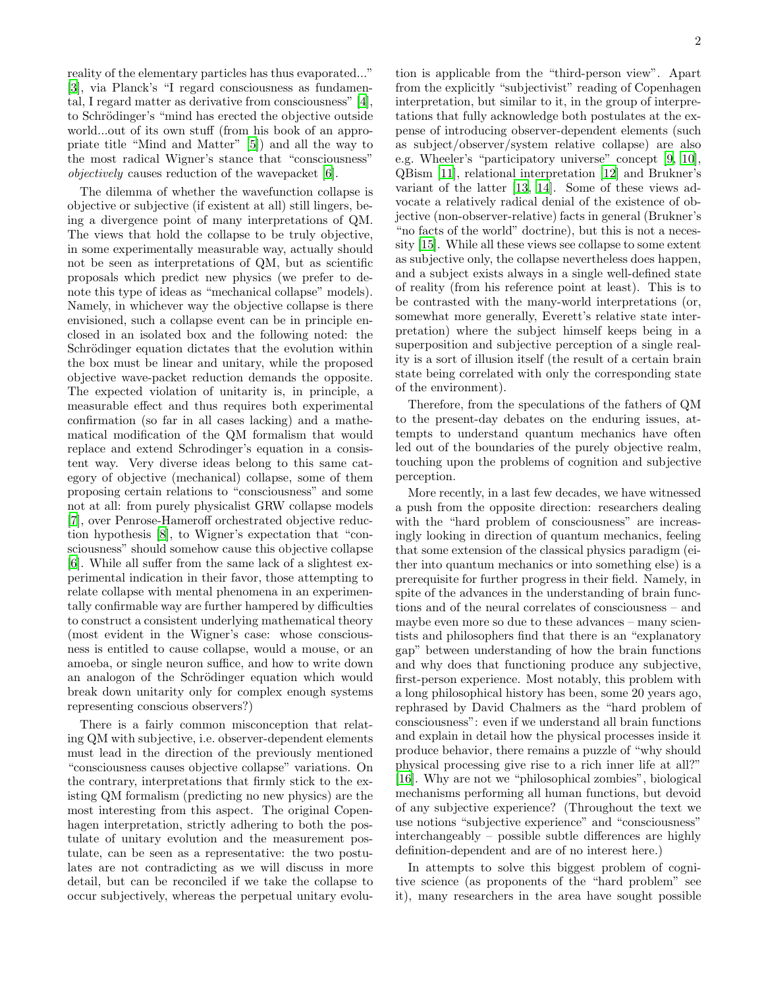reality of the elementary particles has thus evaporated..." [\[3\]](#page-47-2), via Planck's "I regard consciousness as fundamental, I regard matter as derivative from consciousness" [\[4\]](#page-47-3), to Schrödinger's "mind has erected the objective outside world...out of its own stuff (from his book of an appropriate title "Mind and Matter" [\[5](#page-47-4)]) and all the way to the most radical Wigner's stance that "consciousness" objectively causes reduction of the wavepacket [\[6\]](#page-47-5).

The dilemma of whether the wavefunction collapse is objective or subjective (if existent at all) still lingers, being a divergence point of many interpretations of QM. The views that hold the collapse to be truly objective, in some experimentally measurable way, actually should not be seen as interpretations of QM, but as scientific proposals which predict new physics (we prefer to denote this type of ideas as "mechanical collapse" models). Namely, in whichever way the objective collapse is there envisioned, such a collapse event can be in principle enclosed in an isolated box and the following noted: the Schrödinger equation dictates that the evolution within the box must be linear and unitary, while the proposed objective wave-packet reduction demands the opposite. The expected violation of unitarity is, in principle, a measurable effect and thus requires both experimental confirmation (so far in all cases lacking) and a mathematical modification of the QM formalism that would replace and extend Schrodinger's equation in a consistent way. Very diverse ideas belong to this same category of objective (mechanical) collapse, some of them proposing certain relations to "consciousness" and some not at all: from purely physicalist GRW collapse models [\[7\]](#page-47-6), over Penrose-Hameroff orchestrated objective reduction hypothesis [\[8](#page-47-7)], to Wigner's expectation that "consciousness" should somehow cause this objective collapse [\[6\]](#page-47-5). While all suffer from the same lack of a slightest experimental indication in their favor, those attempting to relate collapse with mental phenomena in an experimentally confirmable way are further hampered by difficulties to construct a consistent underlying mathematical theory (most evident in the Wigner's case: whose consciousness is entitled to cause collapse, would a mouse, or an amoeba, or single neuron suffice, and how to write down an analogon of the Schrödinger equation which would break down unitarity only for complex enough systems representing conscious observers?)

There is a fairly common misconception that relating QM with subjective, i.e. observer-dependent elements must lead in the direction of the previously mentioned "consciousness causes objective collapse" variations. On the contrary, interpretations that firmly stick to the existing QM formalism (predicting no new physics) are the most interesting from this aspect. The original Copenhagen interpretation, strictly adhering to both the postulate of unitary evolution and the measurement postulate, can be seen as a representative: the two postulates are not contradicting as we will discuss in more detail, but can be reconciled if we take the collapse to occur subjectively, whereas the perpetual unitary evolu-

tion is applicable from the "third-person view". Apart from the explicitly "subjectivist" reading of Copenhagen interpretation, but similar to it, in the group of interpretations that fully acknowledge both postulates at the expense of introducing observer-dependent elements (such as subject/observer/system relative collapse) are also e.g. Wheeler's "participatory universe" concept [\[9,](#page-47-8) [10\]](#page-47-9), QBism [\[11](#page-47-10)], relational interpretation [\[12\]](#page-47-11) and Brukner's variant of the latter [\[13](#page-47-12), [14\]](#page-47-13). Some of these views advocate a relatively radical denial of the existence of objective (non-observer-relative) facts in general (Brukner's "no facts of the world" doctrine), but this is not a necessity [\[15\]](#page-47-14). While all these views see collapse to some extent as subjective only, the collapse nevertheless does happen, and a subject exists always in a single well-defined state of reality (from his reference point at least). This is to be contrasted with the many-world interpretations (or, somewhat more generally, Everett's relative state interpretation) where the subject himself keeps being in a superposition and subjective perception of a single reality is a sort of illusion itself (the result of a certain brain state being correlated with only the corresponding state of the environment).

Therefore, from the speculations of the fathers of QM to the present-day debates on the enduring issues, attempts to understand quantum mechanics have often led out of the boundaries of the purely objective realm, touching upon the problems of cognition and subjective perception.

More recently, in a last few decades, we have witnessed a push from the opposite direction: researchers dealing with the "hard problem of consciousness" are increasingly looking in direction of quantum mechanics, feeling that some extension of the classical physics paradigm (either into quantum mechanics or into something else) is a prerequisite for further progress in their field. Namely, in spite of the advances in the understanding of brain functions and of the neural correlates of consciousness – and maybe even more so due to these advances – many scientists and philosophers find that there is an "explanatory gap" between understanding of how the brain functions and why does that functioning produce any subjective, first-person experience. Most notably, this problem with a long philosophical history has been, some 20 years ago, rephrased by David Chalmers as the "hard problem of consciousness": even if we understand all brain functions and explain in detail how the physical processes inside it produce behavior, there remains a puzzle of "why should physical processing give rise to a rich inner life at all?" [\[16\]](#page-47-15). Why are not we "philosophical zombies", biological mechanisms performing all human functions, but devoid of any subjective experience? (Throughout the text we use notions "subjective experience" and "consciousness" interchangeably – possible subtle differences are highly definition-dependent and are of no interest here.)

In attempts to solve this biggest problem of cognitive science (as proponents of the "hard problem" see it), many researchers in the area have sought possible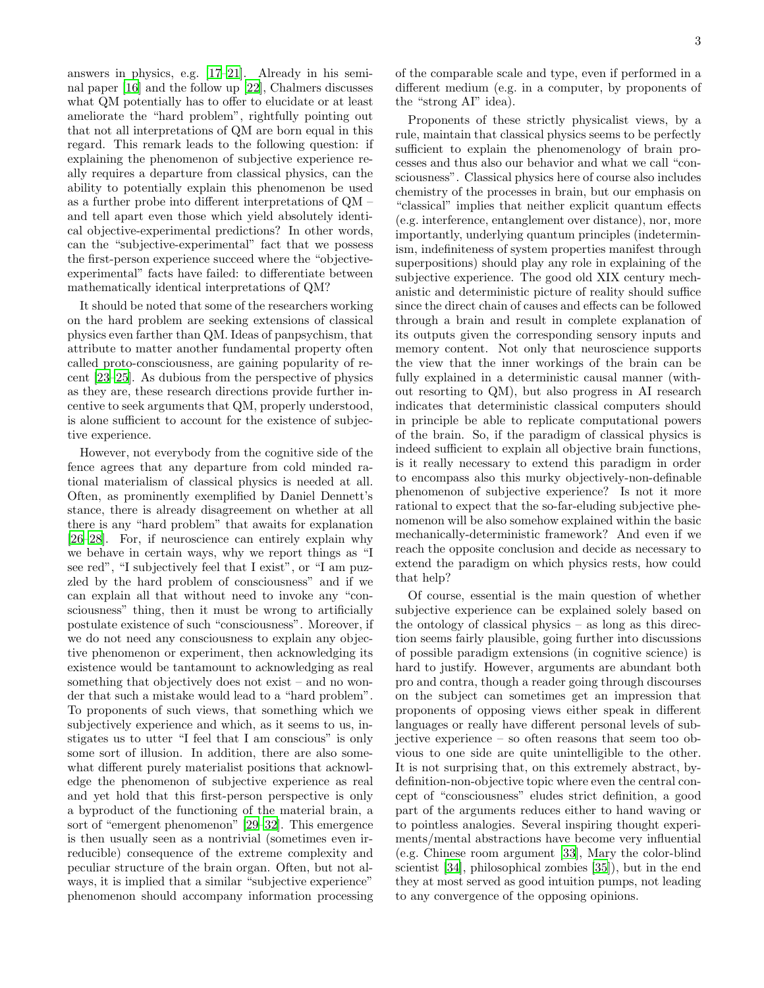answers in physics, e.g. [\[17](#page-47-16)[–21](#page-48-0)]. Already in his seminal paper [\[16\]](#page-47-15) and the follow up [\[22\]](#page-48-1), Chalmers discusses what QM potentially has to offer to elucidate or at least ameliorate the "hard problem", rightfully pointing out that not all interpretations of QM are born equal in this regard. This remark leads to the following question: if explaining the phenomenon of subjective experience really requires a departure from classical physics, can the ability to potentially explain this phenomenon be used as a further probe into different interpretations of QM – and tell apart even those which yield absolutely identical objective-experimental predictions? In other words, can the "subjective-experimental" fact that we possess the first-person experience succeed where the "objectiveexperimental" facts have failed: to differentiate between mathematically identical interpretations of QM?

It should be noted that some of the researchers working on the hard problem are seeking extensions of classical physics even farther than QM. Ideas of panpsychism, that attribute to matter another fundamental property often called proto-consciousness, are gaining popularity of recent [\[23](#page-48-2)[–25\]](#page-48-3). As dubious from the perspective of physics as they are, these research directions provide further incentive to seek arguments that QM, properly understood, is alone sufficient to account for the existence of subjective experience.

However, not everybody from the cognitive side of the fence agrees that any departure from cold minded rational materialism of classical physics is needed at all. Often, as prominently exemplified by Daniel Dennett's stance, there is already disagreement on whether at all there is any "hard problem" that awaits for explanation [\[26](#page-48-4)[–28\]](#page-48-5). For, if neuroscience can entirely explain why we behave in certain ways, why we report things as "I see red", "I subjectively feel that I exist", or "I am puzzled by the hard problem of consciousness" and if we can explain all that without need to invoke any "consciousness" thing, then it must be wrong to artificially postulate existence of such "consciousness". Moreover, if we do not need any consciousness to explain any objective phenomenon or experiment, then acknowledging its existence would be tantamount to acknowledging as real something that objectively does not exist – and no wonder that such a mistake would lead to a "hard problem". To proponents of such views, that something which we subjectively experience and which, as it seems to us, instigates us to utter "I feel that I am conscious" is only some sort of illusion. In addition, there are also somewhat different purely materialist positions that acknowledge the phenomenon of subjective experience as real and yet hold that this first-person perspective is only a byproduct of the functioning of the material brain, a sort of "emergent phenomenon" [\[29](#page-48-6)[–32](#page-48-7)]. This emergence is then usually seen as a nontrivial (sometimes even irreducible) consequence of the extreme complexity and peculiar structure of the brain organ. Often, but not always, it is implied that a similar "subjective experience" phenomenon should accompany information processing of the comparable scale and type, even if performed in a different medium (e.g. in a computer, by proponents of the "strong AI" idea).

Proponents of these strictly physicalist views, by a rule, maintain that classical physics seems to be perfectly sufficient to explain the phenomenology of brain processes and thus also our behavior and what we call "consciousness". Classical physics here of course also includes chemistry of the processes in brain, but our emphasis on "classical" implies that neither explicit quantum effects (e.g. interference, entanglement over distance), nor, more importantly, underlying quantum principles (indeterminism, indefiniteness of system properties manifest through superpositions) should play any role in explaining of the subjective experience. The good old XIX century mechanistic and deterministic picture of reality should suffice since the direct chain of causes and effects can be followed through a brain and result in complete explanation of its outputs given the corresponding sensory inputs and memory content. Not only that neuroscience supports the view that the inner workings of the brain can be fully explained in a deterministic causal manner (without resorting to QM), but also progress in AI research indicates that deterministic classical computers should in principle be able to replicate computational powers of the brain. So, if the paradigm of classical physics is indeed sufficient to explain all objective brain functions, is it really necessary to extend this paradigm in order to encompass also this murky objectively-non-definable phenomenon of subjective experience? Is not it more rational to expect that the so-far-eluding subjective phenomenon will be also somehow explained within the basic mechanically-deterministic framework? And even if we reach the opposite conclusion and decide as necessary to extend the paradigm on which physics rests, how could that help?

Of course, essential is the main question of whether subjective experience can be explained solely based on the ontology of classical physics – as long as this direction seems fairly plausible, going further into discussions of possible paradigm extensions (in cognitive science) is hard to justify. However, arguments are abundant both pro and contra, though a reader going through discourses on the subject can sometimes get an impression that proponents of opposing views either speak in different languages or really have different personal levels of subjective experience – so often reasons that seem too obvious to one side are quite unintelligible to the other. It is not surprising that, on this extremely abstract, bydefinition-non-objective topic where even the central concept of "consciousness" eludes strict definition, a good part of the arguments reduces either to hand waving or to pointless analogies. Several inspiring thought experiments/mental abstractions have become very influential (e.g. Chinese room argument [\[33\]](#page-48-8), Mary the color-blind scientist [\[34](#page-48-9)], philosophical zombies [\[35\]](#page-48-10)), but in the end they at most served as good intuition pumps, not leading to any convergence of the opposing opinions.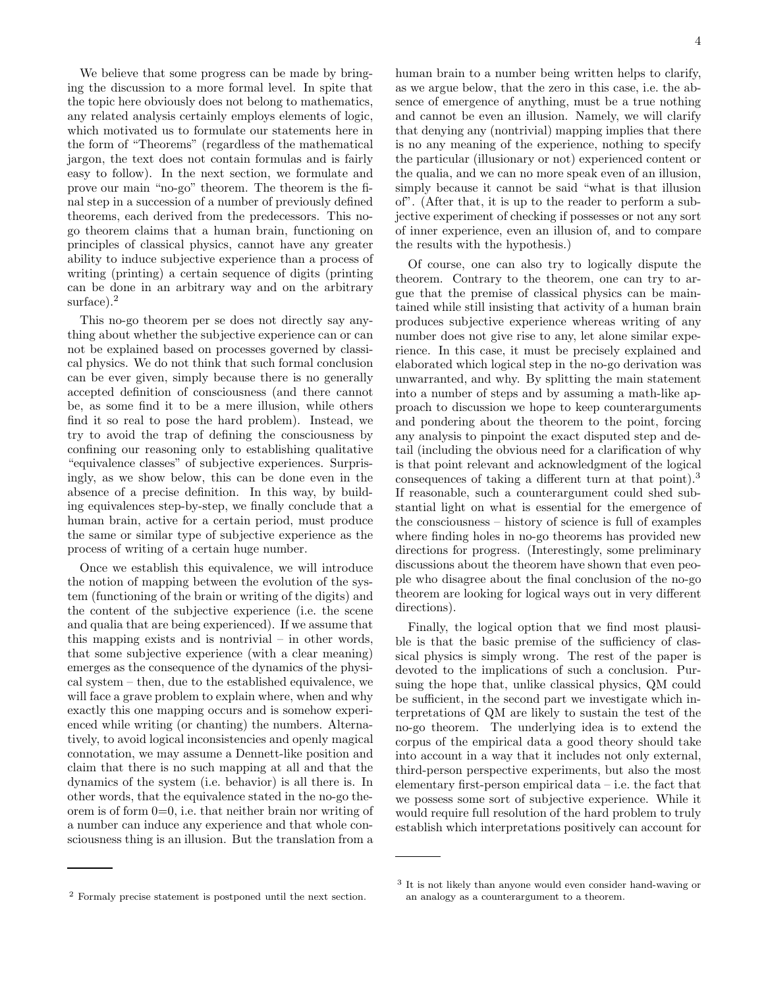We believe that some progress can be made by bringing the discussion to a more formal level. In spite that the topic here obviously does not belong to mathematics, any related analysis certainly employs elements of logic, which motivated us to formulate our statements here in the form of "Theorems" (regardless of the mathematical jargon, the text does not contain formulas and is fairly easy to follow). In the next section, we formulate and prove our main "no-go" theorem. The theorem is the final step in a succession of a number of previously defined theorems, each derived from the predecessors. This nogo theorem claims that a human brain, functioning on principles of classical physics, cannot have any greater ability to induce subjective experience than a process of writing (printing) a certain sequence of digits (printing can be done in an arbitrary way and on the arbitrary surface).<sup>2</sup>

This no-go theorem per se does not directly say anything about whether the subjective experience can or can not be explained based on processes governed by classical physics. We do not think that such formal conclusion can be ever given, simply because there is no generally accepted definition of consciousness (and there cannot be, as some find it to be a mere illusion, while others find it so real to pose the hard problem). Instead, we try to avoid the trap of defining the consciousness by confining our reasoning only to establishing qualitative "equivalence classes" of subjective experiences. Surprisingly, as we show below, this can be done even in the absence of a precise definition. In this way, by building equivalences step-by-step, we finally conclude that a human brain, active for a certain period, must produce the same or similar type of subjective experience as the process of writing of a certain huge number.

Once we establish this equivalence, we will introduce the notion of mapping between the evolution of the system (functioning of the brain or writing of the digits) and the content of the subjective experience (i.e. the scene and qualia that are being experienced). If we assume that this mapping exists and is nontrivial – in other words, that some subjective experience (with a clear meaning) emerges as the consequence of the dynamics of the physical system – then, due to the established equivalence, we will face a grave problem to explain where, when and why exactly this one mapping occurs and is somehow experienced while writing (or chanting) the numbers. Alternatively, to avoid logical inconsistencies and openly magical connotation, we may assume a Dennett-like position and claim that there is no such mapping at all and that the dynamics of the system (i.e. behavior) is all there is. In other words, that the equivalence stated in the no-go theorem is of form 0=0, i.e. that neither brain nor writing of a number can induce any experience and that whole consciousness thing is an illusion. But the translation from a

human brain to a number being written helps to clarify, as we argue below, that the zero in this case, i.e. the absence of emergence of anything, must be a true nothing and cannot be even an illusion. Namely, we will clarify that denying any (nontrivial) mapping implies that there is no any meaning of the experience, nothing to specify the particular (illusionary or not) experienced content or the qualia, and we can no more speak even of an illusion, simply because it cannot be said "what is that illusion of". (After that, it is up to the reader to perform a subjective experiment of checking if possesses or not any sort of inner experience, even an illusion of, and to compare

Of course, one can also try to logically dispute the theorem. Contrary to the theorem, one can try to argue that the premise of classical physics can be maintained while still insisting that activity of a human brain produces subjective experience whereas writing of any number does not give rise to any, let alone similar experience. In this case, it must be precisely explained and elaborated which logical step in the no-go derivation was unwarranted, and why. By splitting the main statement into a number of steps and by assuming a math-like approach to discussion we hope to keep counterarguments and pondering about the theorem to the point, forcing any analysis to pinpoint the exact disputed step and detail (including the obvious need for a clarification of why is that point relevant and acknowledgment of the logical consequences of taking a different turn at that point).<sup>3</sup> If reasonable, such a counterargument could shed substantial light on what is essential for the emergence of the consciousness – history of science is full of examples where finding holes in no-go theorems has provided new directions for progress. (Interestingly, some preliminary discussions about the theorem have shown that even people who disagree about the final conclusion of the no-go theorem are looking for logical ways out in very different directions).

the results with the hypothesis.)

Finally, the logical option that we find most plausible is that the basic premise of the sufficiency of classical physics is simply wrong. The rest of the paper is devoted to the implications of such a conclusion. Pursuing the hope that, unlike classical physics, QM could be sufficient, in the second part we investigate which interpretations of QM are likely to sustain the test of the no-go theorem. The underlying idea is to extend the corpus of the empirical data a good theory should take into account in a way that it includes not only external, third-person perspective experiments, but also the most elementary first-person empirical data – i.e. the fact that we possess some sort of subjective experience. While it would require full resolution of the hard problem to truly establish which interpretations positively can account for

<sup>2</sup> Formaly precise statement is postponed until the next section.

<sup>3</sup> It is not likely than anyone would even consider hand-waving or an analogy as a counterargument to a theorem.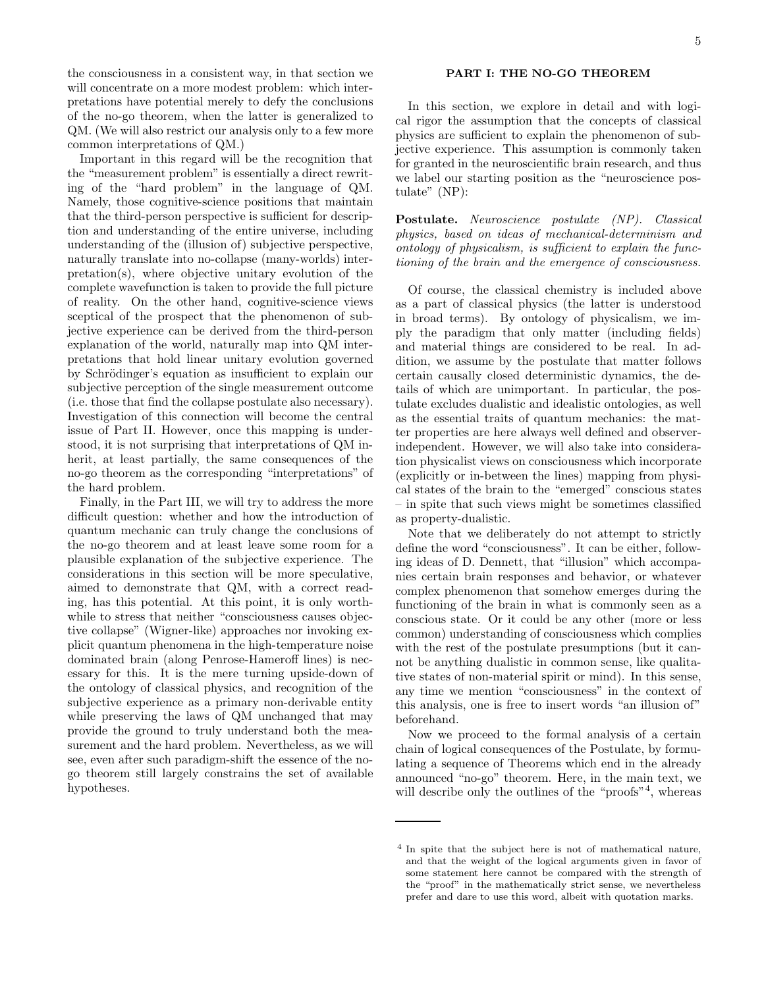the consciousness in a consistent way, in that section we will concentrate on a more modest problem: which interpretations have potential merely to defy the conclusions of the no-go theorem, when the latter is generalized to QM. (We will also restrict our analysis only to a few more common interpretations of QM.)

Important in this regard will be the recognition that the "measurement problem" is essentially a direct rewriting of the "hard problem" in the language of QM. Namely, those cognitive-science positions that maintain that the third-person perspective is sufficient for description and understanding of the entire universe, including understanding of the (illusion of) subjective perspective, naturally translate into no-collapse (many-worlds) interpretation(s), where objective unitary evolution of the complete wavefunction is taken to provide the full picture of reality. On the other hand, cognitive-science views sceptical of the prospect that the phenomenon of subjective experience can be derived from the third-person explanation of the world, naturally map into QM interpretations that hold linear unitary evolution governed by Schrödinger's equation as insufficient to explain our subjective perception of the single measurement outcome (i.e. those that find the collapse postulate also necessary). Investigation of this connection will become the central issue of Part II. However, once this mapping is understood, it is not surprising that interpretations of QM inherit, at least partially, the same consequences of the no-go theorem as the corresponding "interpretations" of the hard problem.

Finally, in the Part III, we will try to address the more difficult question: whether and how the introduction of quantum mechanic can truly change the conclusions of the no-go theorem and at least leave some room for a plausible explanation of the subjective experience. The considerations in this section will be more speculative, aimed to demonstrate that QM, with a correct reading, has this potential. At this point, it is only worthwhile to stress that neither "consciousness causes objective collapse" (Wigner-like) approaches nor invoking explicit quantum phenomena in the high-temperature noise dominated brain (along Penrose-Hameroff lines) is necessary for this. It is the mere turning upside-down of the ontology of classical physics, and recognition of the subjective experience as a primary non-derivable entity while preserving the laws of QM unchanged that may provide the ground to truly understand both the measurement and the hard problem. Nevertheless, as we will see, even after such paradigm-shift the essence of the nogo theorem still largely constrains the set of available hypotheses.

In this section, we explore in detail and with logical rigor the assumption that the concepts of classical physics are sufficient to explain the phenomenon of subjective experience. This assumption is commonly taken for granted in the neuroscientific brain research, and thus we label our starting position as the "neuroscience postulate" (NP):

Postulate. Neuroscience postulate (NP). Classical physics, based on ideas of mechanical-determinism and ontology of physicalism, is sufficient to explain the functioning of the brain and the emergence of consciousness.

Of course, the classical chemistry is included above as a part of classical physics (the latter is understood in broad terms). By ontology of physicalism, we imply the paradigm that only matter (including fields) and material things are considered to be real. In addition, we assume by the postulate that matter follows certain causally closed deterministic dynamics, the details of which are unimportant. In particular, the postulate excludes dualistic and idealistic ontologies, as well as the essential traits of quantum mechanics: the matter properties are here always well defined and observerindependent. However, we will also take into consideration physicalist views on consciousness which incorporate (explicitly or in-between the lines) mapping from physical states of the brain to the "emerged" conscious states – in spite that such views might be sometimes classified as property-dualistic.

Note that we deliberately do not attempt to strictly define the word "consciousness". It can be either, following ideas of D. Dennett, that "illusion" which accompanies certain brain responses and behavior, or whatever complex phenomenon that somehow emerges during the functioning of the brain in what is commonly seen as a conscious state. Or it could be any other (more or less common) understanding of consciousness which complies with the rest of the postulate presumptions (but it cannot be anything dualistic in common sense, like qualitative states of non-material spirit or mind). In this sense, any time we mention "consciousness" in the context of this analysis, one is free to insert words "an illusion of" beforehand.

Now we proceed to the formal analysis of a certain chain of logical consequences of the Postulate, by formulating a sequence of Theorems which end in the already announced "no-go" theorem. Here, in the main text, we will describe only the outlines of the "proofs"<sup>4</sup>, whereas

<sup>&</sup>lt;sup>4</sup> In spite that the subject here is not of mathematical nature, and that the weight of the logical arguments given in favor of some statement here cannot be compared with the strength of the "proof" in the mathematically strict sense, we nevertheless prefer and dare to use this word, albeit with quotation marks.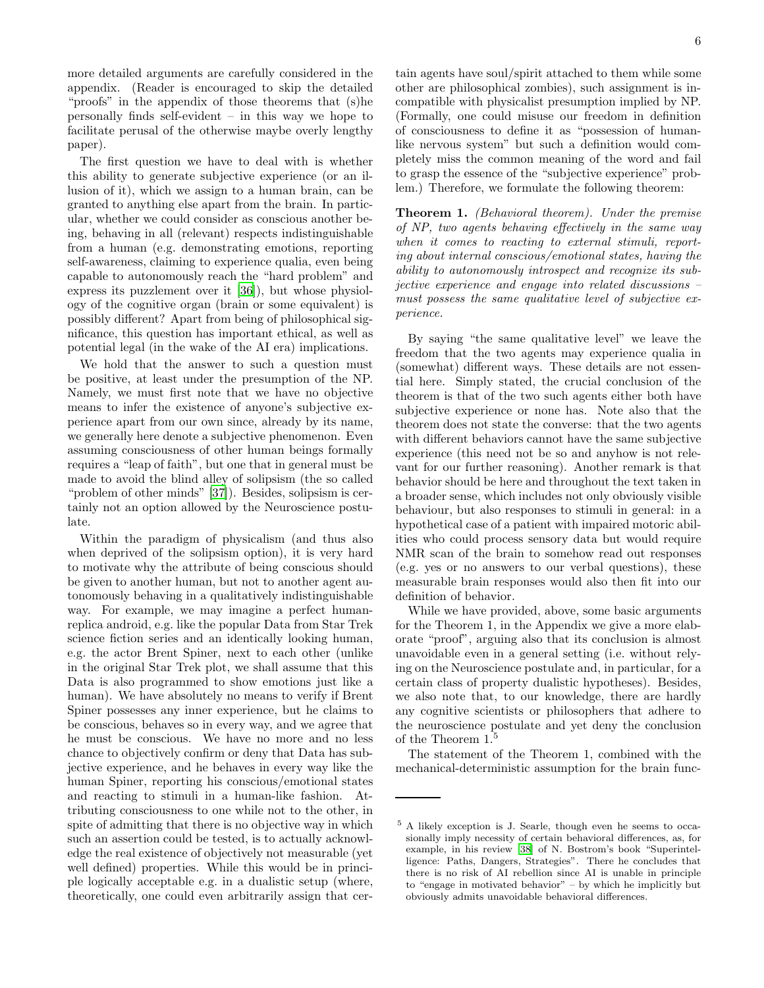more detailed arguments are carefully considered in the appendix. (Reader is encouraged to skip the detailed "proofs" in the appendix of those theorems that (s)he personally finds self-evident – in this way we hope to facilitate perusal of the otherwise maybe overly lengthy paper).

The first question we have to deal with is whether this ability to generate subjective experience (or an illusion of it), which we assign to a human brain, can be granted to anything else apart from the brain. In particular, whether we could consider as conscious another being, behaving in all (relevant) respects indistinguishable from a human (e.g. demonstrating emotions, reporting self-awareness, claiming to experience qualia, even being capable to autonomously reach the "hard problem" and express its puzzlement over it [\[36\]](#page-48-11)), but whose physiology of the cognitive organ (brain or some equivalent) is possibly different? Apart from being of philosophical significance, this question has important ethical, as well as potential legal (in the wake of the AI era) implications.

We hold that the answer to such a question must be positive, at least under the presumption of the NP. Namely, we must first note that we have no objective means to infer the existence of anyone's subjective experience apart from our own since, already by its name, we generally here denote a subjective phenomenon. Even assuming consciousness of other human beings formally requires a "leap of faith", but one that in general must be made to avoid the blind alley of solipsism (the so called "problem of other minds" [\[37](#page-48-12)]). Besides, solipsism is certainly not an option allowed by the Neuroscience postulate.

Within the paradigm of physicalism (and thus also when deprived of the solipsism option), it is very hard to motivate why the attribute of being conscious should be given to another human, but not to another agent autonomously behaving in a qualitatively indistinguishable way. For example, we may imagine a perfect humanreplica android, e.g. like the popular Data from Star Trek science fiction series and an identically looking human, e.g. the actor Brent Spiner, next to each other (unlike in the original Star Trek plot, we shall assume that this Data is also programmed to show emotions just like a human). We have absolutely no means to verify if Brent Spiner possesses any inner experience, but he claims to be conscious, behaves so in every way, and we agree that he must be conscious. We have no more and no less chance to objectively confirm or deny that Data has subjective experience, and he behaves in every way like the human Spiner, reporting his conscious/emotional states and reacting to stimuli in a human-like fashion. Attributing consciousness to one while not to the other, in spite of admitting that there is no objective way in which such an assertion could be tested, is to actually acknowledge the real existence of objectively not measurable (yet well defined) properties. While this would be in principle logically acceptable e.g. in a dualistic setup (where, theoretically, one could even arbitrarily assign that certain agents have soul/spirit attached to them while some other are philosophical zombies), such assignment is incompatible with physicalist presumption implied by NP. (Formally, one could misuse our freedom in definition of consciousness to define it as "possession of humanlike nervous system" but such a definition would completely miss the common meaning of the word and fail to grasp the essence of the "subjective experience" problem.) Therefore, we formulate the following theorem:

Theorem 1. (Behavioral theorem). Under the premise of NP, two agents behaving effectively in the same way when it comes to reacting to external stimuli, reporting about internal conscious/emotional states, having the ability to autonomously introspect and recognize its subjective experience and engage into related discussions – must possess the same qualitative level of subjective experience.

By saying "the same qualitative level" we leave the freedom that the two agents may experience qualia in (somewhat) different ways. These details are not essential here. Simply stated, the crucial conclusion of the theorem is that of the two such agents either both have subjective experience or none has. Note also that the theorem does not state the converse: that the two agents with different behaviors cannot have the same subjective experience (this need not be so and anyhow is not relevant for our further reasoning). Another remark is that behavior should be here and throughout the text taken in a broader sense, which includes not only obviously visible behaviour, but also responses to stimuli in general: in a hypothetical case of a patient with impaired motoric abilities who could process sensory data but would require NMR scan of the brain to somehow read out responses (e.g. yes or no answers to our verbal questions), these measurable brain responses would also then fit into our definition of behavior.

While we have provided, above, some basic arguments for the Theorem 1, in the Appendix we give a more elaborate "proof", arguing also that its conclusion is almost unavoidable even in a general setting (i.e. without relying on the Neuroscience postulate and, in particular, for a certain class of property dualistic hypotheses). Besides, we also note that, to our knowledge, there are hardly any cognitive scientists or philosophers that adhere to the neuroscience postulate and yet deny the conclusion of the Theorem 1.<sup>5</sup>

The statement of the Theorem 1, combined with the mechanical-deterministic assumption for the brain func-

<sup>5</sup> A likely exception is J. Searle, though even he seems to occasionally imply necessity of certain behavioral differences, as, for example, in his review [\[38\]](#page-48-13) of N. Bostrom's book "Superintelligence: Paths, Dangers, Strategies". There he concludes that there is no risk of AI rebellion since AI is unable in principle to "engage in motivated behavior" – by which he implicitly but obviously admits unavoidable behavioral differences.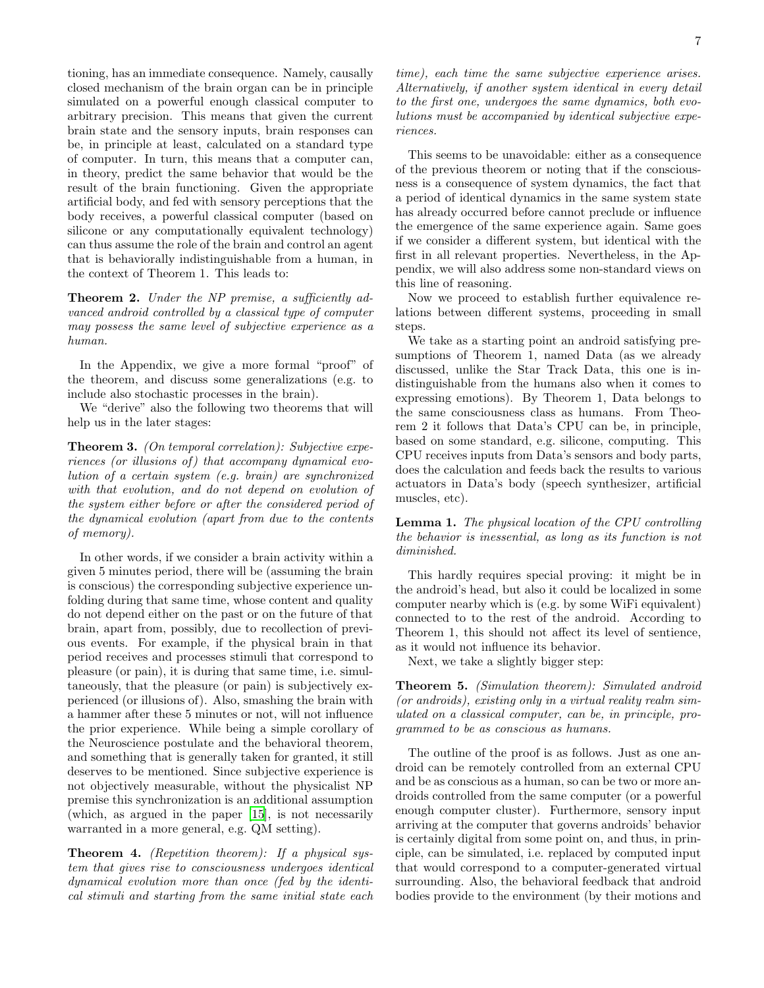tioning, has an immediate consequence. Namely, causally closed mechanism of the brain organ can be in principle simulated on a powerful enough classical computer to arbitrary precision. This means that given the current brain state and the sensory inputs, brain responses can be, in principle at least, calculated on a standard type of computer. In turn, this means that a computer can, in theory, predict the same behavior that would be the result of the brain functioning. Given the appropriate artificial body, and fed with sensory perceptions that the body receives, a powerful classical computer (based on silicone or any computationally equivalent technology) can thus assume the role of the brain and control an agent that is behaviorally indistinguishable from a human, in the context of Theorem 1. This leads to:

Theorem 2. Under the NP premise, a sufficiently advanced android controlled by a classical type of computer may possess the same level of subjective experience as a human.

In the Appendix, we give a more formal "proof" of the theorem, and discuss some generalizations (e.g. to include also stochastic processes in the brain).

We "derive" also the following two theorems that will help us in the later stages:

Theorem 3. (On temporal correlation): Subjective experiences (or illusions of) that accompany dynamical evolution of a certain system (e.g. brain) are synchronized with that evolution, and do not depend on evolution of the system either before or after the considered period of the dynamical evolution (apart from due to the contents of memory).

In other words, if we consider a brain activity within a given 5 minutes period, there will be (assuming the brain is conscious) the corresponding subjective experience unfolding during that same time, whose content and quality do not depend either on the past or on the future of that brain, apart from, possibly, due to recollection of previous events. For example, if the physical brain in that period receives and processes stimuli that correspond to pleasure (or pain), it is during that same time, i.e. simultaneously, that the pleasure (or pain) is subjectively experienced (or illusions of). Also, smashing the brain with a hammer after these 5 minutes or not, will not influence the prior experience. While being a simple corollary of the Neuroscience postulate and the behavioral theorem, and something that is generally taken for granted, it still deserves to be mentioned. Since subjective experience is not objectively measurable, without the physicalist NP premise this synchronization is an additional assumption (which, as argued in the paper [\[15\]](#page-47-14), is not necessarily warranted in a more general, e.g. QM setting).

**Theorem 4.** (Repetition theorem): If a physical system that gives rise to consciousness undergoes identical dynamical evolution more than once (fed by the identical stimuli and starting from the same initial state each time), each time the same subjective experience arises. Alternatively, if another system identical in every detail to the first one, undergoes the same dynamics, both evolutions must be accompanied by identical subjective experiences.

This seems to be unavoidable: either as a consequence of the previous theorem or noting that if the consciousness is a consequence of system dynamics, the fact that a period of identical dynamics in the same system state has already occurred before cannot preclude or influence the emergence of the same experience again. Same goes if we consider a different system, but identical with the first in all relevant properties. Nevertheless, in the Appendix, we will also address some non-standard views on this line of reasoning.

Now we proceed to establish further equivalence relations between different systems, proceeding in small steps.

We take as a starting point an android satisfying presumptions of Theorem 1, named Data (as we already discussed, unlike the Star Track Data, this one is indistinguishable from the humans also when it comes to expressing emotions). By Theorem 1, Data belongs to the same consciousness class as humans. From Theorem 2 it follows that Data's CPU can be, in principle, based on some standard, e.g. silicone, computing. This CPU receives inputs from Data's sensors and body parts, does the calculation and feeds back the results to various actuators in Data's body (speech synthesizer, artificial muscles, etc).

Lemma 1. The physical location of the CPU controlling the behavior is inessential, as long as its function is not diminished.

This hardly requires special proving: it might be in the android's head, but also it could be localized in some computer nearby which is (e.g. by some WiFi equivalent) connected to to the rest of the android. According to Theorem 1, this should not affect its level of sentience, as it would not influence its behavior.

Next, we take a slightly bigger step:

Theorem 5. (Simulation theorem): Simulated android (or androids), existing only in a virtual reality realm simulated on a classical computer, can be, in principle, programmed to be as conscious as humans.

The outline of the proof is as follows. Just as one android can be remotely controlled from an external CPU and be as conscious as a human, so can be two or more androids controlled from the same computer (or a powerful enough computer cluster). Furthermore, sensory input arriving at the computer that governs androids' behavior is certainly digital from some point on, and thus, in principle, can be simulated, i.e. replaced by computed input that would correspond to a computer-generated virtual surrounding. Also, the behavioral feedback that android bodies provide to the environment (by their motions and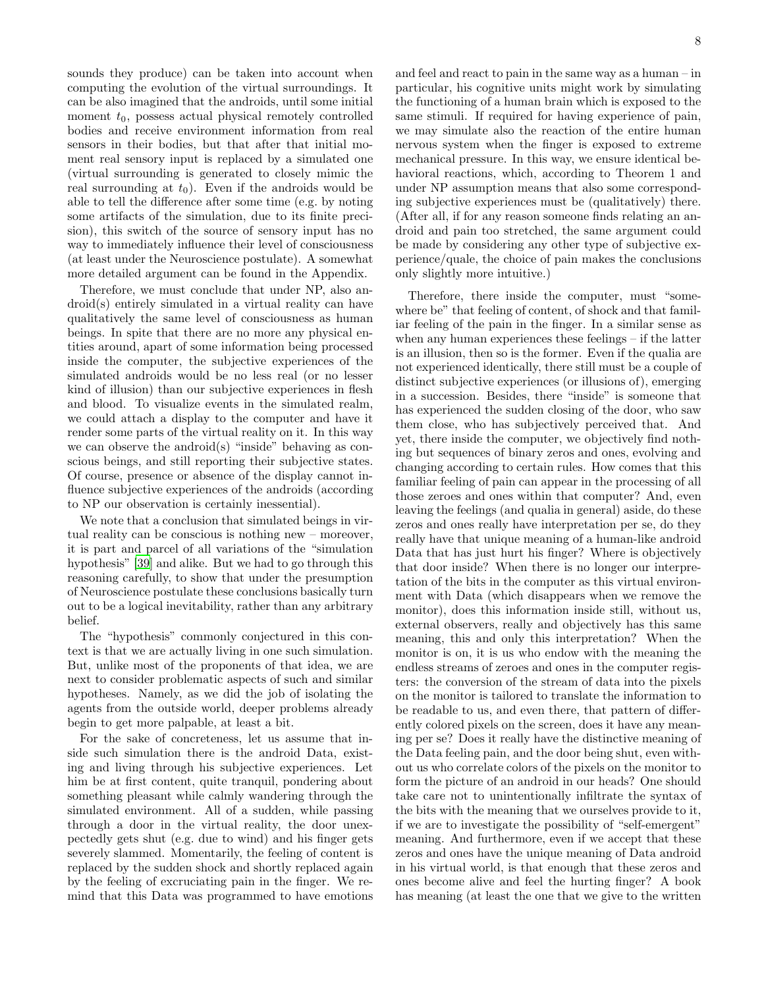sounds they produce) can be taken into account when computing the evolution of the virtual surroundings. It can be also imagined that the androids, until some initial moment  $t_0$ , possess actual physical remotely controlled bodies and receive environment information from real sensors in their bodies, but that after that initial moment real sensory input is replaced by a simulated one (virtual surrounding is generated to closely mimic the real surrounding at  $t_0$ ). Even if the androids would be able to tell the difference after some time (e.g. by noting some artifacts of the simulation, due to its finite precision), this switch of the source of sensory input has no way to immediately influence their level of consciousness (at least under the Neuroscience postulate). A somewhat more detailed argument can be found in the Appendix.

Therefore, we must conclude that under NP, also android(s) entirely simulated in a virtual reality can have qualitatively the same level of consciousness as human beings. In spite that there are no more any physical entities around, apart of some information being processed inside the computer, the subjective experiences of the simulated androids would be no less real (or no lesser kind of illusion) than our subjective experiences in flesh and blood. To visualize events in the simulated realm, we could attach a display to the computer and have it render some parts of the virtual reality on it. In this way we can observe the android(s) "inside" behaving as conscious beings, and still reporting their subjective states. Of course, presence or absence of the display cannot influence subjective experiences of the androids (according to NP our observation is certainly inessential).

We note that a conclusion that simulated beings in virtual reality can be conscious is nothing new – moreover, it is part and parcel of all variations of the "simulation hypothesis" [\[39\]](#page-48-14) and alike. But we had to go through this reasoning carefully, to show that under the presumption of Neuroscience postulate these conclusions basically turn out to be a logical inevitability, rather than any arbitrary belief.

The "hypothesis" commonly conjectured in this context is that we are actually living in one such simulation. But, unlike most of the proponents of that idea, we are next to consider problematic aspects of such and similar hypotheses. Namely, as we did the job of isolating the agents from the outside world, deeper problems already begin to get more palpable, at least a bit.

For the sake of concreteness, let us assume that inside such simulation there is the android Data, existing and living through his subjective experiences. Let him be at first content, quite tranquil, pondering about something pleasant while calmly wandering through the simulated environment. All of a sudden, while passing through a door in the virtual reality, the door unexpectedly gets shut (e.g. due to wind) and his finger gets severely slammed. Momentarily, the feeling of content is replaced by the sudden shock and shortly replaced again by the feeling of excruciating pain in the finger. We remind that this Data was programmed to have emotions

and feel and react to pain in the same way as a human – in particular, his cognitive units might work by simulating the functioning of a human brain which is exposed to the same stimuli. If required for having experience of pain, we may simulate also the reaction of the entire human nervous system when the finger is exposed to extreme mechanical pressure. In this way, we ensure identical behavioral reactions, which, according to Theorem 1 and under NP assumption means that also some corresponding subjective experiences must be (qualitatively) there. (After all, if for any reason someone finds relating an android and pain too stretched, the same argument could be made by considering any other type of subjective experience/quale, the choice of pain makes the conclusions only slightly more intuitive.)

Therefore, there inside the computer, must "somewhere be" that feeling of content, of shock and that familiar feeling of the pain in the finger. In a similar sense as when any human experiences these feelings – if the latter is an illusion, then so is the former. Even if the qualia are not experienced identically, there still must be a couple of distinct subjective experiences (or illusions of), emerging in a succession. Besides, there "inside" is someone that has experienced the sudden closing of the door, who saw them close, who has subjectively perceived that. And yet, there inside the computer, we objectively find nothing but sequences of binary zeros and ones, evolving and changing according to certain rules. How comes that this familiar feeling of pain can appear in the processing of all those zeroes and ones within that computer? And, even leaving the feelings (and qualia in general) aside, do these zeros and ones really have interpretation per se, do they really have that unique meaning of a human-like android Data that has just hurt his finger? Where is objectively that door inside? When there is no longer our interpretation of the bits in the computer as this virtual environment with Data (which disappears when we remove the monitor), does this information inside still, without us, external observers, really and objectively has this same meaning, this and only this interpretation? When the monitor is on, it is us who endow with the meaning the endless streams of zeroes and ones in the computer registers: the conversion of the stream of data into the pixels on the monitor is tailored to translate the information to be readable to us, and even there, that pattern of differently colored pixels on the screen, does it have any meaning per se? Does it really have the distinctive meaning of the Data feeling pain, and the door being shut, even without us who correlate colors of the pixels on the monitor to form the picture of an android in our heads? One should take care not to unintentionally infiltrate the syntax of the bits with the meaning that we ourselves provide to it, if we are to investigate the possibility of "self-emergent" meaning. And furthermore, even if we accept that these zeros and ones have the unique meaning of Data android in his virtual world, is that enough that these zeros and ones become alive and feel the hurting finger? A book has meaning (at least the one that we give to the written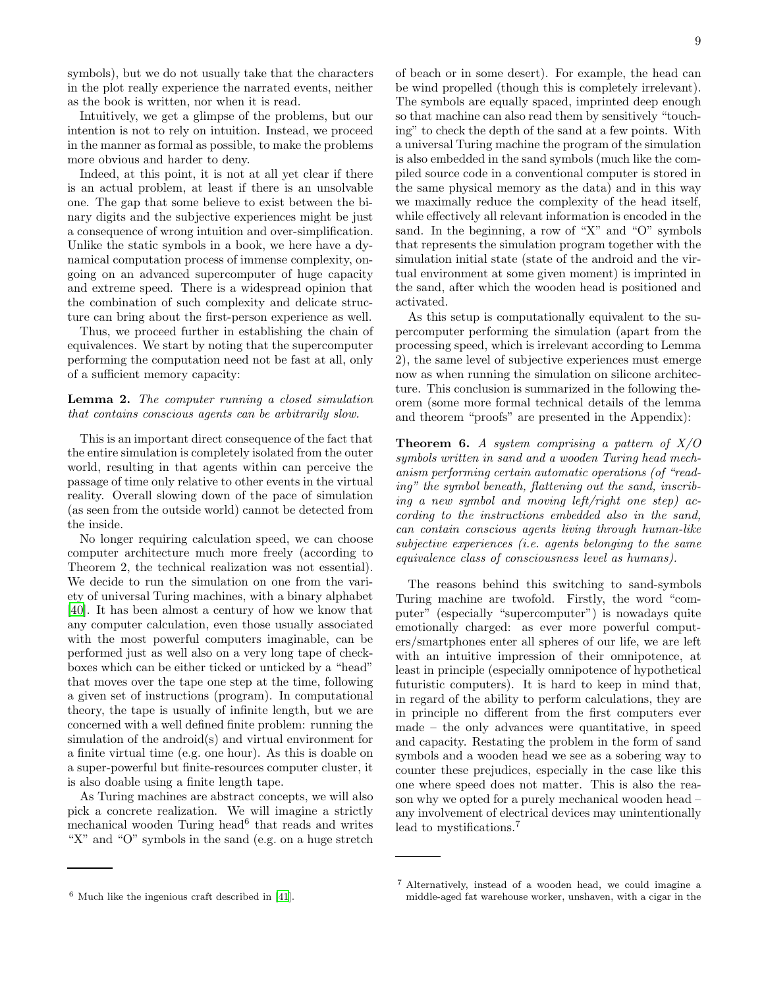symbols), but we do not usually take that the characters in the plot really experience the narrated events, neither as the book is written, nor when it is read.

Intuitively, we get a glimpse of the problems, but our intention is not to rely on intuition. Instead, we proceed in the manner as formal as possible, to make the problems more obvious and harder to deny.

Indeed, at this point, it is not at all yet clear if there is an actual problem, at least if there is an unsolvable one. The gap that some believe to exist between the binary digits and the subjective experiences might be just a consequence of wrong intuition and over-simplification. Unlike the static symbols in a book, we here have a dynamical computation process of immense complexity, ongoing on an advanced supercomputer of huge capacity and extreme speed. There is a widespread opinion that the combination of such complexity and delicate structure can bring about the first-person experience as well.

Thus, we proceed further in establishing the chain of equivalences. We start by noting that the supercomputer performing the computation need not be fast at all, only of a sufficient memory capacity:

# Lemma 2. The computer running a closed simulation that contains conscious agents can be arbitrarily slow.

This is an important direct consequence of the fact that the entire simulation is completely isolated from the outer world, resulting in that agents within can perceive the passage of time only relative to other events in the virtual reality. Overall slowing down of the pace of simulation (as seen from the outside world) cannot be detected from the inside.

No longer requiring calculation speed, we can choose computer architecture much more freely (according to Theorem 2, the technical realization was not essential). We decide to run the simulation on one from the variety of universal Turing machines, with a binary alphabet [\[40\]](#page-48-15). It has been almost a century of how we know that any computer calculation, even those usually associated with the most powerful computers imaginable, can be performed just as well also on a very long tape of checkboxes which can be either ticked or unticked by a "head" that moves over the tape one step at the time, following a given set of instructions (program). In computational theory, the tape is usually of infinite length, but we are concerned with a well defined finite problem: running the simulation of the android(s) and virtual environment for a finite virtual time (e.g. one hour). As this is doable on a super-powerful but finite-resources computer cluster, it is also doable using a finite length tape.

As Turing machines are abstract concepts, we will also pick a concrete realization. We will imagine a strictly mechanical wooden Turing head<sup>6</sup> that reads and writes "X" and "O" symbols in the sand (e.g. on a huge stretch

of beach or in some desert). For example, the head can be wind propelled (though this is completely irrelevant). The symbols are equally spaced, imprinted deep enough so that machine can also read them by sensitively "touching" to check the depth of the sand at a few points. With a universal Turing machine the program of the simulation is also embedded in the sand symbols (much like the compiled source code in a conventional computer is stored in the same physical memory as the data) and in this way we maximally reduce the complexity of the head itself, while effectively all relevant information is encoded in the sand. In the beginning, a row of "X" and "O" symbols that represents the simulation program together with the simulation initial state (state of the android and the virtual environment at some given moment) is imprinted in the sand, after which the wooden head is positioned and activated.

As this setup is computationally equivalent to the supercomputer performing the simulation (apart from the processing speed, which is irrelevant according to Lemma 2), the same level of subjective experiences must emerge now as when running the simulation on silicone architecture. This conclusion is summarized in the following theorem (some more formal technical details of the lemma and theorem "proofs" are presented in the Appendix):

**Theorem 6.** A system comprising a pattern of  $X/O$ symbols written in sand and a wooden Turing head mechanism performing certain automatic operations (of "reading" the symbol beneath, flattening out the sand, inscribing a new symbol and moving left/right one step) according to the instructions embedded also in the sand, can contain conscious agents living through human-like subjective experiences (i.e. agents belonging to the same equivalence class of consciousness level as humans).

The reasons behind this switching to sand-symbols Turing machine are twofold. Firstly, the word "computer" (especially "supercomputer") is nowadays quite emotionally charged: as ever more powerful computers/smartphones enter all spheres of our life, we are left with an intuitive impression of their omnipotence, at least in principle (especially omnipotence of hypothetical futuristic computers). It is hard to keep in mind that, in regard of the ability to perform calculations, they are in principle no different from the first computers ever made – the only advances were quantitative, in speed and capacity. Restating the problem in the form of sand symbols and a wooden head we see as a sobering way to counter these prejudices, especially in the case like this one where speed does not matter. This is also the reason why we opted for a purely mechanical wooden head – any involvement of electrical devices may unintentionally lead to mystifications.<sup>7</sup>

<sup>6</sup> Much like the ingenious craft described in [\[41](#page-48-16)].

<sup>7</sup> Alternatively, instead of a wooden head, we could imagine a middle-aged fat warehouse worker, unshaven, with a cigar in the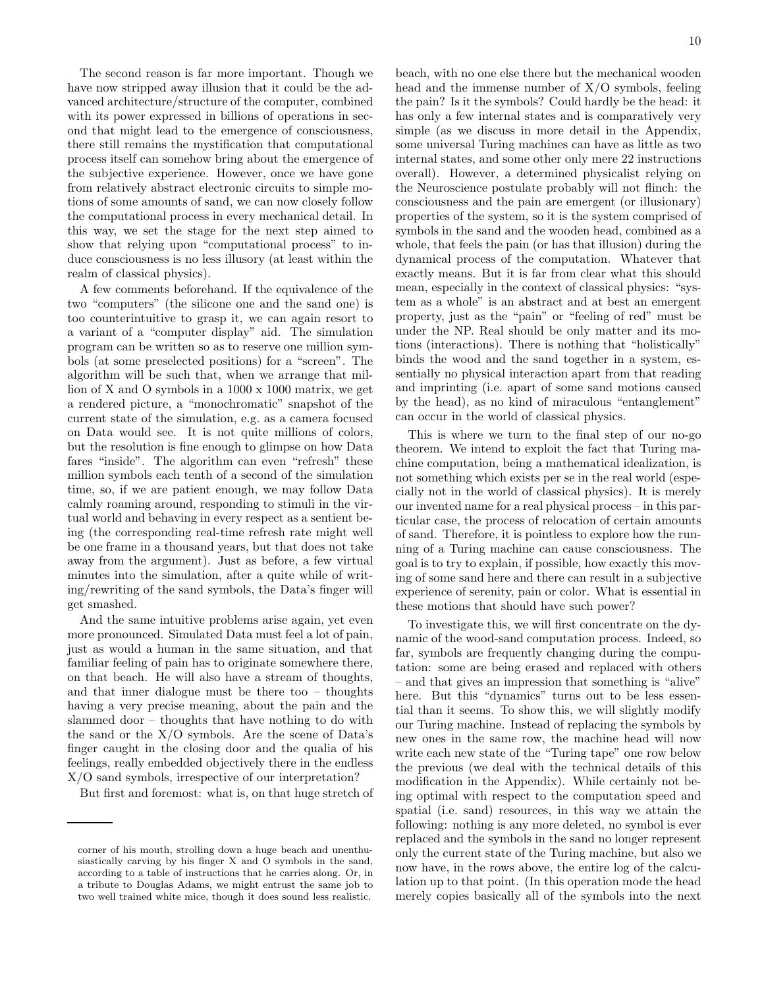The second reason is far more important. Though we have now stripped away illusion that it could be the advanced architecture/structure of the computer, combined with its power expressed in billions of operations in second that might lead to the emergence of consciousness, there still remains the mystification that computational process itself can somehow bring about the emergence of the subjective experience. However, once we have gone from relatively abstract electronic circuits to simple motions of some amounts of sand, we can now closely follow the computational process in every mechanical detail. In this way, we set the stage for the next step aimed to show that relying upon "computational process" to in-

realm of classical physics). A few comments beforehand. If the equivalence of the two "computers" (the silicone one and the sand one) is too counterintuitive to grasp it, we can again resort to a variant of a "computer display" aid. The simulation program can be written so as to reserve one million symbols (at some preselected positions) for a "screen". The algorithm will be such that, when we arrange that million of X and O symbols in a 1000 x 1000 matrix, we get a rendered picture, a "monochromatic" snapshot of the current state of the simulation, e.g. as a camera focused on Data would see. It is not quite millions of colors, but the resolution is fine enough to glimpse on how Data fares "inside". The algorithm can even "refresh" these million symbols each tenth of a second of the simulation time, so, if we are patient enough, we may follow Data calmly roaming around, responding to stimuli in the virtual world and behaving in every respect as a sentient being (the corresponding real-time refresh rate might well be one frame in a thousand years, but that does not take away from the argument). Just as before, a few virtual minutes into the simulation, after a quite while of writing/rewriting of the sand symbols, the Data's finger will get smashed.

duce consciousness is no less illusory (at least within the

And the same intuitive problems arise again, yet even more pronounced. Simulated Data must feel a lot of pain, just as would a human in the same situation, and that familiar feeling of pain has to originate somewhere there, on that beach. He will also have a stream of thoughts, and that inner dialogue must be there too – thoughts having a very precise meaning, about the pain and the slammed door – thoughts that have nothing to do with the sand or the  $X/O$  symbols. Are the scene of Data's finger caught in the closing door and the qualia of his feelings, really embedded objectively there in the endless X/O sand symbols, irrespective of our interpretation?

But first and foremost: what is, on that huge stretch of

beach, with no one else there but the mechanical wooden head and the immense number of X/O symbols, feeling the pain? Is it the symbols? Could hardly be the head: it has only a few internal states and is comparatively very simple (as we discuss in more detail in the Appendix, some universal Turing machines can have as little as two internal states, and some other only mere 22 instructions overall). However, a determined physicalist relying on the Neuroscience postulate probably will not flinch: the consciousness and the pain are emergent (or illusionary) properties of the system, so it is the system comprised of symbols in the sand and the wooden head, combined as a whole, that feels the pain (or has that illusion) during the dynamical process of the computation. Whatever that exactly means. But it is far from clear what this should mean, especially in the context of classical physics: "system as a whole" is an abstract and at best an emergent property, just as the "pain" or "feeling of red" must be under the NP. Real should be only matter and its motions (interactions). There is nothing that "holistically" binds the wood and the sand together in a system, essentially no physical interaction apart from that reading and imprinting (i.e. apart of some sand motions caused by the head), as no kind of miraculous "entanglement" can occur in the world of classical physics.

This is where we turn to the final step of our no-go theorem. We intend to exploit the fact that Turing machine computation, being a mathematical idealization, is not something which exists per se in the real world (especially not in the world of classical physics). It is merely our invented name for a real physical process – in this particular case, the process of relocation of certain amounts of sand. Therefore, it is pointless to explore how the running of a Turing machine can cause consciousness. The goal is to try to explain, if possible, how exactly this moving of some sand here and there can result in a subjective experience of serenity, pain or color. What is essential in these motions that should have such power?

To investigate this, we will first concentrate on the dynamic of the wood-sand computation process. Indeed, so far, symbols are frequently changing during the computation: some are being erased and replaced with others – and that gives an impression that something is "alive" here. But this "dynamics" turns out to be less essential than it seems. To show this, we will slightly modify our Turing machine. Instead of replacing the symbols by new ones in the same row, the machine head will now write each new state of the "Turing tape" one row below the previous (we deal with the technical details of this modification in the Appendix). While certainly not being optimal with respect to the computation speed and spatial (i.e. sand) resources, in this way we attain the following: nothing is any more deleted, no symbol is ever replaced and the symbols in the sand no longer represent only the current state of the Turing machine, but also we now have, in the rows above, the entire log of the calculation up to that point. (In this operation mode the head merely copies basically all of the symbols into the next

corner of his mouth, strolling down a huge beach and unenthusiastically carving by his finger X and O symbols in the sand, according to a table of instructions that he carries along. Or, in a tribute to Douglas Adams, we might entrust the same job to two well trained white mice, though it does sound less realistic.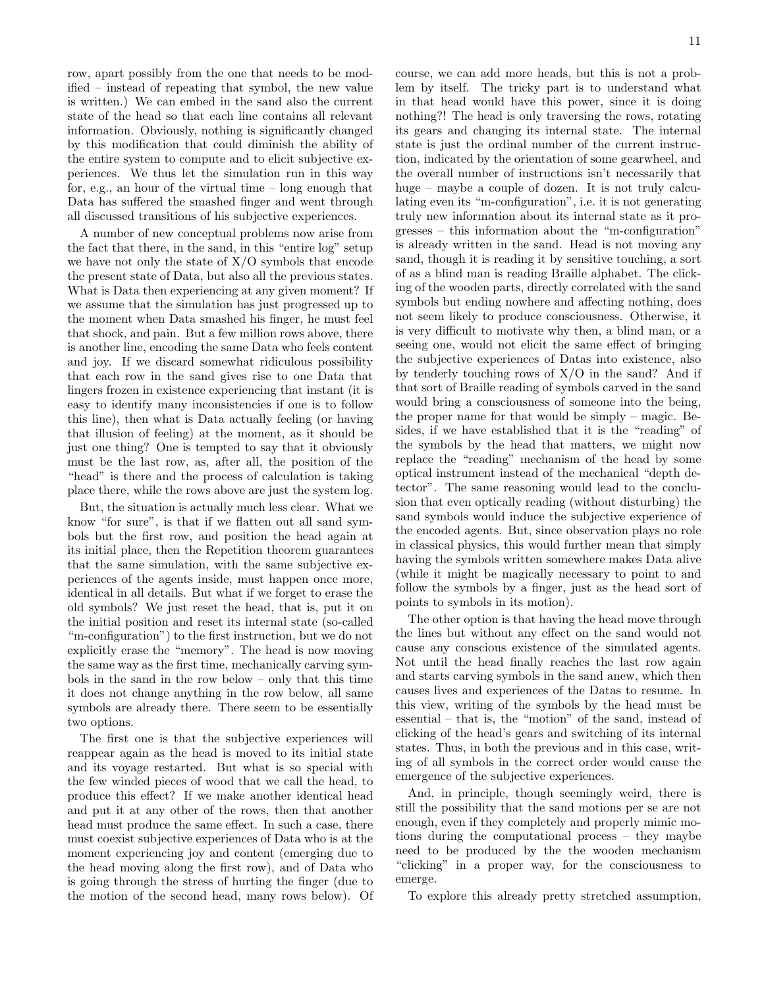row, apart possibly from the one that needs to be modified – instead of repeating that symbol, the new value is written.) We can embed in the sand also the current state of the head so that each line contains all relevant information. Obviously, nothing is significantly changed by this modification that could diminish the ability of the entire system to compute and to elicit subjective experiences. We thus let the simulation run in this way for, e.g., an hour of the virtual time – long enough that Data has suffered the smashed finger and went through all discussed transitions of his subjective experiences.

A number of new conceptual problems now arise from the fact that there, in the sand, in this "entire log" setup we have not only the state of  $X/O$  symbols that encode the present state of Data, but also all the previous states. What is Data then experiencing at any given moment? If we assume that the simulation has just progressed up to the moment when Data smashed his finger, he must feel that shock, and pain. But a few million rows above, there is another line, encoding the same Data who feels content and joy. If we discard somewhat ridiculous possibility that each row in the sand gives rise to one Data that lingers frozen in existence experiencing that instant (it is easy to identify many inconsistencies if one is to follow this line), then what is Data actually feeling (or having that illusion of feeling) at the moment, as it should be just one thing? One is tempted to say that it obviously must be the last row, as, after all, the position of the "head" is there and the process of calculation is taking place there, while the rows above are just the system log.

But, the situation is actually much less clear. What we know "for sure", is that if we flatten out all sand symbols but the first row, and position the head again at its initial place, then the Repetition theorem guarantees that the same simulation, with the same subjective experiences of the agents inside, must happen once more, identical in all details. But what if we forget to erase the old symbols? We just reset the head, that is, put it on the initial position and reset its internal state (so-called "m-configuration") to the first instruction, but we do not explicitly erase the "memory". The head is now moving the same way as the first time, mechanically carving symbols in the sand in the row below – only that this time it does not change anything in the row below, all same symbols are already there. There seem to be essentially two options.

The first one is that the subjective experiences will reappear again as the head is moved to its initial state and its voyage restarted. But what is so special with the few winded pieces of wood that we call the head, to produce this effect? If we make another identical head and put it at any other of the rows, then that another head must produce the same effect. In such a case, there must coexist subjective experiences of Data who is at the moment experiencing joy and content (emerging due to the head moving along the first row), and of Data who is going through the stress of hurting the finger (due to the motion of the second head, many rows below). Of course, we can add more heads, but this is not a problem by itself. The tricky part is to understand what in that head would have this power, since it is doing nothing?! The head is only traversing the rows, rotating its gears and changing its internal state. The internal state is just the ordinal number of the current instruction, indicated by the orientation of some gearwheel, and the overall number of instructions isn't necessarily that huge – maybe a couple of dozen. It is not truly calculating even its "m-configuration", i.e. it is not generating truly new information about its internal state as it progresses – this information about the "m-configuration" is already written in the sand. Head is not moving any sand, though it is reading it by sensitive touching, a sort of as a blind man is reading Braille alphabet. The clicking of the wooden parts, directly correlated with the sand symbols but ending nowhere and affecting nothing, does not seem likely to produce consciousness. Otherwise, it is very difficult to motivate why then, a blind man, or a seeing one, would not elicit the same effect of bringing the subjective experiences of Datas into existence, also by tenderly touching rows of  $X/O$  in the sand? And if that sort of Braille reading of symbols carved in the sand would bring a consciousness of someone into the being, the proper name for that would be simply – magic. Besides, if we have established that it is the "reading" of the symbols by the head that matters, we might now replace the "reading" mechanism of the head by some optical instrument instead of the mechanical "depth detector". The same reasoning would lead to the conclusion that even optically reading (without disturbing) the sand symbols would induce the subjective experience of the encoded agents. But, since observation plays no role in classical physics, this would further mean that simply having the symbols written somewhere makes Data alive (while it might be magically necessary to point to and follow the symbols by a finger, just as the head sort of points to symbols in its motion).

The other option is that having the head move through the lines but without any effect on the sand would not cause any conscious existence of the simulated agents. Not until the head finally reaches the last row again and starts carving symbols in the sand anew, which then causes lives and experiences of the Datas to resume. In this view, writing of the symbols by the head must be essential – that is, the "motion" of the sand, instead of clicking of the head's gears and switching of its internal states. Thus, in both the previous and in this case, writing of all symbols in the correct order would cause the emergence of the subjective experiences.

And, in principle, though seemingly weird, there is still the possibility that the sand motions per se are not enough, even if they completely and properly mimic motions during the computational process – they maybe need to be produced by the the wooden mechanism "clicking" in a proper way, for the consciousness to emerge.

To explore this already pretty stretched assumption,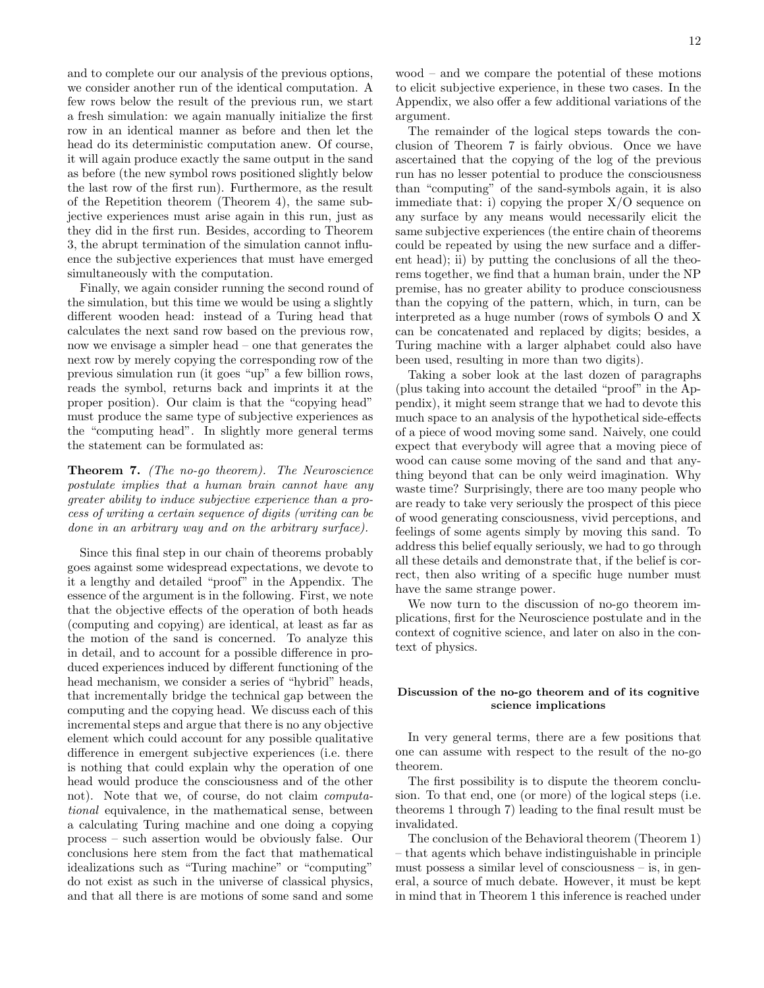and to complete our our analysis of the previous options, we consider another run of the identical computation. A few rows below the result of the previous run, we start a fresh simulation: we again manually initialize the first row in an identical manner as before and then let the head do its deterministic computation anew. Of course, it will again produce exactly the same output in the sand as before (the new symbol rows positioned slightly below the last row of the first run). Furthermore, as the result of the Repetition theorem (Theorem 4), the same subjective experiences must arise again in this run, just as they did in the first run. Besides, according to Theorem 3, the abrupt termination of the simulation cannot influence the subjective experiences that must have emerged simultaneously with the computation.

Finally, we again consider running the second round of the simulation, but this time we would be using a slightly different wooden head: instead of a Turing head that calculates the next sand row based on the previous row, now we envisage a simpler head – one that generates the next row by merely copying the corresponding row of the previous simulation run (it goes "up" a few billion rows, reads the symbol, returns back and imprints it at the proper position). Our claim is that the "copying head" must produce the same type of subjective experiences as the "computing head". In slightly more general terms the statement can be formulated as:

Theorem 7. (The no-go theorem). The Neuroscience postulate implies that a human brain cannot have any greater ability to induce subjective experience than a process of writing a certain sequence of digits (writing can be done in an arbitrary way and on the arbitrary surface).

Since this final step in our chain of theorems probably goes against some widespread expectations, we devote to it a lengthy and detailed "proof" in the Appendix. The essence of the argument is in the following. First, we note that the objective effects of the operation of both heads (computing and copying) are identical, at least as far as the motion of the sand is concerned. To analyze this in detail, and to account for a possible difference in produced experiences induced by different functioning of the head mechanism, we consider a series of "hybrid" heads, that incrementally bridge the technical gap between the computing and the copying head. We discuss each of this incremental steps and argue that there is no any objective element which could account for any possible qualitative difference in emergent subjective experiences (i.e. there is nothing that could explain why the operation of one head would produce the consciousness and of the other not). Note that we, of course, do not claim computational equivalence, in the mathematical sense, between a calculating Turing machine and one doing a copying process – such assertion would be obviously false. Our conclusions here stem from the fact that mathematical idealizations such as "Turing machine" or "computing" do not exist as such in the universe of classical physics, and that all there is are motions of some sand and some

wood – and we compare the potential of these motions to elicit subjective experience, in these two cases. In the Appendix, we also offer a few additional variations of the argument.

The remainder of the logical steps towards the conclusion of Theorem 7 is fairly obvious. Once we have ascertained that the copying of the log of the previous run has no lesser potential to produce the consciousness than "computing" of the sand-symbols again, it is also immediate that: i) copying the proper  $X/O$  sequence on any surface by any means would necessarily elicit the same subjective experiences (the entire chain of theorems could be repeated by using the new surface and a different head); ii) by putting the conclusions of all the theorems together, we find that a human brain, under the NP premise, has no greater ability to produce consciousness than the copying of the pattern, which, in turn, can be interpreted as a huge number (rows of symbols O and X can be concatenated and replaced by digits; besides, a Turing machine with a larger alphabet could also have been used, resulting in more than two digits).

Taking a sober look at the last dozen of paragraphs (plus taking into account the detailed "proof" in the Appendix), it might seem strange that we had to devote this much space to an analysis of the hypothetical side-effects of a piece of wood moving some sand. Naively, one could expect that everybody will agree that a moving piece of wood can cause some moving of the sand and that anything beyond that can be only weird imagination. Why waste time? Surprisingly, there are too many people who are ready to take very seriously the prospect of this piece of wood generating consciousness, vivid perceptions, and feelings of some agents simply by moving this sand. To address this belief equally seriously, we had to go through all these details and demonstrate that, if the belief is correct, then also writing of a specific huge number must have the same strange power.

We now turn to the discussion of no-go theorem implications, first for the Neuroscience postulate and in the context of cognitive science, and later on also in the context of physics.

# Discussion of the no-go theorem and of its cognitive science implications

In very general terms, there are a few positions that one can assume with respect to the result of the no-go theorem.

The first possibility is to dispute the theorem conclusion. To that end, one (or more) of the logical steps (i.e. theorems 1 through 7) leading to the final result must be invalidated.

The conclusion of the Behavioral theorem (Theorem 1) – that agents which behave indistinguishable in principle must possess a similar level of consciousness – is, in general, a source of much debate. However, it must be kept in mind that in Theorem 1 this inference is reached under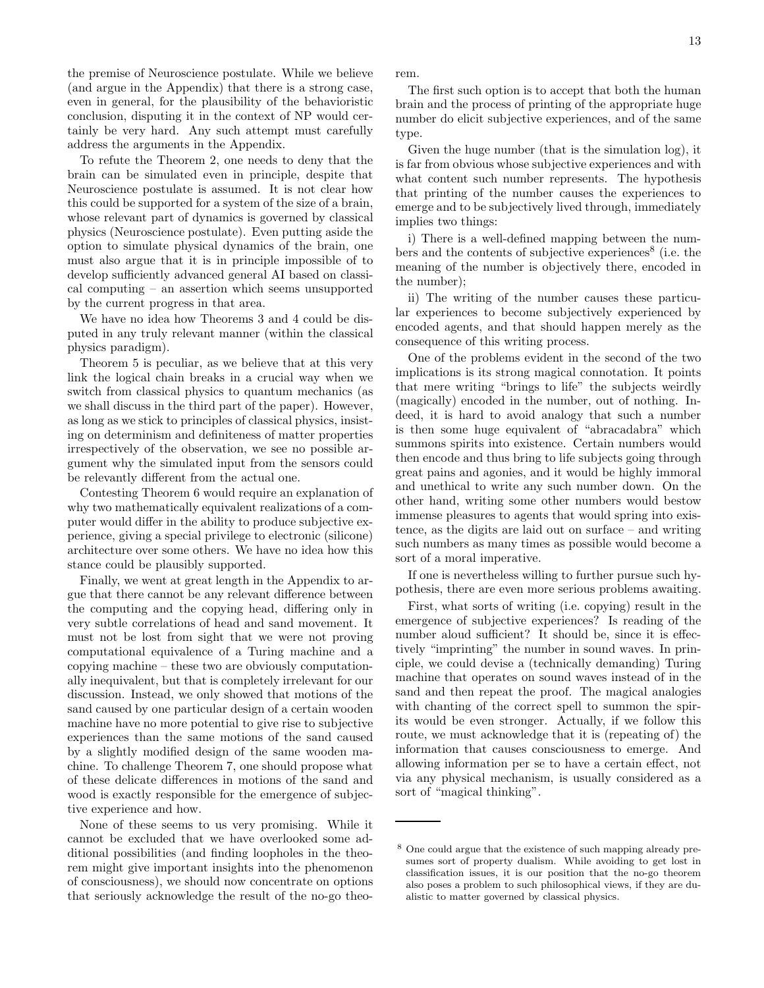the premise of Neuroscience postulate. While we believe (and argue in the Appendix) that there is a strong case, even in general, for the plausibility of the behavioristic conclusion, disputing it in the context of NP would certainly be very hard. Any such attempt must carefully address the arguments in the Appendix.

To refute the Theorem 2, one needs to deny that the brain can be simulated even in principle, despite that Neuroscience postulate is assumed. It is not clear how this could be supported for a system of the size of a brain, whose relevant part of dynamics is governed by classical physics (Neuroscience postulate). Even putting aside the option to simulate physical dynamics of the brain, one must also argue that it is in principle impossible of to develop sufficiently advanced general AI based on classical computing – an assertion which seems unsupported by the current progress in that area.

We have no idea how Theorems 3 and 4 could be disputed in any truly relevant manner (within the classical physics paradigm).

Theorem 5 is peculiar, as we believe that at this very link the logical chain breaks in a crucial way when we switch from classical physics to quantum mechanics (as we shall discuss in the third part of the paper). However, as long as we stick to principles of classical physics, insisting on determinism and definiteness of matter properties irrespectively of the observation, we see no possible argument why the simulated input from the sensors could be relevantly different from the actual one.

Contesting Theorem 6 would require an explanation of why two mathematically equivalent realizations of a computer would differ in the ability to produce subjective experience, giving a special privilege to electronic (silicone) architecture over some others. We have no idea how this stance could be plausibly supported.

Finally, we went at great length in the Appendix to argue that there cannot be any relevant difference between the computing and the copying head, differing only in very subtle correlations of head and sand movement. It must not be lost from sight that we were not proving computational equivalence of a Turing machine and a copying machine – these two are obviously computationally inequivalent, but that is completely irrelevant for our discussion. Instead, we only showed that motions of the sand caused by one particular design of a certain wooden machine have no more potential to give rise to subjective experiences than the same motions of the sand caused by a slightly modified design of the same wooden machine. To challenge Theorem 7, one should propose what of these delicate differences in motions of the sand and wood is exactly responsible for the emergence of subjective experience and how.

None of these seems to us very promising. While it cannot be excluded that we have overlooked some additional possibilities (and finding loopholes in the theorem might give important insights into the phenomenon of consciousness), we should now concentrate on options that seriously acknowledge the result of the no-go theorem.

The first such option is to accept that both the human brain and the process of printing of the appropriate huge number do elicit subjective experiences, and of the same type.

Given the huge number (that is the simulation log), it is far from obvious whose subjective experiences and with what content such number represents. The hypothesis that printing of the number causes the experiences to emerge and to be subjectively lived through, immediately implies two things:

i) There is a well-defined mapping between the numbers and the contents of subjective experiences<sup>8</sup> (i.e. the meaning of the number is objectively there, encoded in the number);

ii) The writing of the number causes these particular experiences to become subjectively experienced by encoded agents, and that should happen merely as the consequence of this writing process.

One of the problems evident in the second of the two implications is its strong magical connotation. It points that mere writing "brings to life" the subjects weirdly (magically) encoded in the number, out of nothing. Indeed, it is hard to avoid analogy that such a number is then some huge equivalent of "abracadabra" which summons spirits into existence. Certain numbers would then encode and thus bring to life subjects going through great pains and agonies, and it would be highly immoral and unethical to write any such number down. On the other hand, writing some other numbers would bestow immense pleasures to agents that would spring into existence, as the digits are laid out on surface – and writing such numbers as many times as possible would become a sort of a moral imperative.

If one is nevertheless willing to further pursue such hypothesis, there are even more serious problems awaiting.

First, what sorts of writing (i.e. copying) result in the emergence of subjective experiences? Is reading of the number aloud sufficient? It should be, since it is effectively "imprinting" the number in sound waves. In principle, we could devise a (technically demanding) Turing machine that operates on sound waves instead of in the sand and then repeat the proof. The magical analogies with chanting of the correct spell to summon the spirits would be even stronger. Actually, if we follow this route, we must acknowledge that it is (repeating of) the information that causes consciousness to emerge. And allowing information per se to have a certain effect, not via any physical mechanism, is usually considered as a sort of "magical thinking".

<sup>8</sup> One could argue that the existence of such mapping already presumes sort of property dualism. While avoiding to get lost in classification issues, it is our position that the no-go theorem also poses a problem to such philosophical views, if they are dualistic to matter governed by classical physics.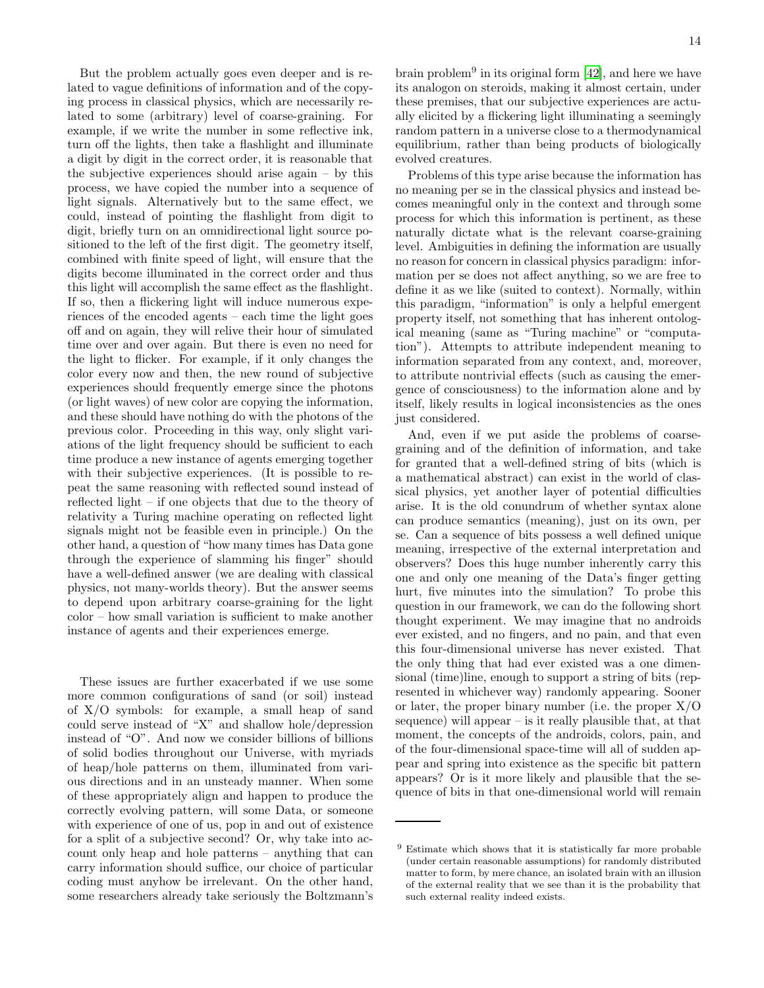But the problem actually goes even deeper and is related to vague definitions of information and of the copying process in classical physics, which are necessarily related to some (arbitrary) level of coarse-graining. For example, if we write the number in some reflective ink, turn off the lights, then take a flashlight and illuminate a digit by digit in the correct order, it is reasonable that the subjective experiences should arise again – by this process, we have copied the number into a sequence of light signals. Alternatively but to the same effect, we could, instead of pointing the flashlight from digit to digit, briefly turn on an omnidirectional light source positioned to the left of the first digit. The geometry itself, combined with finite speed of light, will ensure that the digits become illuminated in the correct order and thus this light will accomplish the same effect as the flashlight. If so, then a flickering light will induce numerous experiences of the encoded agents – each time the light goes off and on again, they will relive their hour of simulated time over and over again. But there is even no need for the light to flicker. For example, if it only changes the color every now and then, the new round of subjective experiences should frequently emerge since the photons (or light waves) of new color are copying the information, and these should have nothing do with the photons of the previous color. Proceeding in this way, only slight variations of the light frequency should be sufficient to each time produce a new instance of agents emerging together with their subjective experiences. (It is possible to repeat the same reasoning with reflected sound instead of reflected light – if one objects that due to the theory of relativity a Turing machine operating on reflected light signals might not be feasible even in principle.) On the other hand, a question of "how many times has Data gone through the experience of slamming his finger" should have a well-defined answer (we are dealing with classical physics, not many-worlds theory). But the answer seems to depend upon arbitrary coarse-graining for the light color – how small variation is sufficient to make another instance of agents and their experiences emerge.

These issues are further exacerbated if we use some more common configurations of sand (or soil) instead of X/O symbols: for example, a small heap of sand could serve instead of "X" and shallow hole/depression instead of "O". And now we consider billions of billions of solid bodies throughout our Universe, with myriads of heap/hole patterns on them, illuminated from various directions and in an unsteady manner. When some of these appropriately align and happen to produce the correctly evolving pattern, will some Data, or someone with experience of one of us, pop in and out of existence for a split of a subjective second? Or, why take into account only heap and hole patterns – anything that can carry information should suffice, our choice of particular coding must anyhow be irrelevant. On the other hand, some researchers already take seriously the Boltzmann's

brain problem<sup>9</sup> in its original form [\[42](#page-48-17)], and here we have its analogon on steroids, making it almost certain, under these premises, that our subjective experiences are actually elicited by a flickering light illuminating a seemingly random pattern in a universe close to a thermodynamical equilibrium, rather than being products of biologically evolved creatures.

Problems of this type arise because the information has no meaning per se in the classical physics and instead becomes meaningful only in the context and through some process for which this information is pertinent, as these naturally dictate what is the relevant coarse-graining level. Ambiguities in defining the information are usually no reason for concern in classical physics paradigm: information per se does not affect anything, so we are free to define it as we like (suited to context). Normally, within this paradigm, "information" is only a helpful emergent property itself, not something that has inherent ontological meaning (same as "Turing machine" or "computation"). Attempts to attribute independent meaning to information separated from any context, and, moreover, to attribute nontrivial effects (such as causing the emergence of consciousness) to the information alone and by itself, likely results in logical inconsistencies as the ones just considered.

And, even if we put aside the problems of coarsegraining and of the definition of information, and take for granted that a well-defined string of bits (which is a mathematical abstract) can exist in the world of classical physics, yet another layer of potential difficulties arise. It is the old conundrum of whether syntax alone can produce semantics (meaning), just on its own, per se. Can a sequence of bits possess a well defined unique meaning, irrespective of the external interpretation and observers? Does this huge number inherently carry this one and only one meaning of the Data's finger getting hurt, five minutes into the simulation? To probe this question in our framework, we can do the following short thought experiment. We may imagine that no androids ever existed, and no fingers, and no pain, and that even this four-dimensional universe has never existed. That the only thing that had ever existed was a one dimensional (time)line, enough to support a string of bits (represented in whichever way) randomly appearing. Sooner or later, the proper binary number (i.e. the proper  $X/O$ sequence) will appear  $-$  is it really plausible that, at that moment, the concepts of the androids, colors, pain, and of the four-dimensional space-time will all of sudden appear and spring into existence as the specific bit pattern appears? Or is it more likely and plausible that the sequence of bits in that one-dimensional world will remain

<sup>9</sup> Estimate which shows that it is statistically far more probable (under certain reasonable assumptions) for randomly distributed matter to form, by mere chance, an isolated brain with an illusion of the external reality that we see than it is the probability that such external reality indeed exists.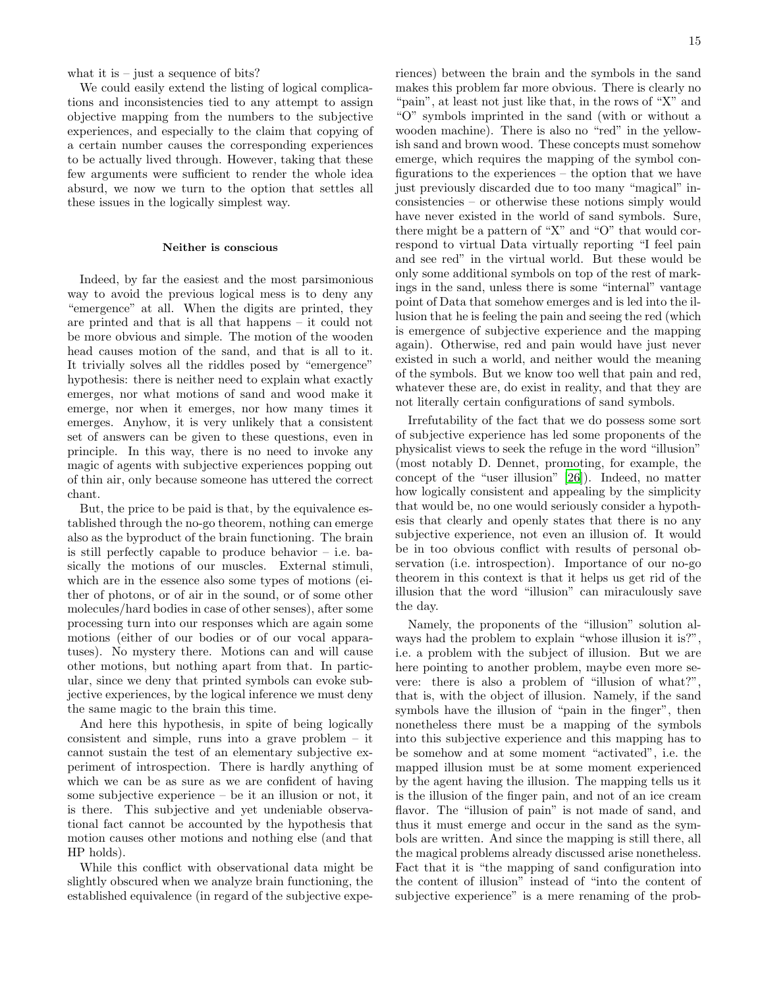what it is  $-$  just a sequence of bits?

We could easily extend the listing of logical complications and inconsistencies tied to any attempt to assign objective mapping from the numbers to the subjective experiences, and especially to the claim that copying of a certain number causes the corresponding experiences to be actually lived through. However, taking that these few arguments were sufficient to render the whole idea absurd, we now we turn to the option that settles all these issues in the logically simplest way.

## Neither is conscious

Indeed, by far the easiest and the most parsimonious way to avoid the previous logical mess is to deny any "emergence" at all. When the digits are printed, they are printed and that is all that happens – it could not be more obvious and simple. The motion of the wooden head causes motion of the sand, and that is all to it. It trivially solves all the riddles posed by "emergence" hypothesis: there is neither need to explain what exactly emerges, nor what motions of sand and wood make it emerge, nor when it emerges, nor how many times it emerges. Anyhow, it is very unlikely that a consistent set of answers can be given to these questions, even in principle. In this way, there is no need to invoke any magic of agents with subjective experiences popping out of thin air, only because someone has uttered the correct chant.

But, the price to be paid is that, by the equivalence established through the no-go theorem, nothing can emerge also as the byproduct of the brain functioning. The brain is still perfectly capable to produce behavior – i.e. basically the motions of our muscles. External stimuli, which are in the essence also some types of motions (either of photons, or of air in the sound, or of some other molecules/hard bodies in case of other senses), after some processing turn into our responses which are again some motions (either of our bodies or of our vocal apparatuses). No mystery there. Motions can and will cause other motions, but nothing apart from that. In particular, since we deny that printed symbols can evoke subjective experiences, by the logical inference we must deny the same magic to the brain this time.

And here this hypothesis, in spite of being logically consistent and simple, runs into a grave problem – it cannot sustain the test of an elementary subjective experiment of introspection. There is hardly anything of which we can be as sure as we are confident of having some subjective experience – be it an illusion or not, it is there. This subjective and yet undeniable observational fact cannot be accounted by the hypothesis that motion causes other motions and nothing else (and that HP holds).

While this conflict with observational data might be slightly obscured when we analyze brain functioning, the established equivalence (in regard of the subjective experiences) between the brain and the symbols in the sand makes this problem far more obvious. There is clearly no "pain", at least not just like that, in the rows of "X" and "O" symbols imprinted in the sand (with or without a wooden machine). There is also no "red" in the yellowish sand and brown wood. These concepts must somehow emerge, which requires the mapping of the symbol configurations to the experiences – the option that we have just previously discarded due to too many "magical" inconsistencies – or otherwise these notions simply would have never existed in the world of sand symbols. Sure, there might be a pattern of "X" and "O" that would correspond to virtual Data virtually reporting "I feel pain and see red" in the virtual world. But these would be only some additional symbols on top of the rest of markings in the sand, unless there is some "internal" vantage point of Data that somehow emerges and is led into the illusion that he is feeling the pain and seeing the red (which is emergence of subjective experience and the mapping again). Otherwise, red and pain would have just never existed in such a world, and neither would the meaning of the symbols. But we know too well that pain and red, whatever these are, do exist in reality, and that they are not literally certain configurations of sand symbols.

Irrefutability of the fact that we do possess some sort of subjective experience has led some proponents of the physicalist views to seek the refuge in the word "illusion" (most notably D. Dennet, promoting, for example, the concept of the "user illusion" [\[26\]](#page-48-4)). Indeed, no matter how logically consistent and appealing by the simplicity that would be, no one would seriously consider a hypothesis that clearly and openly states that there is no any subjective experience, not even an illusion of. It would be in too obvious conflict with results of personal observation (i.e. introspection). Importance of our no-go theorem in this context is that it helps us get rid of the illusion that the word "illusion" can miraculously save the day.

Namely, the proponents of the "illusion" solution always had the problem to explain "whose illusion it is?", i.e. a problem with the subject of illusion. But we are here pointing to another problem, maybe even more severe: there is also a problem of "illusion of what?", that is, with the object of illusion. Namely, if the sand symbols have the illusion of "pain in the finger", then nonetheless there must be a mapping of the symbols into this subjective experience and this mapping has to be somehow and at some moment "activated", i.e. the mapped illusion must be at some moment experienced by the agent having the illusion. The mapping tells us it is the illusion of the finger pain, and not of an ice cream flavor. The "illusion of pain" is not made of sand, and thus it must emerge and occur in the sand as the symbols are written. And since the mapping is still there, all the magical problems already discussed arise nonetheless. Fact that it is "the mapping of sand configuration into the content of illusion" instead of "into the content of subjective experience" is a mere renaming of the prob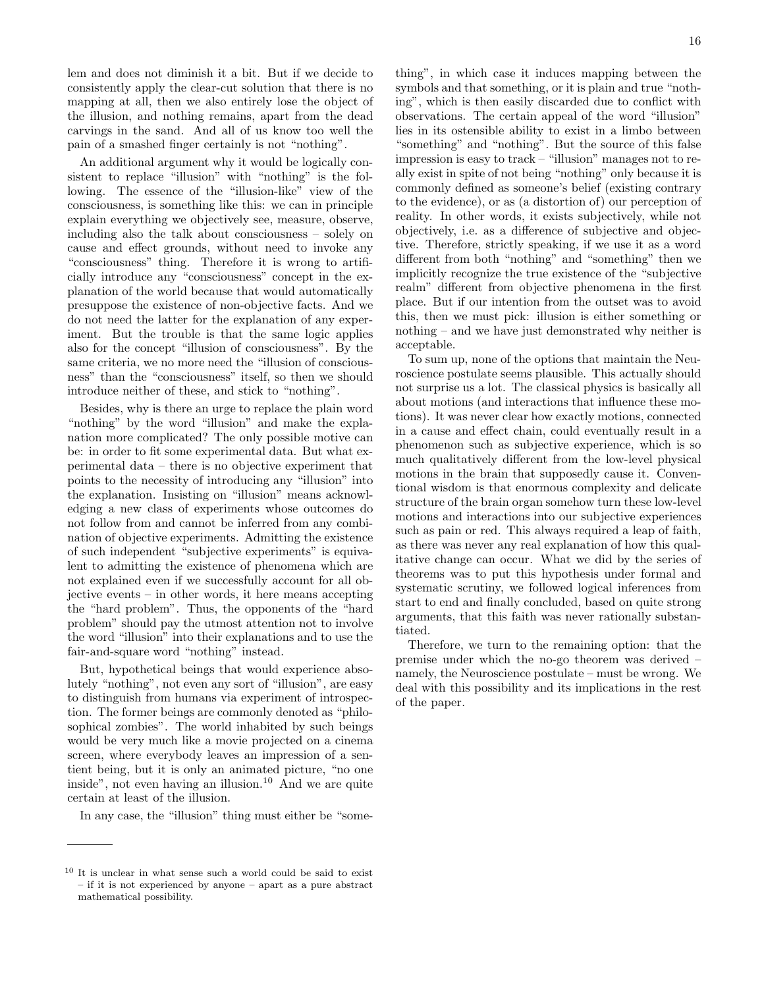lem and does not diminish it a bit. But if we decide to consistently apply the clear-cut solution that there is no mapping at all, then we also entirely lose the object of the illusion, and nothing remains, apart from the dead carvings in the sand. And all of us know too well the pain of a smashed finger certainly is not "nothing".

An additional argument why it would be logically consistent to replace "illusion" with "nothing" is the following. The essence of the "illusion-like" view of the consciousness, is something like this: we can in principle explain everything we objectively see, measure, observe, including also the talk about consciousness – solely on cause and effect grounds, without need to invoke any "consciousness" thing. Therefore it is wrong to artificially introduce any "consciousness" concept in the explanation of the world because that would automatically presuppose the existence of non-objective facts. And we do not need the latter for the explanation of any experiment. But the trouble is that the same logic applies also for the concept "illusion of consciousness". By the same criteria, we no more need the "illusion of consciousness" than the "consciousness" itself, so then we should introduce neither of these, and stick to "nothing".

Besides, why is there an urge to replace the plain word "nothing" by the word "illusion" and make the explanation more complicated? The only possible motive can be: in order to fit some experimental data. But what experimental data – there is no objective experiment that points to the necessity of introducing any "illusion" into the explanation. Insisting on "illusion" means acknowledging a new class of experiments whose outcomes do not follow from and cannot be inferred from any combination of objective experiments. Admitting the existence of such independent "subjective experiments" is equivalent to admitting the existence of phenomena which are not explained even if we successfully account for all objective events – in other words, it here means accepting the "hard problem". Thus, the opponents of the "hard problem" should pay the utmost attention not to involve the word "illusion" into their explanations and to use the fair-and-square word "nothing" instead.

But, hypothetical beings that would experience absolutely "nothing", not even any sort of "illusion", are easy to distinguish from humans via experiment of introspection. The former beings are commonly denoted as "philosophical zombies". The world inhabited by such beings would be very much like a movie projected on a cinema screen, where everybody leaves an impression of a sentient being, but it is only an animated picture, "no one inside", not even having an illusion.<sup>10</sup> And we are quite certain at least of the illusion.

In any case, the "illusion" thing must either be "some-

thing", in which case it induces mapping between the symbols and that something, or it is plain and true "nothing", which is then easily discarded due to conflict with observations. The certain appeal of the word "illusion" lies in its ostensible ability to exist in a limbo between "something" and "nothing". But the source of this false impression is easy to track – "illusion" manages not to really exist in spite of not being "nothing" only because it is commonly defined as someone's belief (existing contrary to the evidence), or as (a distortion of) our perception of reality. In other words, it exists subjectively, while not objectively, i.e. as a difference of subjective and objective. Therefore, strictly speaking, if we use it as a word different from both "nothing" and "something" then we implicitly recognize the true existence of the "subjective realm" different from objective phenomena in the first place. But if our intention from the outset was to avoid this, then we must pick: illusion is either something or nothing – and we have just demonstrated why neither is acceptable.

To sum up, none of the options that maintain the Neuroscience postulate seems plausible. This actually should not surprise us a lot. The classical physics is basically all about motions (and interactions that influence these motions). It was never clear how exactly motions, connected in a cause and effect chain, could eventually result in a phenomenon such as subjective experience, which is so much qualitatively different from the low-level physical motions in the brain that supposedly cause it. Conventional wisdom is that enormous complexity and delicate structure of the brain organ somehow turn these low-level motions and interactions into our subjective experiences such as pain or red. This always required a leap of faith, as there was never any real explanation of how this qualitative change can occur. What we did by the series of theorems was to put this hypothesis under formal and systematic scrutiny, we followed logical inferences from start to end and finally concluded, based on quite strong arguments, that this faith was never rationally substantiated.

Therefore, we turn to the remaining option: that the premise under which the no-go theorem was derived – namely, the Neuroscience postulate – must be wrong. We deal with this possibility and its implications in the rest of the paper.

<sup>10</sup> It is unclear in what sense such a world could be said to exist – if it is not experienced by anyone – apart as a pure abstract mathematical possibility.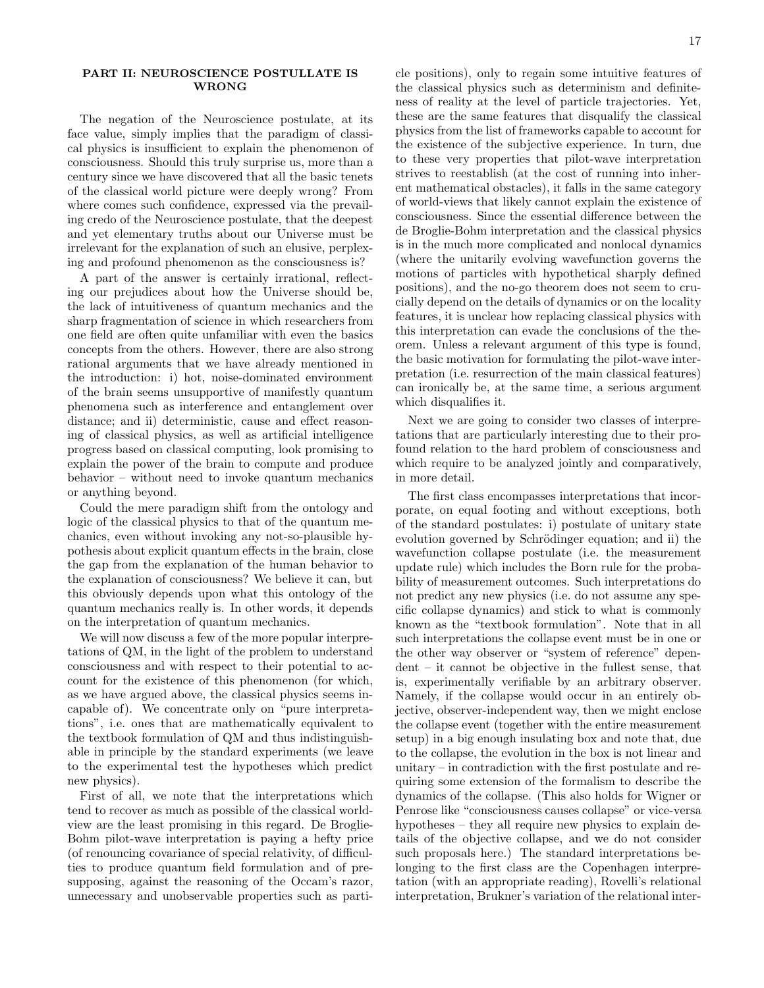## PART II: NEUROSCIENCE POSTULLATE IS WRONG

The negation of the Neuroscience postulate, at its face value, simply implies that the paradigm of classical physics is insufficient to explain the phenomenon of consciousness. Should this truly surprise us, more than a century since we have discovered that all the basic tenets of the classical world picture were deeply wrong? From where comes such confidence, expressed via the prevailing credo of the Neuroscience postulate, that the deepest and yet elementary truths about our Universe must be irrelevant for the explanation of such an elusive, perplexing and profound phenomenon as the consciousness is?

A part of the answer is certainly irrational, reflecting our prejudices about how the Universe should be, the lack of intuitiveness of quantum mechanics and the sharp fragmentation of science in which researchers from one field are often quite unfamiliar with even the basics concepts from the others. However, there are also strong rational arguments that we have already mentioned in the introduction: i) hot, noise-dominated environment of the brain seems unsupportive of manifestly quantum phenomena such as interference and entanglement over distance; and ii) deterministic, cause and effect reasoning of classical physics, as well as artificial intelligence progress based on classical computing, look promising to explain the power of the brain to compute and produce behavior – without need to invoke quantum mechanics or anything beyond.

Could the mere paradigm shift from the ontology and logic of the classical physics to that of the quantum mechanics, even without invoking any not-so-plausible hypothesis about explicit quantum effects in the brain, close the gap from the explanation of the human behavior to the explanation of consciousness? We believe it can, but this obviously depends upon what this ontology of the quantum mechanics really is. In other words, it depends on the interpretation of quantum mechanics.

We will now discuss a few of the more popular interpretations of QM, in the light of the problem to understand consciousness and with respect to their potential to account for the existence of this phenomenon (for which, as we have argued above, the classical physics seems incapable of). We concentrate only on "pure interpretations", i.e. ones that are mathematically equivalent to the textbook formulation of QM and thus indistinguishable in principle by the standard experiments (we leave to the experimental test the hypotheses which predict new physics).

First of all, we note that the interpretations which tend to recover as much as possible of the classical worldview are the least promising in this regard. De Broglie-Bohm pilot-wave interpretation is paying a hefty price (of renouncing covariance of special relativity, of difficulties to produce quantum field formulation and of presupposing, against the reasoning of the Occam's razor, unnecessary and unobservable properties such as particle positions), only to regain some intuitive features of the classical physics such as determinism and definiteness of reality at the level of particle trajectories. Yet, these are the same features that disqualify the classical physics from the list of frameworks capable to account for the existence of the subjective experience. In turn, due to these very properties that pilot-wave interpretation strives to reestablish (at the cost of running into inherent mathematical obstacles), it falls in the same category of world-views that likely cannot explain the existence of consciousness. Since the essential difference between the de Broglie-Bohm interpretation and the classical physics is in the much more complicated and nonlocal dynamics (where the unitarily evolving wavefunction governs the motions of particles with hypothetical sharply defined positions), and the no-go theorem does not seem to crucially depend on the details of dynamics or on the locality features, it is unclear how replacing classical physics with this interpretation can evade the conclusions of the theorem. Unless a relevant argument of this type is found, the basic motivation for formulating the pilot-wave interpretation (i.e. resurrection of the main classical features) can ironically be, at the same time, a serious argument which disqualifies it.

Next we are going to consider two classes of interpretations that are particularly interesting due to their profound relation to the hard problem of consciousness and which require to be analyzed jointly and comparatively, in more detail.

The first class encompasses interpretations that incorporate, on equal footing and without exceptions, both of the standard postulates: i) postulate of unitary state evolution governed by Schrödinger equation; and ii) the wavefunction collapse postulate (i.e. the measurement update rule) which includes the Born rule for the probability of measurement outcomes. Such interpretations do not predict any new physics (i.e. do not assume any specific collapse dynamics) and stick to what is commonly known as the "textbook formulation". Note that in all such interpretations the collapse event must be in one or the other way observer or "system of reference" dependent – it cannot be objective in the fullest sense, that is, experimentally verifiable by an arbitrary observer. Namely, if the collapse would occur in an entirely objective, observer-independent way, then we might enclose the collapse event (together with the entire measurement setup) in a big enough insulating box and note that, due to the collapse, the evolution in the box is not linear and unitary – in contradiction with the first postulate and requiring some extension of the formalism to describe the dynamics of the collapse. (This also holds for Wigner or Penrose like "consciousness causes collapse" or vice-versa hypotheses – they all require new physics to explain details of the objective collapse, and we do not consider such proposals here.) The standard interpretations belonging to the first class are the Copenhagen interpretation (with an appropriate reading), Rovelli's relational interpretation, Brukner's variation of the relational inter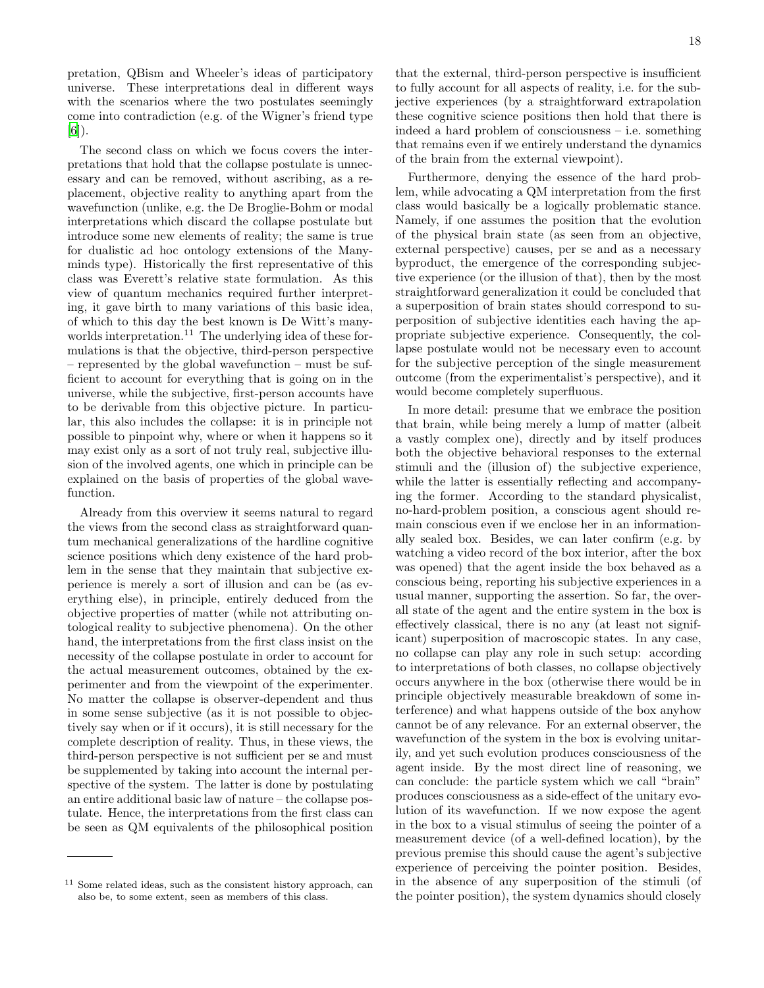pretation, QBism and Wheeler's ideas of participatory universe. These interpretations deal in different ways with the scenarios where the two postulates seemingly come into contradiction (e.g. of the Wigner's friend type [\[6\]](#page-47-5)).

The second class on which we focus covers the interpretations that hold that the collapse postulate is unnecessary and can be removed, without ascribing, as a replacement, objective reality to anything apart from the wavefunction (unlike, e.g. the De Broglie-Bohm or modal interpretations which discard the collapse postulate but introduce some new elements of reality; the same is true for dualistic ad hoc ontology extensions of the Manyminds type). Historically the first representative of this class was Everett's relative state formulation. As this view of quantum mechanics required further interpreting, it gave birth to many variations of this basic idea, of which to this day the best known is De Witt's manyworlds interpretation.<sup>11</sup> The underlying idea of these formulations is that the objective, third-person perspective – represented by the global wavefunction – must be sufficient to account for everything that is going on in the universe, while the subjective, first-person accounts have to be derivable from this objective picture. In particular, this also includes the collapse: it is in principle not possible to pinpoint why, where or when it happens so it may exist only as a sort of not truly real, subjective illusion of the involved agents, one which in principle can be explained on the basis of properties of the global wavefunction.

Already from this overview it seems natural to regard the views from the second class as straightforward quantum mechanical generalizations of the hardline cognitive science positions which deny existence of the hard problem in the sense that they maintain that subjective experience is merely a sort of illusion and can be (as everything else), in principle, entirely deduced from the objective properties of matter (while not attributing ontological reality to subjective phenomena). On the other hand, the interpretations from the first class insist on the necessity of the collapse postulate in order to account for the actual measurement outcomes, obtained by the experimenter and from the viewpoint of the experimenter. No matter the collapse is observer-dependent and thus in some sense subjective (as it is not possible to objectively say when or if it occurs), it is still necessary for the complete description of reality. Thus, in these views, the third-person perspective is not sufficient per se and must be supplemented by taking into account the internal perspective of the system. The latter is done by postulating an entire additional basic law of nature – the collapse postulate. Hence, the interpretations from the first class can be seen as QM equivalents of the philosophical position 18

that the external, third-person perspective is insufficient to fully account for all aspects of reality, i.e. for the subjective experiences (by a straightforward extrapolation these cognitive science positions then hold that there is indeed a hard problem of consciousness – i.e. something that remains even if we entirely understand the dynamics of the brain from the external viewpoint).

Furthermore, denying the essence of the hard problem, while advocating a QM interpretation from the first class would basically be a logically problematic stance. Namely, if one assumes the position that the evolution of the physical brain state (as seen from an objective, external perspective) causes, per se and as a necessary byproduct, the emergence of the corresponding subjective experience (or the illusion of that), then by the most straightforward generalization it could be concluded that a superposition of brain states should correspond to superposition of subjective identities each having the appropriate subjective experience. Consequently, the collapse postulate would not be necessary even to account for the subjective perception of the single measurement outcome (from the experimentalist's perspective), and it would become completely superfluous.

In more detail: presume that we embrace the position that brain, while being merely a lump of matter (albeit a vastly complex one), directly and by itself produces both the objective behavioral responses to the external stimuli and the (illusion of) the subjective experience, while the latter is essentially reflecting and accompanying the former. According to the standard physicalist, no-hard-problem position, a conscious agent should remain conscious even if we enclose her in an informationally sealed box. Besides, we can later confirm (e.g. by watching a video record of the box interior, after the box was opened) that the agent inside the box behaved as a conscious being, reporting his subjective experiences in a usual manner, supporting the assertion. So far, the overall state of the agent and the entire system in the box is effectively classical, there is no any (at least not significant) superposition of macroscopic states. In any case, no collapse can play any role in such setup: according to interpretations of both classes, no collapse objectively occurs anywhere in the box (otherwise there would be in principle objectively measurable breakdown of some interference) and what happens outside of the box anyhow cannot be of any relevance. For an external observer, the wavefunction of the system in the box is evolving unitarily, and yet such evolution produces consciousness of the agent inside. By the most direct line of reasoning, we can conclude: the particle system which we call "brain" produces consciousness as a side-effect of the unitary evolution of its wavefunction. If we now expose the agent in the box to a visual stimulus of seeing the pointer of a measurement device (of a well-defined location), by the previous premise this should cause the agent's subjective experience of perceiving the pointer position. Besides, in the absence of any superposition of the stimuli (of the pointer position), the system dynamics should closely

<sup>11</sup> Some related ideas, such as the consistent history approach, can also be, to some extent, seen as members of this class.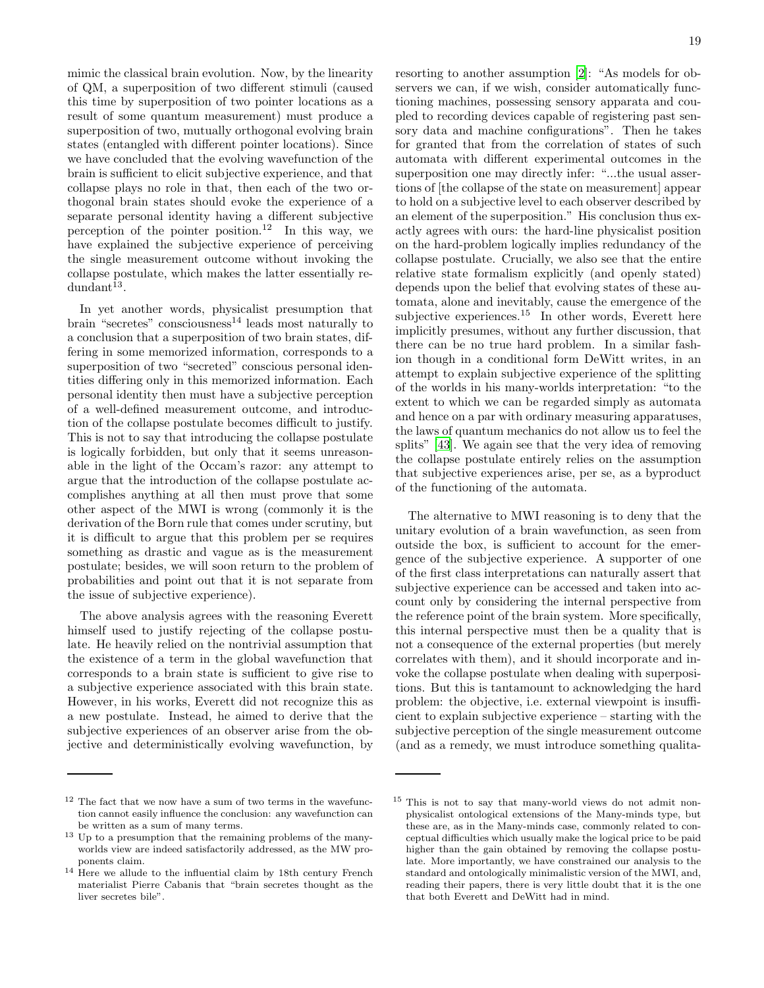mimic the classical brain evolution. Now, by the linearity of QM, a superposition of two different stimuli (caused this time by superposition of two pointer locations as a result of some quantum measurement) must produce a superposition of two, mutually orthogonal evolving brain states (entangled with different pointer locations). Since we have concluded that the evolving wavefunction of the brain is sufficient to elicit subjective experience, and that collapse plays no role in that, then each of the two orthogonal brain states should evoke the experience of a separate personal identity having a different subjective perception of the pointer position.<sup>12</sup> In this way, we have explained the subjective experience of perceiving the single measurement outcome without invoking the collapse postulate, which makes the latter essentially re $d$ undant $^{13}$ .

In yet another words, physicalist presumption that brain "secretes" consciousness $^{14}$  leads most naturally to a conclusion that a superposition of two brain states, differing in some memorized information, corresponds to a superposition of two "secreted" conscious personal identities differing only in this memorized information. Each personal identity then must have a subjective perception of a well-defined measurement outcome, and introduction of the collapse postulate becomes difficult to justify. This is not to say that introducing the collapse postulate is logically forbidden, but only that it seems unreasonable in the light of the Occam's razor: any attempt to argue that the introduction of the collapse postulate accomplishes anything at all then must prove that some other aspect of the MWI is wrong (commonly it is the derivation of the Born rule that comes under scrutiny, but it is difficult to argue that this problem per se requires something as drastic and vague as is the measurement postulate; besides, we will soon return to the problem of probabilities and point out that it is not separate from the issue of subjective experience).

The above analysis agrees with the reasoning Everett himself used to justify rejecting of the collapse postulate. He heavily relied on the nontrivial assumption that the existence of a term in the global wavefunction that corresponds to a brain state is sufficient to give rise to a subjective experience associated with this brain state. However, in his works, Everett did not recognize this as a new postulate. Instead, he aimed to derive that the subjective experiences of an observer arise from the objective and deterministically evolving wavefunction, by

resorting to another assumption [\[2\]](#page-47-1): "As models for observers we can, if we wish, consider automatically functioning machines, possessing sensory apparata and coupled to recording devices capable of registering past sensory data and machine configurations". Then he takes for granted that from the correlation of states of such automata with different experimental outcomes in the superposition one may directly infer: "...the usual assertions of [the collapse of the state on measurement] appear to hold on a subjective level to each observer described by an element of the superposition." His conclusion thus exactly agrees with ours: the hard-line physicalist position on the hard-problem logically implies redundancy of the collapse postulate. Crucially, we also see that the entire relative state formalism explicitly (and openly stated) depends upon the belief that evolving states of these automata, alone and inevitably, cause the emergence of the subjective experiences.<sup>15</sup> In other words, Everett here implicitly presumes, without any further discussion, that there can be no true hard problem. In a similar fashion though in a conditional form DeWitt writes, in an attempt to explain subjective experience of the splitting of the worlds in his many-worlds interpretation: "to the extent to which we can be regarded simply as automata and hence on a par with ordinary measuring apparatuses, the laws of quantum mechanics do not allow us to feel the splits" [\[43\]](#page-48-18). We again see that the very idea of removing the collapse postulate entirely relies on the assumption that subjective experiences arise, per se, as a byproduct of the functioning of the automata.

The alternative to MWI reasoning is to deny that the unitary evolution of a brain wavefunction, as seen from outside the box, is sufficient to account for the emergence of the subjective experience. A supporter of one of the first class interpretations can naturally assert that subjective experience can be accessed and taken into account only by considering the internal perspective from the reference point of the brain system. More specifically, this internal perspective must then be a quality that is not a consequence of the external properties (but merely correlates with them), and it should incorporate and invoke the collapse postulate when dealing with superpositions. But this is tantamount to acknowledging the hard problem: the objective, i.e. external viewpoint is insufficient to explain subjective experience – starting with the subjective perception of the single measurement outcome (and as a remedy, we must introduce something qualita-

 $^{12}$  The fact that we now have a sum of two terms in the wavefunction cannot easily influence the conclusion: any wavefunction can be written as a sum of many terms.

<sup>13</sup> Up to a presumption that the remaining problems of the manyworlds view are indeed satisfactorily addressed, as the MW proponents claim.

<sup>&</sup>lt;sup>14</sup> Here we allude to the influential claim by 18th century French materialist Pierre Cabanis that "brain secretes thought as the liver secretes bile".

<sup>15</sup> This is not to say that many-world views do not admit nonphysicalist ontological extensions of the Many-minds type, but these are, as in the Many-minds case, commonly related to conceptual difficulties which usually make the logical price to be paid higher than the gain obtained by removing the collapse postulate. More importantly, we have constrained our analysis to the standard and ontologically minimalistic version of the MWI, and, reading their papers, there is very little doubt that it is the one that both Everett and DeWitt had in mind.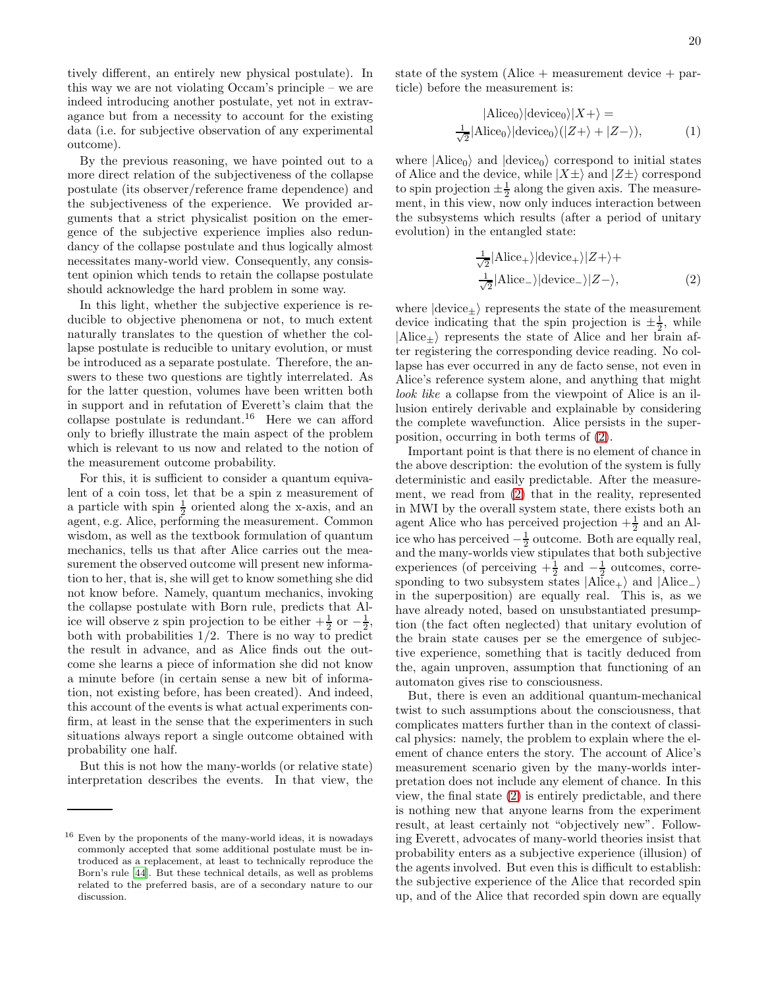tively different, an entirely new physical postulate). In this way we are not violating Occam's principle – we are indeed introducing another postulate, yet not in extravagance but from a necessity to account for the existing data (i.e. for subjective observation of any experimental outcome).

By the previous reasoning, we have pointed out to a more direct relation of the subjectiveness of the collapse postulate (its observer/reference frame dependence) and the subjectiveness of the experience. We provided arguments that a strict physicalist position on the emergence of the subjective experience implies also redundancy of the collapse postulate and thus logically almost necessitates many-world view. Consequently, any consistent opinion which tends to retain the collapse postulate should acknowledge the hard problem in some way.

In this light, whether the subjective experience is reducible to objective phenomena or not, to much extent naturally translates to the question of whether the collapse postulate is reducible to unitary evolution, or must be introduced as a separate postulate. Therefore, the answers to these two questions are tightly interrelated. As for the latter question, volumes have been written both in support and in refutation of Everett's claim that the collapse postulate is redundant.<sup>16</sup> Here we can afford only to briefly illustrate the main aspect of the problem which is relevant to us now and related to the notion of the measurement outcome probability.

For this, it is sufficient to consider a quantum equivalent of a coin toss, let that be a spin z measurement of a particle with spin  $\frac{1}{2}$  oriented along the x-axis, and an agent, e.g. Alice, performing the measurement. Common wisdom, as well as the textbook formulation of quantum mechanics, tells us that after Alice carries out the measurement the observed outcome will present new information to her, that is, she will get to know something she did not know before. Namely, quantum mechanics, invoking the collapse postulate with Born rule, predicts that Alice will observe z spin projection to be either  $+\frac{1}{2}$  or  $-\frac{1}{2}$ , both with probabilities  $1/2$ . There is no way to predict the result in advance, and as Alice finds out the outcome she learns a piece of information she did not know a minute before (in certain sense a new bit of information, not existing before, has been created). And indeed, this account of the events is what actual experiments confirm, at least in the sense that the experimenters in such situations always report a single outcome obtained with probability one half.

But this is not how the many-worlds (or relative state) interpretation describes the events. In that view, the state of the system (Alice  $+$  measurement device  $+$  particle) before the measurement is:

<span id="page-19-1"></span>
$$
|\text{Alice}_0\rangle|\text{device}_0\rangle|X+\rangle =
$$
  

$$
\frac{1}{\sqrt{2}}|\text{Alice}_0\rangle|\text{device}_0\rangle(|Z+\rangle+|Z-\rangle),
$$
 (1)

where  $|Alice_0\rangle$  and  $|device_0\rangle$  correspond to initial states of Alice and the device, while  $|X\pm\rangle$  and  $|Z\pm\rangle$  correspond to spin projection  $\pm \frac{1}{2}$  along the given axis. The measurement, in this view, now only induces interaction between the subsystems which results (after a period of unitary evolution) in the entangled state:

<span id="page-19-0"></span>
$$
\frac{1}{\sqrt{2}}|Alice_{+}\rangle | device_{+}\rangle |Z+\rangle +
$$
  

$$
\frac{1}{\sqrt{2}}|Alice_{-}\rangle | device_{-}\rangle |Z-\rangle,
$$
 (2)

where  $|\text{device}_{\pm}\rangle$  represents the state of the measurement device indicating that the spin projection is  $\pm \frac{1}{2}$ , while  $|\text{Alice}_{+}\rangle$  represents the state of Alice and her brain after registering the corresponding device reading. No collapse has ever occurred in any de facto sense, not even in Alice's reference system alone, and anything that might look like a collapse from the viewpoint of Alice is an illusion entirely derivable and explainable by considering the complete wavefunction. Alice persists in the superposition, occurring in both terms of [\(2\)](#page-19-0).

Important point is that there is no element of chance in the above description: the evolution of the system is fully deterministic and easily predictable. After the measurement, we read from [\(2\)](#page-19-0) that in the reality, represented in MWI by the overall system state, there exists both an agent Alice who has perceived projection  $+\frac{1}{2}$  and an Alice who has perceived  $-\frac{1}{2}$  outcome. Both are equally real, and the many-worlds view stipulates that both subjective experiences (of perceiving  $+\frac{1}{2}$  and  $-\frac{1}{2}$  outcomes, corresponding to two subsystem states  $|A|ice_{+}\rangle$  and  $|A|ice_{-}\rangle$ in the superposition) are equally real. This is, as we have already noted, based on unsubstantiated presumption (the fact often neglected) that unitary evolution of the brain state causes per se the emergence of subjective experience, something that is tacitly deduced from the, again unproven, assumption that functioning of an automaton gives rise to consciousness.

But, there is even an additional quantum-mechanical twist to such assumptions about the consciousness, that complicates matters further than in the context of classical physics: namely, the problem to explain where the element of chance enters the story. The account of Alice's measurement scenario given by the many-worlds interpretation does not include any element of chance. In this view, the final state [\(2\)](#page-19-0) is entirely predictable, and there is nothing new that anyone learns from the experiment result, at least certainly not "objectively new". Following Everett, advocates of many-world theories insist that probability enters as a subjective experience (illusion) of the agents involved. But even this is difficult to establish: the subjective experience of the Alice that recorded spin up, and of the Alice that recorded spin down are equally

<sup>16</sup> Even by the proponents of the many-world ideas, it is nowadays commonly accepted that some additional postulate must be introduced as a replacement, at least to technically reproduce the Born's rule [\[44\]](#page-48-19). But these technical details, as well as problems related to the preferred basis, are of a secondary nature to our discussion.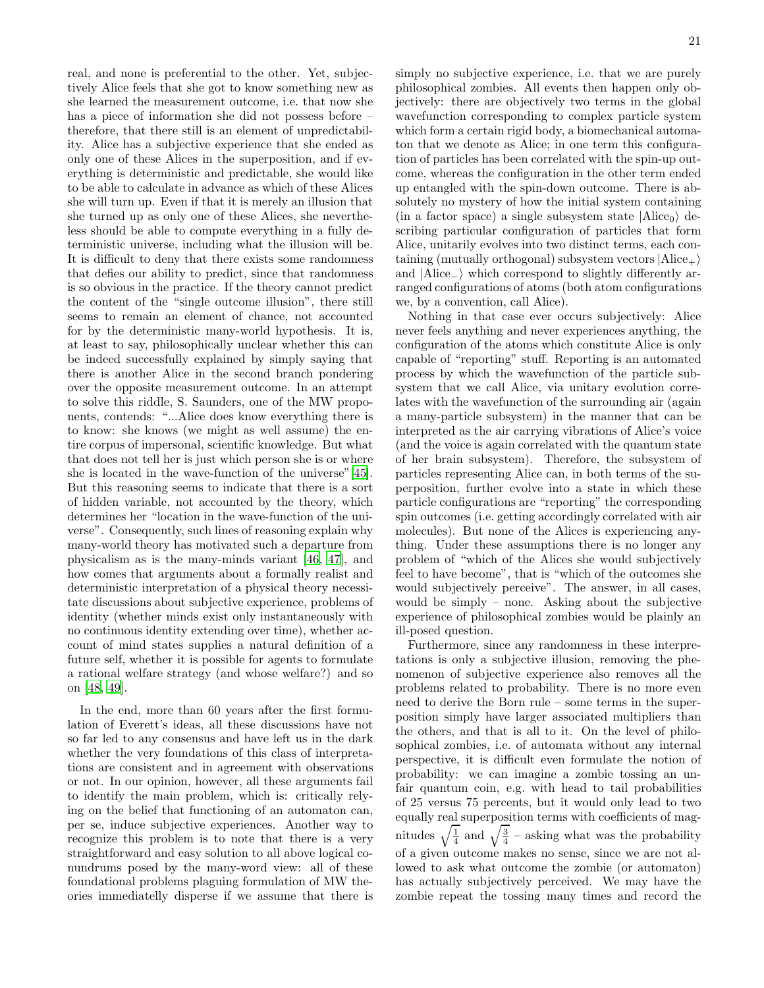real, and none is preferential to the other. Yet, subjectively Alice feels that she got to know something new as she learned the measurement outcome, i.e. that now she has a piece of information she did not possess before – therefore, that there still is an element of unpredictability. Alice has a subjective experience that she ended as only one of these Alices in the superposition, and if everything is deterministic and predictable, she would like to be able to calculate in advance as which of these Alices she will turn up. Even if that it is merely an illusion that she turned up as only one of these Alices, she nevertheless should be able to compute everything in a fully deterministic universe, including what the illusion will be. It is difficult to deny that there exists some randomness that defies our ability to predict, since that randomness is so obvious in the practice. If the theory cannot predict the content of the "single outcome illusion", there still seems to remain an element of chance, not accounted for by the deterministic many-world hypothesis. It is, at least to say, philosophically unclear whether this can be indeed successfully explained by simply saying that there is another Alice in the second branch pondering over the opposite measurement outcome. In an attempt to solve this riddle, S. Saunders, one of the MW proponents, contends: "...Alice does know everything there is to know: she knows (we might as well assume) the entire corpus of impersonal, scientific knowledge. But what that does not tell her is just which person she is or where she is located in the wave-function of the universe"[\[45\]](#page-48-20). But this reasoning seems to indicate that there is a sort of hidden variable, not accounted by the theory, which determines her "location in the wave-function of the universe". Consequently, such lines of reasoning explain why many-world theory has motivated such a departure from physicalism as is the many-minds variant [\[46,](#page-48-21) [47\]](#page-48-22), and how comes that arguments about a formally realist and deterministic interpretation of a physical theory necessitate discussions about subjective experience, problems of identity (whether minds exist only instantaneously with no continuous identity extending over time), whether account of mind states supplies a natural definition of a future self, whether it is possible for agents to formulate a rational welfare strategy (and whose welfare?) and so on [\[48,](#page-48-23) [49\]](#page-48-24).

In the end, more than 60 years after the first formulation of Everett's ideas, all these discussions have not so far led to any consensus and have left us in the dark whether the very foundations of this class of interpretations are consistent and in agreement with observations or not. In our opinion, however, all these arguments fail to identify the main problem, which is: critically relying on the belief that functioning of an automaton can, per se, induce subjective experiences. Another way to recognize this problem is to note that there is a very straightforward and easy solution to all above logical conundrums posed by the many-word view: all of these foundational problems plaguing formulation of MW theories immediatelly disperse if we assume that there is

simply no subjective experience, i.e. that we are purely philosophical zombies. All events then happen only objectively: there are objectively two terms in the global wavefunction corresponding to complex particle system which form a certain rigid body, a biomechanical automaton that we denote as Alice; in one term this configuration of particles has been correlated with the spin-up outcome, whereas the configuration in the other term ended up entangled with the spin-down outcome. There is absolutely no mystery of how the initial system containing (in a factor space) a single subsystem state  $|Alice_0\rangle$  describing particular configuration of particles that form Alice, unitarily evolves into two distinct terms, each containing (mutually orthogonal) subsystem vectors  $|Alice_{+}\rangle$ and |Alice<sub>-</sub>) which correspond to slightly differently arranged configurations of atoms (both atom configurations we, by a convention, call Alice).

Nothing in that case ever occurs subjectively: Alice never feels anything and never experiences anything, the configuration of the atoms which constitute Alice is only capable of "reporting" stuff. Reporting is an automated process by which the wavefunction of the particle subsystem that we call Alice, via unitary evolution correlates with the wavefunction of the surrounding air (again a many-particle subsystem) in the manner that can be interpreted as the air carrying vibrations of Alice's voice (and the voice is again correlated with the quantum state of her brain subsystem). Therefore, the subsystem of particles representing Alice can, in both terms of the superposition, further evolve into a state in which these particle configurations are "reporting" the corresponding spin outcomes (i.e. getting accordingly correlated with air molecules). But none of the Alices is experiencing anything. Under these assumptions there is no longer any problem of "which of the Alices she would subjectively feel to have become", that is "which of the outcomes she would subjectively perceive". The answer, in all cases, would be simply – none. Asking about the subjective experience of philosophical zombies would be plainly an ill-posed question.

Furthermore, since any randomness in these interpretations is only a subjective illusion, removing the phenomenon of subjective experience also removes all the problems related to probability. There is no more even need to derive the Born rule – some terms in the superposition simply have larger associated multipliers than the others, and that is all to it. On the level of philosophical zombies, i.e. of automata without any internal perspective, it is difficult even formulate the notion of probability: we can imagine a zombie tossing an unfair quantum coin, e.g. with head to tail probabilities of 25 versus 75 percents, but it would only lead to two equally real superposition terms with coefficients of magnitudes  $\sqrt{\frac{1}{4}}$  and  $\sqrt{\frac{3}{4}}$  – asking what was the probability of a given outcome makes no sense, since we are not allowed to ask what outcome the zombie (or automaton) has actually subjectively perceived. We may have the zombie repeat the tossing many times and record the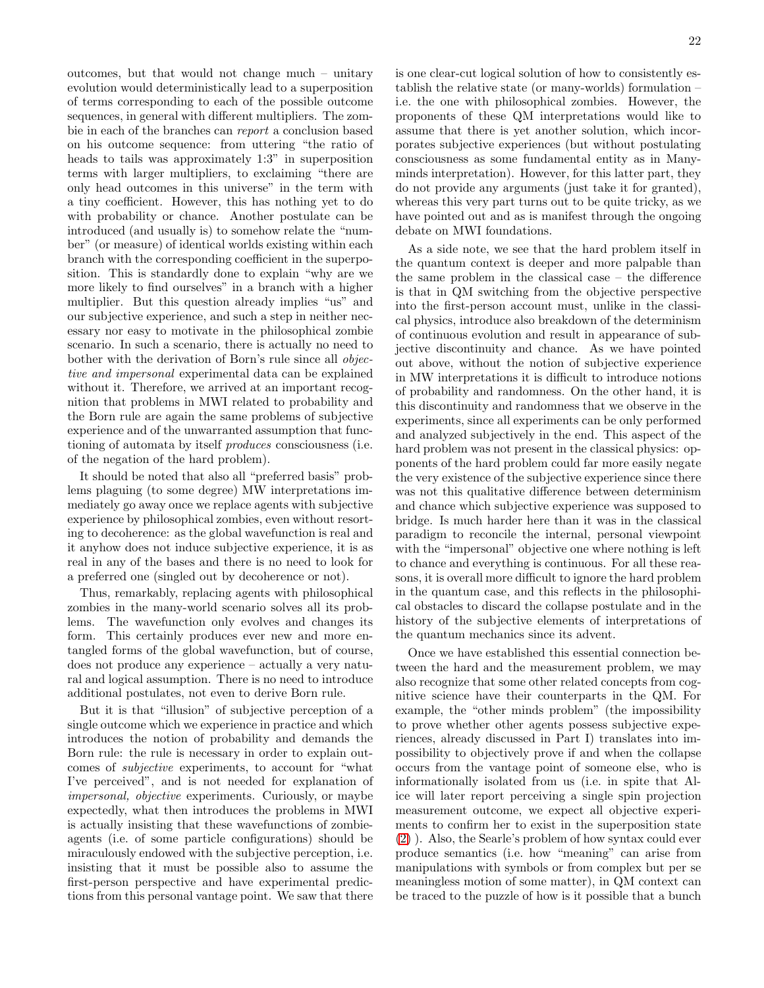outcomes, but that would not change much – unitary evolution would deterministically lead to a superposition of terms corresponding to each of the possible outcome sequences, in general with different multipliers. The zombie in each of the branches can report a conclusion based on his outcome sequence: from uttering "the ratio of heads to tails was approximately 1:3" in superposition terms with larger multipliers, to exclaiming "there are only head outcomes in this universe" in the term with a tiny coefficient. However, this has nothing yet to do with probability or chance. Another postulate can be introduced (and usually is) to somehow relate the "number" (or measure) of identical worlds existing within each branch with the corresponding coefficient in the superposition. This is standardly done to explain "why are we more likely to find ourselves" in a branch with a higher multiplier. But this question already implies "us" and our subjective experience, and such a step in neither necessary nor easy to motivate in the philosophical zombie scenario. In such a scenario, there is actually no need to bother with the derivation of Born's rule since all objective and impersonal experimental data can be explained without it. Therefore, we arrived at an important recognition that problems in MWI related to probability and the Born rule are again the same problems of subjective experience and of the unwarranted assumption that functioning of automata by itself produces consciousness (i.e. of the negation of the hard problem).

It should be noted that also all "preferred basis" problems plaguing (to some degree) MW interpretations immediately go away once we replace agents with subjective experience by philosophical zombies, even without resorting to decoherence: as the global wavefunction is real and it anyhow does not induce subjective experience, it is as real in any of the bases and there is no need to look for a preferred one (singled out by decoherence or not).

Thus, remarkably, replacing agents with philosophical zombies in the many-world scenario solves all its problems. The wavefunction only evolves and changes its form. This certainly produces ever new and more entangled forms of the global wavefunction, but of course, does not produce any experience – actually a very natural and logical assumption. There is no need to introduce additional postulates, not even to derive Born rule.

But it is that "illusion" of subjective perception of a single outcome which we experience in practice and which introduces the notion of probability and demands the Born rule: the rule is necessary in order to explain outcomes of subjective experiments, to account for "what I've perceived", and is not needed for explanation of impersonal, objective experiments. Curiously, or maybe expectedly, what then introduces the problems in MWI is actually insisting that these wavefunctions of zombieagents (i.e. of some particle configurations) should be miraculously endowed with the subjective perception, i.e. insisting that it must be possible also to assume the first-person perspective and have experimental predictions from this personal vantage point. We saw that there is one clear-cut logical solution of how to consistently establish the relative state (or many-worlds) formulation – i.e. the one with philosophical zombies. However, the proponents of these QM interpretations would like to assume that there is yet another solution, which incorporates subjective experiences (but without postulating consciousness as some fundamental entity as in Manyminds interpretation). However, for this latter part, they do not provide any arguments (just take it for granted), whereas this very part turns out to be quite tricky, as we have pointed out and as is manifest through the ongoing debate on MWI foundations.

As a side note, we see that the hard problem itself in the quantum context is deeper and more palpable than the same problem in the classical case – the difference is that in QM switching from the objective perspective into the first-person account must, unlike in the classical physics, introduce also breakdown of the determinism of continuous evolution and result in appearance of subjective discontinuity and chance. As we have pointed out above, without the notion of subjective experience in MW interpretations it is difficult to introduce notions of probability and randomness. On the other hand, it is this discontinuity and randomness that we observe in the experiments, since all experiments can be only performed and analyzed subjectively in the end. This aspect of the hard problem was not present in the classical physics: opponents of the hard problem could far more easily negate the very existence of the subjective experience since there was not this qualitative difference between determinism and chance which subjective experience was supposed to bridge. Is much harder here than it was in the classical paradigm to reconcile the internal, personal viewpoint with the "impersonal" objective one where nothing is left to chance and everything is continuous. For all these reasons, it is overall more difficult to ignore the hard problem in the quantum case, and this reflects in the philosophical obstacles to discard the collapse postulate and in the history of the subjective elements of interpretations of the quantum mechanics since its advent.

Once we have established this essential connection between the hard and the measurement problem, we may also recognize that some other related concepts from cognitive science have their counterparts in the QM. For example, the "other minds problem" (the impossibility to prove whether other agents possess subjective experiences, already discussed in Part I) translates into impossibility to objectively prove if and when the collapse occurs from the vantage point of someone else, who is informationally isolated from us (i.e. in spite that Alice will later report perceiving a single spin projection measurement outcome, we expect all objective experiments to confirm her to exist in the superposition state [\(2\)](#page-19-0) ). Also, the Searle's problem of how syntax could ever produce semantics (i.e. how "meaning" can arise from manipulations with symbols or from complex but per se meaningless motion of some matter), in QM context can be traced to the puzzle of how is it possible that a bunch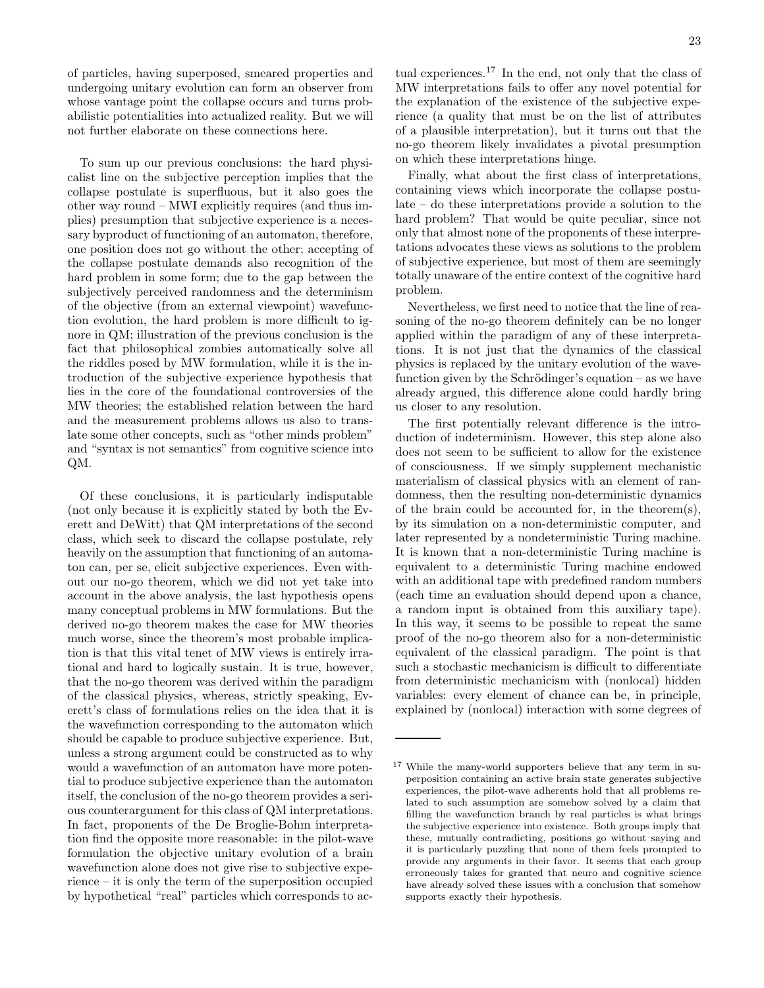of particles, having superposed, smeared properties and undergoing unitary evolution can form an observer from whose vantage point the collapse occurs and turns probabilistic potentialities into actualized reality. But we will not further elaborate on these connections here.

To sum up our previous conclusions: the hard physicalist line on the subjective perception implies that the collapse postulate is superfluous, but it also goes the other way round – MWI explicitly requires (and thus implies) presumption that subjective experience is a necessary byproduct of functioning of an automaton, therefore, one position does not go without the other; accepting of the collapse postulate demands also recognition of the hard problem in some form; due to the gap between the subjectively perceived randomness and the determinism of the objective (from an external viewpoint) wavefunction evolution, the hard problem is more difficult to ignore in QM; illustration of the previous conclusion is the fact that philosophical zombies automatically solve all the riddles posed by MW formulation, while it is the introduction of the subjective experience hypothesis that lies in the core of the foundational controversies of the MW theories; the established relation between the hard and the measurement problems allows us also to translate some other concepts, such as "other minds problem" and "syntax is not semantics" from cognitive science into QM.

Of these conclusions, it is particularly indisputable (not only because it is explicitly stated by both the Everett and DeWitt) that QM interpretations of the second class, which seek to discard the collapse postulate, rely heavily on the assumption that functioning of an automaton can, per se, elicit subjective experiences. Even without our no-go theorem, which we did not yet take into account in the above analysis, the last hypothesis opens many conceptual problems in MW formulations. But the derived no-go theorem makes the case for MW theories much worse, since the theorem's most probable implication is that this vital tenet of MW views is entirely irrational and hard to logically sustain. It is true, however, that the no-go theorem was derived within the paradigm of the classical physics, whereas, strictly speaking, Everett's class of formulations relies on the idea that it is the wavefunction corresponding to the automaton which should be capable to produce subjective experience. But, unless a strong argument could be constructed as to why would a wavefunction of an automaton have more potential to produce subjective experience than the automaton itself, the conclusion of the no-go theorem provides a serious counterargument for this class of QM interpretations. In fact, proponents of the De Broglie-Bohm interpretation find the opposite more reasonable: in the pilot-wave formulation the objective unitary evolution of a brain wavefunction alone does not give rise to subjective experience – it is only the term of the superposition occupied by hypothetical "real" particles which corresponds to ac-

tual experiences.<sup>17</sup> In the end, not only that the class of MW interpretations fails to offer any novel potential for the explanation of the existence of the subjective experience (a quality that must be on the list of attributes of a plausible interpretation), but it turns out that the no-go theorem likely invalidates a pivotal presumption on which these interpretations hinge.

Finally, what about the first class of interpretations, containing views which incorporate the collapse postulate – do these interpretations provide a solution to the hard problem? That would be quite peculiar, since not only that almost none of the proponents of these interpretations advocates these views as solutions to the problem of subjective experience, but most of them are seemingly totally unaware of the entire context of the cognitive hard problem.

Nevertheless, we first need to notice that the line of reasoning of the no-go theorem definitely can be no longer applied within the paradigm of any of these interpretations. It is not just that the dynamics of the classical physics is replaced by the unitary evolution of the wavefunction given by the Schrödinger's equation – as we have already argued, this difference alone could hardly bring us closer to any resolution.

The first potentially relevant difference is the introduction of indeterminism. However, this step alone also does not seem to be sufficient to allow for the existence of consciousness. If we simply supplement mechanistic materialism of classical physics with an element of randomness, then the resulting non-deterministic dynamics of the brain could be accounted for, in the theorem(s), by its simulation on a non-deterministic computer, and later represented by a nondeterministic Turing machine. It is known that a non-deterministic Turing machine is equivalent to a deterministic Turing machine endowed with an additional tape with predefined random numbers (each time an evaluation should depend upon a chance, a random input is obtained from this auxiliary tape). In this way, it seems to be possible to repeat the same proof of the no-go theorem also for a non-deterministic equivalent of the classical paradigm. The point is that such a stochastic mechanicism is difficult to differentiate from deterministic mechanicism with (nonlocal) hidden variables: every element of chance can be, in principle, explained by (nonlocal) interaction with some degrees of

<sup>17</sup> While the many-world supporters believe that any term in superposition containing an active brain state generates subjective experiences, the pilot-wave adherents hold that all problems related to such assumption are somehow solved by a claim that filling the wavefunction branch by real particles is what brings the subjective experience into existence. Both groups imply that these, mutually contradicting, positions go without saying and it is particularly puzzling that none of them feels prompted to provide any arguments in their favor. It seems that each group erroneously takes for granted that neuro and cognitive science have already solved these issues with a conclusion that somehow supports exactly their hypothesis.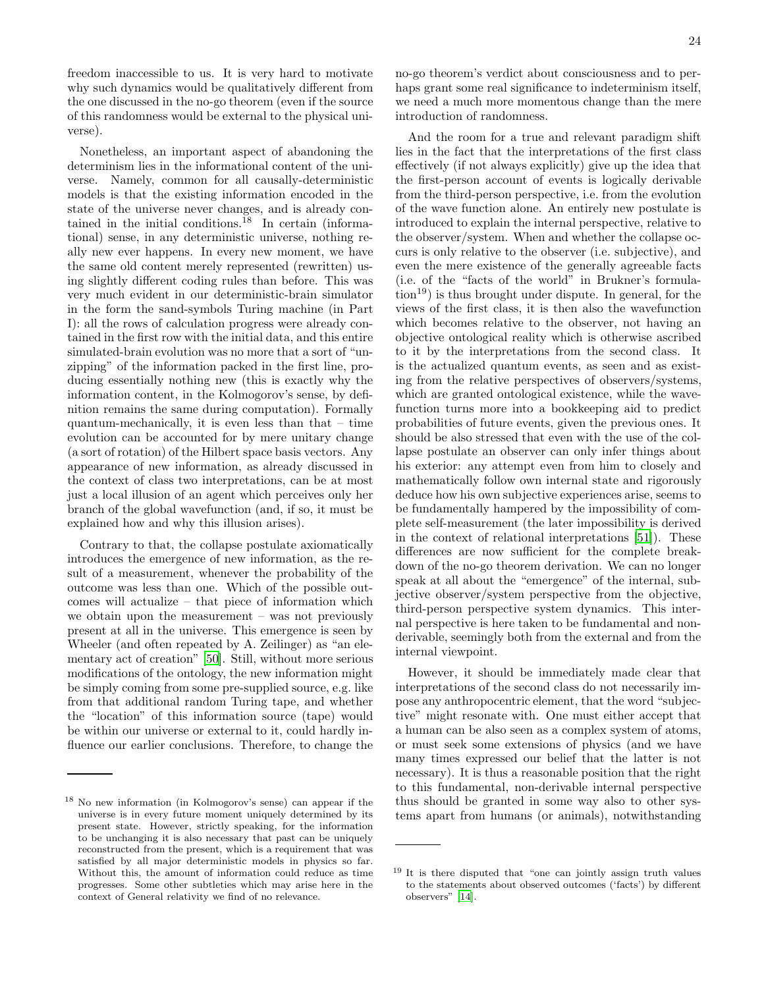freedom inaccessible to us. It is very hard to motivate why such dynamics would be qualitatively different from the one discussed in the no-go theorem (even if the source of this randomness would be external to the physical universe).

Nonetheless, an important aspect of abandoning the determinism lies in the informational content of the universe. Namely, common for all causally-deterministic models is that the existing information encoded in the state of the universe never changes, and is already contained in the initial conditions.<sup>18</sup> In certain (informational) sense, in any deterministic universe, nothing really new ever happens. In every new moment, we have the same old content merely represented (rewritten) using slightly different coding rules than before. This was very much evident in our deterministic-brain simulator in the form the sand-symbols Turing machine (in Part I): all the rows of calculation progress were already contained in the first row with the initial data, and this entire simulated-brain evolution was no more that a sort of "unzipping" of the information packed in the first line, producing essentially nothing new (this is exactly why the information content, in the Kolmogorov's sense, by definition remains the same during computation). Formally quantum-mechanically, it is even less than that – time evolution can be accounted for by mere unitary change (a sort of rotation) of the Hilbert space basis vectors. Any appearance of new information, as already discussed in the context of class two interpretations, can be at most just a local illusion of an agent which perceives only her branch of the global wavefunction (and, if so, it must be explained how and why this illusion arises).

Contrary to that, the collapse postulate axiomatically introduces the emergence of new information, as the result of a measurement, whenever the probability of the outcome was less than one. Which of the possible outcomes will actualize – that piece of information which we obtain upon the measurement – was not previously present at all in the universe. This emergence is seen by Wheeler (and often repeated by A. Zeilinger) as "an elementary act of creation" [\[50](#page-48-25)]. Still, without more serious modifications of the ontology, the new information might be simply coming from some pre-supplied source, e.g. like from that additional random Turing tape, and whether the "location" of this information source (tape) would be within our universe or external to it, could hardly influence our earlier conclusions. Therefore, to change the

no-go theorem's verdict about consciousness and to perhaps grant some real significance to indeterminism itself, we need a much more momentous change than the mere introduction of randomness.

And the room for a true and relevant paradigm shift lies in the fact that the interpretations of the first class effectively (if not always explicitly) give up the idea that the first-person account of events is logically derivable from the third-person perspective, i.e. from the evolution of the wave function alone. An entirely new postulate is introduced to explain the internal perspective, relative to the observer/system. When and whether the collapse occurs is only relative to the observer (i.e. subjective), and even the mere existence of the generally agreeable facts (i.e. of the "facts of the world" in Brukner's formula- $\text{tion}^{19}$ ) is thus brought under dispute. In general, for the views of the first class, it is then also the wavefunction which becomes relative to the observer, not having an objective ontological reality which is otherwise ascribed to it by the interpretations from the second class. It is the actualized quantum events, as seen and as existing from the relative perspectives of observers/systems, which are granted ontological existence, while the wavefunction turns more into a bookkeeping aid to predict probabilities of future events, given the previous ones. It should be also stressed that even with the use of the collapse postulate an observer can only infer things about his exterior: any attempt even from him to closely and mathematically follow own internal state and rigorously deduce how his own subjective experiences arise, seems to be fundamentally hampered by the impossibility of complete self-measurement (the later impossibility is derived in the context of relational interpretations [\[51\]](#page-48-26)). These differences are now sufficient for the complete breakdown of the no-go theorem derivation. We can no longer speak at all about the "emergence" of the internal, subjective observer/system perspective from the objective, third-person perspective system dynamics. This internal perspective is here taken to be fundamental and nonderivable, seemingly both from the external and from the internal viewpoint.

However, it should be immediately made clear that interpretations of the second class do not necessarily impose any anthropocentric element, that the word "subjective" might resonate with. One must either accept that a human can be also seen as a complex system of atoms, or must seek some extensions of physics (and we have many times expressed our belief that the latter is not necessary). It is thus a reasonable position that the right to this fundamental, non-derivable internal perspective thus should be granted in some way also to other systems apart from humans (or animals), notwithstanding

<sup>18</sup> No new information (in Kolmogorov's sense) can appear if the universe is in every future moment uniquely determined by its present state. However, strictly speaking, for the information to be unchanging it is also necessary that past can be uniquely reconstructed from the present, which is a requirement that was satisfied by all major deterministic models in physics so far. Without this, the amount of information could reduce as time progresses. Some other subtleties which may arise here in the context of General relativity we find of no relevance.

<sup>19</sup> It is there disputed that "one can jointly assign truth values to the statements about observed outcomes ('facts') by different observers" [\[14](#page-47-13)].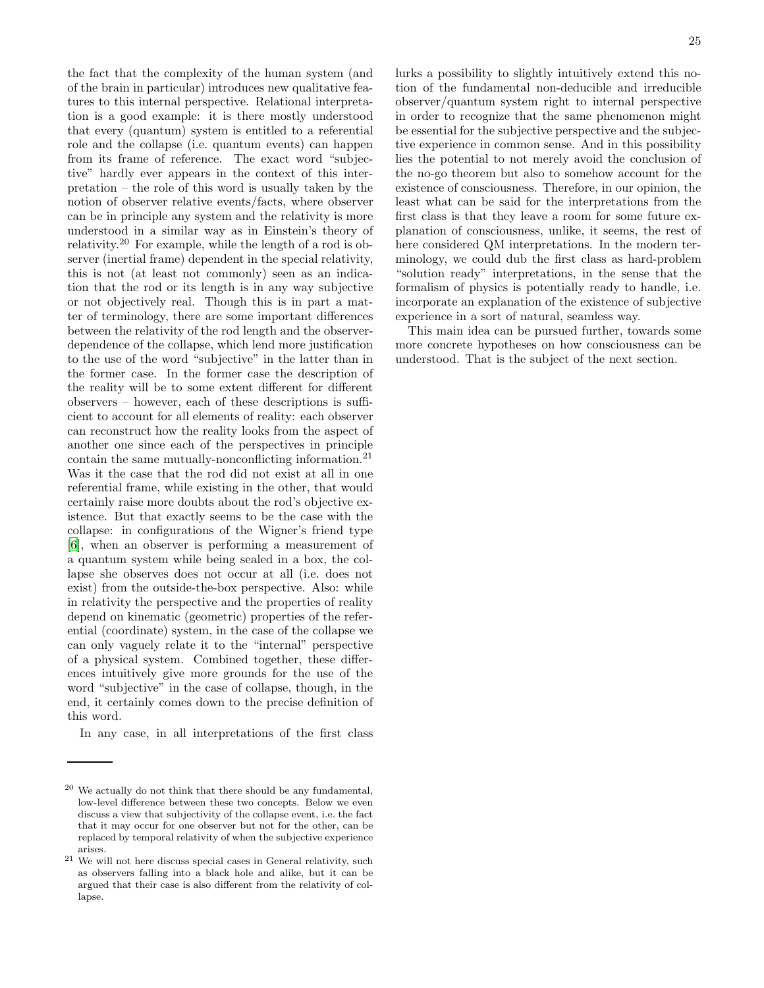the fact that the complexity of the human system (and of the brain in particular) introduces new qualitative features to this internal perspective. Relational interpretation is a good example: it is there mostly understood that every (quantum) system is entitled to a referential role and the collapse (i.e. quantum events) can happen from its frame of reference. The exact word "subjective" hardly ever appears in the context of this interpretation – the role of this word is usually taken by the notion of observer relative events/facts, where observer can be in principle any system and the relativity is more understood in a similar way as in Einstein's theory of relativity.<sup>20</sup> For example, while the length of a rod is observer (inertial frame) dependent in the special relativity, this is not (at least not commonly) seen as an indication that the rod or its length is in any way subjective or not objectively real. Though this is in part a matter of terminology, there are some important differences between the relativity of the rod length and the observerdependence of the collapse, which lend more justification to the use of the word "subjective" in the latter than in the former case. In the former case the description of the reality will be to some extent different for different observers – however, each of these descriptions is sufficient to account for all elements of reality: each observer can reconstruct how the reality looks from the aspect of another one since each of the perspectives in principle contain the same mutually-nonconflicting information.<sup>21</sup> Was it the case that the rod did not exist at all in one referential frame, while existing in the other, that would certainly raise more doubts about the rod's objective existence. But that exactly seems to be the case with the collapse: in configurations of the Wigner's friend type [\[6\]](#page-47-5), when an observer is performing a measurement of a quantum system while being sealed in a box, the collapse she observes does not occur at all (i.e. does not exist) from the outside-the-box perspective. Also: while in relativity the perspective and the properties of reality depend on kinematic (geometric) properties of the referential (coordinate) system, in the case of the collapse we can only vaguely relate it to the "internal" perspective of a physical system. Combined together, these differences intuitively give more grounds for the use of the word "subjective" in the case of collapse, though, in the end, it certainly comes down to the precise definition of this word.

In any case, in all interpretations of the first class

lurks a possibility to slightly intuitively extend this no-

tion of the fundamental non-deducible and irreducible observer/quantum system right to internal perspective in order to recognize that the same phenomenon might be essential for the subjective perspective and the subjective experience in common sense. And in this possibility lies the potential to not merely avoid the conclusion of the no-go theorem but also to somehow account for the existence of consciousness. Therefore, in our opinion, the least what can be said for the interpretations from the first class is that they leave a room for some future explanation of consciousness, unlike, it seems, the rest of here considered QM interpretations. In the modern terminology, we could dub the first class as hard-problem "solution ready" interpretations, in the sense that the formalism of physics is potentially ready to handle, i.e. incorporate an explanation of the existence of subjective experience in a sort of natural, seamless way.

This main idea can be pursued further, towards some more concrete hypotheses on how consciousness can be understood. That is the subject of the next section.

 $20$  We actually do not think that there should be any fundamental, low-level difference between these two concepts. Below we even discuss a view that subjectivity of the collapse event, i.e. the fact that it may occur for one observer but not for the other, can be replaced by temporal relativity of when the subjective experience arises.

 $21$  We will not here discuss special cases in General relativity, such as observers falling into a black hole and alike, but it can be argued that their case is also different from the relativity of collapse.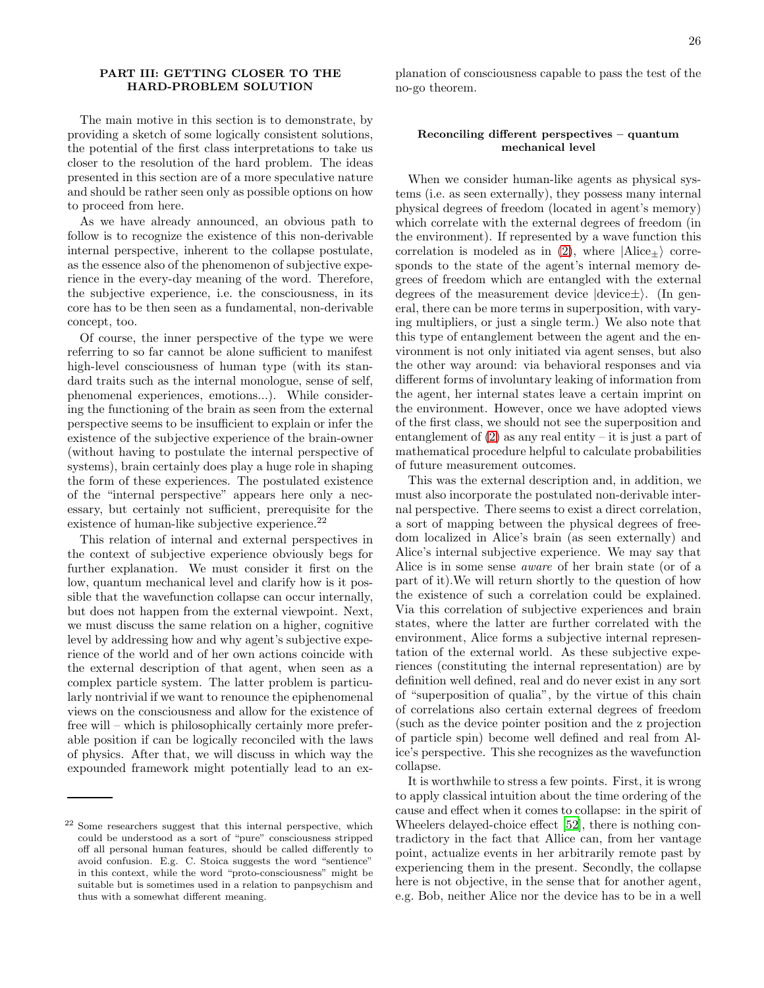# PART III: GETTING CLOSER TO THE HARD-PROBLEM SOLUTION

The main motive in this section is to demonstrate, by providing a sketch of some logically consistent solutions, the potential of the first class interpretations to take us closer to the resolution of the hard problem. The ideas presented in this section are of a more speculative nature and should be rather seen only as possible options on how to proceed from here.

As we have already announced, an obvious path to follow is to recognize the existence of this non-derivable internal perspective, inherent to the collapse postulate, as the essence also of the phenomenon of subjective experience in the every-day meaning of the word. Therefore, the subjective experience, i.e. the consciousness, in its core has to be then seen as a fundamental, non-derivable concept, too.

Of course, the inner perspective of the type we were referring to so far cannot be alone sufficient to manifest high-level consciousness of human type (with its standard traits such as the internal monologue, sense of self, phenomenal experiences, emotions...). While considering the functioning of the brain as seen from the external perspective seems to be insufficient to explain or infer the existence of the subjective experience of the brain-owner (without having to postulate the internal perspective of systems), brain certainly does play a huge role in shaping the form of these experiences. The postulated existence of the "internal perspective" appears here only a necessary, but certainly not sufficient, prerequisite for the existence of human-like subjective experience.<sup>22</sup>

This relation of internal and external perspectives in the context of subjective experience obviously begs for further explanation. We must consider it first on the low, quantum mechanical level and clarify how is it possible that the wavefunction collapse can occur internally, but does not happen from the external viewpoint. Next, we must discuss the same relation on a higher, cognitive level by addressing how and why agent's subjective experience of the world and of her own actions coincide with the external description of that agent, when seen as a complex particle system. The latter problem is particularly nontrivial if we want to renounce the epiphenomenal views on the consciousness and allow for the existence of free will – which is philosophically certainly more preferable position if can be logically reconciled with the laws of physics. After that, we will discuss in which way the expounded framework might potentially lead to an explanation of consciousness capable to pass the test of the no-go theorem.

## Reconciling different perspectives – quantum mechanical level

When we consider human-like agents as physical systems (i.e. as seen externally), they possess many internal physical degrees of freedom (located in agent's memory) which correlate with the external degrees of freedom (in the environment). If represented by a wave function this correlation is modeled as in [\(2\)](#page-19-0), where  $|Alice+\rangle$  corresponds to the state of the agent's internal memory degrees of freedom which are entangled with the external degrees of the measurement device  $|{\rm device}\pm\rangle$ . (In general, there can be more terms in superposition, with varying multipliers, or just a single term.) We also note that this type of entanglement between the agent and the environment is not only initiated via agent senses, but also the other way around: via behavioral responses and via different forms of involuntary leaking of information from the agent, her internal states leave a certain imprint on the environment. However, once we have adopted views of the first class, we should not see the superposition and entanglement of  $(2)$  as any real entity – it is just a part of mathematical procedure helpful to calculate probabilities of future measurement outcomes.

This was the external description and, in addition, we must also incorporate the postulated non-derivable internal perspective. There seems to exist a direct correlation, a sort of mapping between the physical degrees of freedom localized in Alice's brain (as seen externally) and Alice's internal subjective experience. We may say that Alice is in some sense aware of her brain state (or of a part of it).We will return shortly to the question of how the existence of such a correlation could be explained. Via this correlation of subjective experiences and brain states, where the latter are further correlated with the environment, Alice forms a subjective internal representation of the external world. As these subjective experiences (constituting the internal representation) are by definition well defined, real and do never exist in any sort of "superposition of qualia", by the virtue of this chain of correlations also certain external degrees of freedom (such as the device pointer position and the z projection of particle spin) become well defined and real from Alice's perspective. This she recognizes as the wavefunction collapse.

It is worthwhile to stress a few points. First, it is wrong to apply classical intuition about the time ordering of the cause and effect when it comes to collapse: in the spirit of Wheelers delayed-choice effect [\[52\]](#page-48-27), there is nothing contradictory in the fact that Allice can, from her vantage point, actualize events in her arbitrarily remote past by experiencing them in the present. Secondly, the collapse here is not objective, in the sense that for another agent, e.g. Bob, neither Alice nor the device has to be in a well

<sup>22</sup> Some researchers suggest that this internal perspective, which could be understood as a sort of "pure" consciousness stripped off all personal human features, should be called differently to avoid confusion. E.g. C. Stoica suggests the word "sentience" in this context, while the word "proto-consciousness" might be suitable but is sometimes used in a relation to panpsychism and thus with a somewhat different meaning.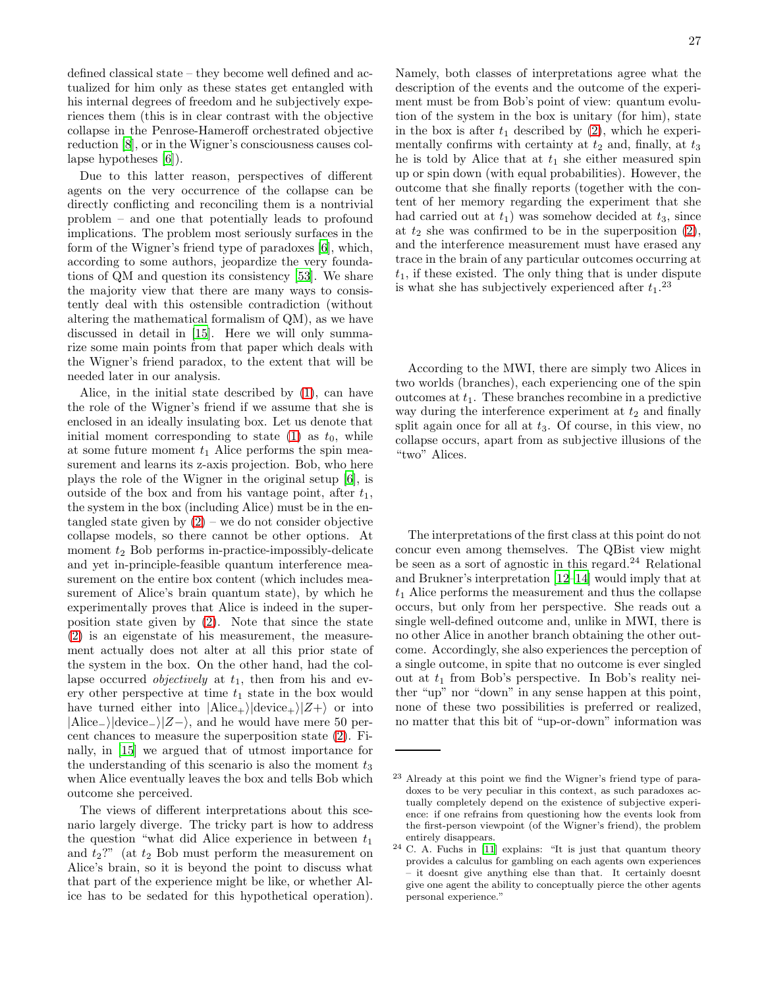defined classical state – they become well defined and actualized for him only as these states get entangled with his internal degrees of freedom and he subjectively experiences them (this is in clear contrast with the objective collapse in the Penrose-Hameroff orchestrated objective reduction [\[8](#page-47-7)], or in the Wigner's consciousness causes collapse hypotheses [\[6\]](#page-47-5)).

Due to this latter reason, perspectives of different agents on the very occurrence of the collapse can be directly conflicting and reconciling them is a nontrivial problem – and one that potentially leads to profound implications. The problem most seriously surfaces in the form of the Wigner's friend type of paradoxes [\[6\]](#page-47-5), which, according to some authors, jeopardize the very foundations of QM and question its consistency [\[53\]](#page-48-28). We share the majority view that there are many ways to consistently deal with this ostensible contradiction (without altering the mathematical formalism of QM), as we have discussed in detail in [\[15\]](#page-47-14). Here we will only summarize some main points from that paper which deals with the Wigner's friend paradox, to the extent that will be needed later in our analysis.

Alice, in the initial state described by [\(1\)](#page-19-1), can have the role of the Wigner's friend if we assume that she is enclosed in an ideally insulating box. Let us denote that initial moment corresponding to state  $(1)$  as  $t_0$ , while at some future moment  $t_1$  Alice performs the spin measurement and learns its z-axis projection. Bob, who here plays the role of the Wigner in the original setup [\[6\]](#page-47-5), is outside of the box and from his vantage point, after  $t_1$ , the system in the box (including Alice) must be in the entangled state given by  $(2)$  – we do not consider objective collapse models, so there cannot be other options. At moment  $t_2$  Bob performs in-practice-impossibly-delicate and yet in-principle-feasible quantum interference measurement on the entire box content (which includes measurement of Alice's brain quantum state), by which he experimentally proves that Alice is indeed in the superposition state given by [\(2\)](#page-19-0). Note that since the state [\(2\)](#page-19-0) is an eigenstate of his measurement, the measurement actually does not alter at all this prior state of the system in the box. On the other hand, had the collapse occurred *objectively* at  $t_1$ , then from his and every other perspective at time  $t_1$  state in the box would have turned either into  $|\text{Alice}_+\rangle| \text{device}_+\rangle|Z+\rangle$  or into  $|Alice_{}|\/device_{}|Z-\rangle$ , and he would have mere 50 percent chances to measure the superposition state [\(2\)](#page-19-0). Finally, in [\[15](#page-47-14)] we argued that of utmost importance for the understanding of this scenario is also the moment  $t_3$ when Alice eventually leaves the box and tells Bob which outcome she perceived.

The views of different interpretations about this scenario largely diverge. The tricky part is how to address the question "what did Alice experience in between  $t_1$ and  $t_2$ ?" (at  $t_2$  Bob must perform the measurement on Alice's brain, so it is beyond the point to discuss what that part of the experience might be like, or whether Alice has to be sedated for this hypothetical operation).

Namely, both classes of interpretations agree what the description of the events and the outcome of the experiment must be from Bob's point of view: quantum evolution of the system in the box is unitary (for him), state in the box is after  $t_1$  described by [\(2\)](#page-19-0), which he experimentally confirms with certainty at  $t_2$  and, finally, at  $t_3$ he is told by Alice that at  $t_1$  she either measured spin up or spin down (with equal probabilities). However, the outcome that she finally reports (together with the content of her memory regarding the experiment that she had carried out at  $t_1$ ) was somehow decided at  $t_3$ , since at  $t_2$  she was confirmed to be in the superposition  $(2)$ , and the interference measurement must have erased any trace in the brain of any particular outcomes occurring at  $t_1$ , if these existed. The only thing that is under dispute is what she has subjectively experienced after  $t_1$ .<sup>23</sup>

According to the MWI, there are simply two Alices in two worlds (branches), each experiencing one of the spin outcomes at  $t_1$ . These branches recombine in a predictive way during the interference experiment at  $t_2$  and finally split again once for all at  $t_3$ . Of course, in this view, no collapse occurs, apart from as subjective illusions of the "two" Alices.

The interpretations of the first class at this point do not concur even among themselves. The QBist view might be seen as a sort of agnostic in this regard.<sup>24</sup> Relational and Brukner's interpretation [\[12](#page-47-11)[–14](#page-47-13)] would imply that at  $t_1$  Alice performs the measurement and thus the collapse occurs, but only from her perspective. She reads out a single well-defined outcome and, unlike in MWI, there is no other Alice in another branch obtaining the other outcome. Accordingly, she also experiences the perception of a single outcome, in spite that no outcome is ever singled out at  $t_1$  from Bob's perspective. In Bob's reality neither "up" nor "down" in any sense happen at this point, none of these two possibilities is preferred or realized, no matter that this bit of "up-or-down" information was

<sup>23</sup> Already at this point we find the Wigner's friend type of paradoxes to be very peculiar in this context, as such paradoxes actually completely depend on the existence of subjective experience: if one refrains from questioning how the events look from the first-person viewpoint (of the Wigner's friend), the problem entirely disappears.

<sup>24</sup> C. A. Fuchs in [\[11\]](#page-47-10) explains: "It is just that quantum theory provides a calculus for gambling on each agents own experiences – it doesnt give anything else than that. It certainly doesnt give one agent the ability to conceptually pierce the other agents personal experience."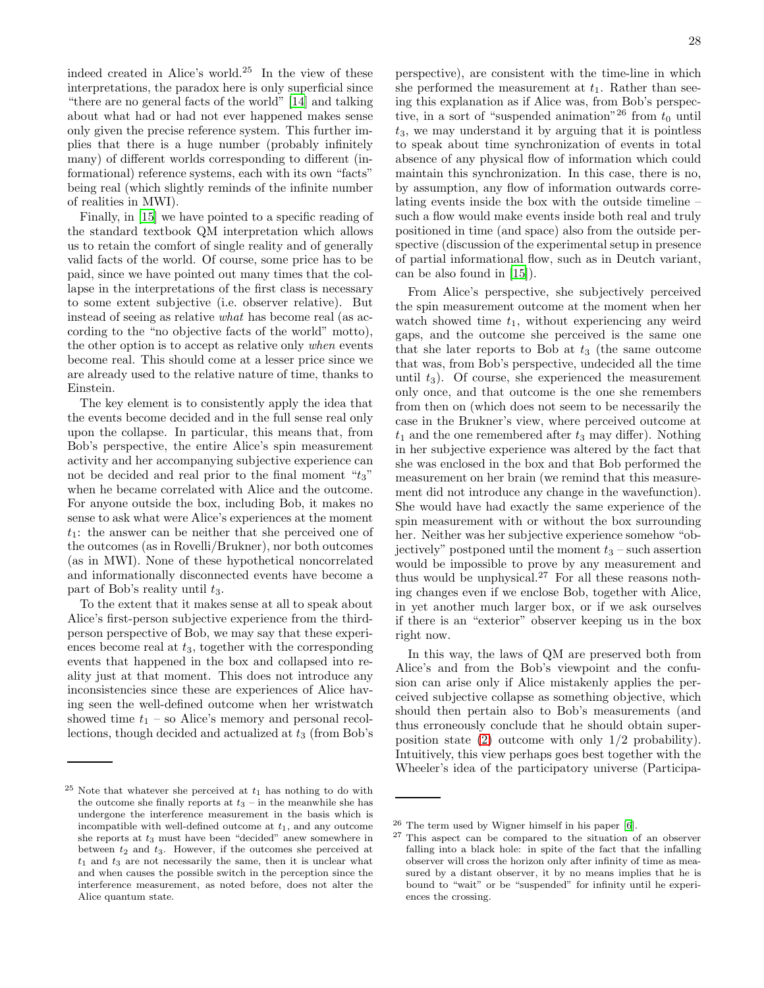indeed created in Alice's world.<sup>25</sup> In the view of these interpretations, the paradox here is only superficial since "there are no general facts of the world" [\[14](#page-47-13)] and talking about what had or had not ever happened makes sense only given the precise reference system. This further implies that there is a huge number (probably infinitely many) of different worlds corresponding to different (informational) reference systems, each with its own "facts" being real (which slightly reminds of the infinite number of realities in MWI).

Finally, in [\[15\]](#page-47-14) we have pointed to a specific reading of the standard textbook QM interpretation which allows us to retain the comfort of single reality and of generally valid facts of the world. Of course, some price has to be paid, since we have pointed out many times that the collapse in the interpretations of the first class is necessary to some extent subjective (i.e. observer relative). But instead of seeing as relative what has become real (as according to the "no objective facts of the world" motto), the other option is to accept as relative only when events become real. This should come at a lesser price since we are already used to the relative nature of time, thanks to Einstein.

The key element is to consistently apply the idea that the events become decided and in the full sense real only upon the collapse. In particular, this means that, from Bob's perspective, the entire Alice's spin measurement activity and her accompanying subjective experience can not be decided and real prior to the final moment " $t_3$ " when he became correlated with Alice and the outcome. For anyone outside the box, including Bob, it makes no sense to ask what were Alice's experiences at the moment  $t_1$ : the answer can be neither that she perceived one of the outcomes (as in Rovelli/Brukner), nor both outcomes (as in MWI). None of these hypothetical noncorrelated and informationally disconnected events have become a part of Bob's reality until  $t_3$ .

To the extent that it makes sense at all to speak about Alice's first-person subjective experience from the thirdperson perspective of Bob, we may say that these experiences become real at  $t_3$ , together with the corresponding events that happened in the box and collapsed into reality just at that moment. This does not introduce any inconsistencies since these are experiences of Alice having seen the well-defined outcome when her wristwatch showed time  $t_1$  – so Alice's memory and personal recollections, though decided and actualized at  $t_3$  (from Bob's

perspective), are consistent with the time-line in which she performed the measurement at  $t_1$ . Rather than seeing this explanation as if Alice was, from Bob's perspective, in a sort of "suspended animation"<sup>26</sup> from  $t_0$  until  $t_3$ , we may understand it by arguing that it is pointless to speak about time synchronization of events in total absence of any physical flow of information which could maintain this synchronization. In this case, there is no, by assumption, any flow of information outwards correlating events inside the box with the outside timeline – such a flow would make events inside both real and truly positioned in time (and space) also from the outside perspective (discussion of the experimental setup in presence of partial informational flow, such as in Deutch variant, can be also found in [\[15](#page-47-14)]).

From Alice's perspective, she subjectively perceived the spin measurement outcome at the moment when her watch showed time  $t_1$ , without experiencing any weird gaps, and the outcome she perceived is the same one that she later reports to Bob at  $t_3$  (the same outcome that was, from Bob's perspective, undecided all the time until  $t_3$ ). Of course, she experienced the measurement only once, and that outcome is the one she remembers from then on (which does not seem to be necessarily the case in the Brukner's view, where perceived outcome at  $t_1$  and the one remembered after  $t_3$  may differ). Nothing in her subjective experience was altered by the fact that she was enclosed in the box and that Bob performed the measurement on her brain (we remind that this measurement did not introduce any change in the wavefunction). She would have had exactly the same experience of the spin measurement with or without the box surrounding her. Neither was her subjective experience somehow "objectively" postponed until the moment  $t_3$  – such assertion would be impossible to prove by any measurement and thus would be unphysical.<sup>27</sup> For all these reasons nothing changes even if we enclose Bob, together with Alice, in yet another much larger box, or if we ask ourselves if there is an "exterior" observer keeping us in the box right now.

In this way, the laws of QM are preserved both from Alice's and from the Bob's viewpoint and the confusion can arise only if Alice mistakenly applies the perceived subjective collapse as something objective, which should then pertain also to Bob's measurements (and thus erroneously conclude that he should obtain superposition state [\(2\)](#page-19-0) outcome with only 1/2 probability). Intuitively, this view perhaps goes best together with the Wheeler's idea of the participatory universe (Participa-

 $25$  Note that whatever she perceived at  $t_1$  has nothing to do with the outcome she finally reports at  $t_3$  – in the meanwhile she has undergone the interference measurement in the basis which is incompatible with well-defined outcome at  $t_1$ , and any outcome she reports at  $t_3$  must have been "decided" anew somewhere in between  $t_2$  and  $t_3$ . However, if the outcomes she perceived at  $t_1$  and  $t_3$  are not necessarily the same, then it is unclear what and when causes the possible switch in the perception since the interference measurement, as noted before, does not alter the Alice quantum state.

<sup>26</sup> The term used by Wigner himself in his paper [\[6\]](#page-47-5).

<sup>27</sup> This aspect can be compared to the situation of an observer falling into a black hole: in spite of the fact that the infalling observer will cross the horizon only after infinity of time as measured by a distant observer, it by no means implies that he is bound to "wait" or be "suspended" for infinity until he experiences the crossing.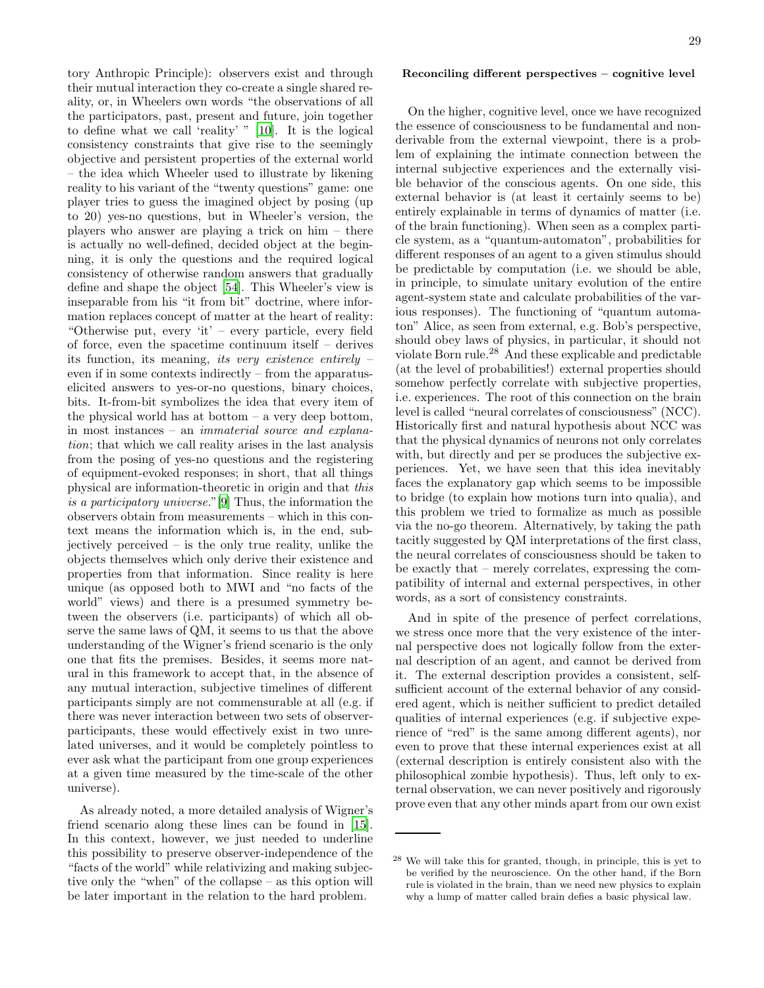tory Anthropic Principle): observers exist and through their mutual interaction they co-create a single shared reality, or, in Wheelers own words "the observations of all the participators, past, present and future, join together to define what we call 'reality' " [\[10\]](#page-47-9). It is the logical consistency constraints that give rise to the seemingly objective and persistent properties of the external world – the idea which Wheeler used to illustrate by likening reality to his variant of the "twenty questions" game: one player tries to guess the imagined object by posing (up to 20) yes-no questions, but in Wheeler's version, the players who answer are playing a trick on him – there is actually no well-defined, decided object at the beginning, it is only the questions and the required logical consistency of otherwise random answers that gradually define and shape the object [\[54\]](#page-48-29). This Wheeler's view is inseparable from his "it from bit" doctrine, where information replaces concept of matter at the heart of reality: "Otherwise put, every 'it' – every particle, every field of force, even the spacetime continuum itself – derives its function, its meaning, its very existence entirely – even if in some contexts indirectly – from the apparatuselicited answers to yes-or-no questions, binary choices, bits. It-from-bit symbolizes the idea that every item of the physical world has at bottom – a very deep bottom, in most instances – an immaterial source and explanation; that which we call reality arises in the last analysis from the posing of yes-no questions and the registering of equipment-evoked responses; in short, that all things physical are information-theoretic in origin and that this is a participatory universe."[\[9](#page-47-8)] Thus, the information the observers obtain from measurements – which in this context means the information which is, in the end, subjectively perceived – is the only true reality, unlike the objects themselves which only derive their existence and properties from that information. Since reality is here unique (as opposed both to MWI and "no facts of the world" views) and there is a presumed symmetry between the observers (i.e. participants) of which all observe the same laws of QM, it seems to us that the above understanding of the Wigner's friend scenario is the only one that fits the premises. Besides, it seems more natural in this framework to accept that, in the absence of any mutual interaction, subjective timelines of different participants simply are not commensurable at all (e.g. if there was never interaction between two sets of observerparticipants, these would effectively exist in two unrelated universes, and it would be completely pointless to ever ask what the participant from one group experiences at a given time measured by the time-scale of the other universe).

As already noted, a more detailed analysis of Wigner's friend scenario along these lines can be found in [\[15\]](#page-47-14). In this context, however, we just needed to underline this possibility to preserve observer-independence of the "facts of the world" while relativizing and making subjective only the "when" of the collapse – as this option will be later important in the relation to the hard problem.

#### Reconciling different perspectives – cognitive level

On the higher, cognitive level, once we have recognized the essence of consciousness to be fundamental and nonderivable from the external viewpoint, there is a problem of explaining the intimate connection between the internal subjective experiences and the externally visible behavior of the conscious agents. On one side, this external behavior is (at least it certainly seems to be) entirely explainable in terms of dynamics of matter (i.e. of the brain functioning). When seen as a complex particle system, as a "quantum-automaton", probabilities for different responses of an agent to a given stimulus should be predictable by computation (i.e. we should be able, in principle, to simulate unitary evolution of the entire agent-system state and calculate probabilities of the various responses). The functioning of "quantum automaton" Alice, as seen from external, e.g. Bob's perspective, should obey laws of physics, in particular, it should not violate Born rule.<sup>28</sup> And these explicable and predictable (at the level of probabilities!) external properties should somehow perfectly correlate with subjective properties, i.e. experiences. The root of this connection on the brain level is called "neural correlates of consciousness" (NCC). Historically first and natural hypothesis about NCC was that the physical dynamics of neurons not only correlates with, but directly and per se produces the subjective experiences. Yet, we have seen that this idea inevitably faces the explanatory gap which seems to be impossible to bridge (to explain how motions turn into qualia), and this problem we tried to formalize as much as possible via the no-go theorem. Alternatively, by taking the path tacitly suggested by QM interpretations of the first class, the neural correlates of consciousness should be taken to be exactly that – merely correlates, expressing the compatibility of internal and external perspectives, in other words, as a sort of consistency constraints.

And in spite of the presence of perfect correlations, we stress once more that the very existence of the internal perspective does not logically follow from the external description of an agent, and cannot be derived from it. The external description provides a consistent, selfsufficient account of the external behavior of any considered agent, which is neither sufficient to predict detailed qualities of internal experiences (e.g. if subjective experience of "red" is the same among different agents), nor even to prove that these internal experiences exist at all (external description is entirely consistent also with the philosophical zombie hypothesis). Thus, left only to external observation, we can never positively and rigorously prove even that any other minds apart from our own exist

<sup>28</sup> We will take this for granted, though, in principle, this is yet to be verified by the neuroscience. On the other hand, if the Born rule is violated in the brain, than we need new physics to explain why a lump of matter called brain defies a basic physical law.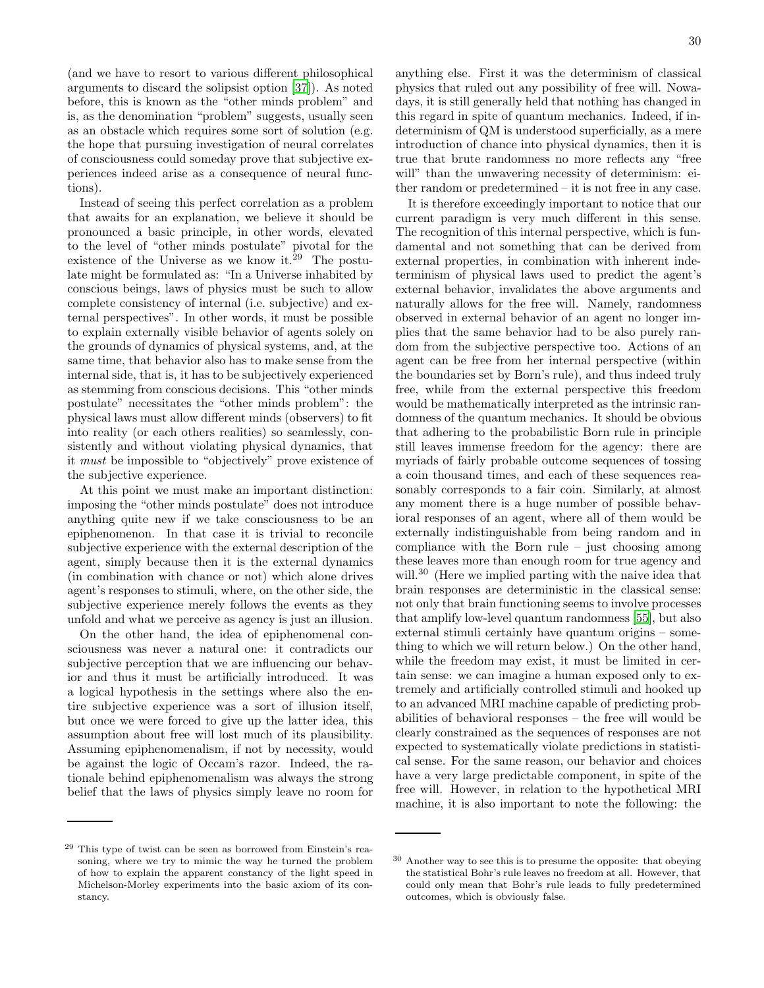(and we have to resort to various different philosophical arguments to discard the solipsist option [\[37\]](#page-48-12)). As noted before, this is known as the "other minds problem" and is, as the denomination "problem" suggests, usually seen as an obstacle which requires some sort of solution (e.g. the hope that pursuing investigation of neural correlates of consciousness could someday prove that subjective experiences indeed arise as a consequence of neural functions).

Instead of seeing this perfect correlation as a problem that awaits for an explanation, we believe it should be pronounced a basic principle, in other words, elevated to the level of "other minds postulate" pivotal for the existence of the Universe as we know it.<sup>29</sup> The postulate might be formulated as: "In a Universe inhabited by conscious beings, laws of physics must be such to allow complete consistency of internal (i.e. subjective) and external perspectives". In other words, it must be possible to explain externally visible behavior of agents solely on the grounds of dynamics of physical systems, and, at the same time, that behavior also has to make sense from the internal side, that is, it has to be subjectively experienced as stemming from conscious decisions. This "other minds postulate" necessitates the "other minds problem": the physical laws must allow different minds (observers) to fit into reality (or each others realities) so seamlessly, consistently and without violating physical dynamics, that it must be impossible to "objectively" prove existence of the subjective experience.

At this point we must make an important distinction: imposing the "other minds postulate" does not introduce anything quite new if we take consciousness to be an epiphenomenon. In that case it is trivial to reconcile subjective experience with the external description of the agent, simply because then it is the external dynamics (in combination with chance or not) which alone drives agent's responses to stimuli, where, on the other side, the subjective experience merely follows the events as they unfold and what we perceive as agency is just an illusion.

On the other hand, the idea of epiphenomenal consciousness was never a natural one: it contradicts our subjective perception that we are influencing our behavior and thus it must be artificially introduced. It was a logical hypothesis in the settings where also the entire subjective experience was a sort of illusion itself, but once we were forced to give up the latter idea, this assumption about free will lost much of its plausibility. Assuming epiphenomenalism, if not by necessity, would be against the logic of Occam's razor. Indeed, the rationale behind epiphenomenalism was always the strong belief that the laws of physics simply leave no room for

anything else. First it was the determinism of classical physics that ruled out any possibility of free will. Nowadays, it is still generally held that nothing has changed in

this regard in spite of quantum mechanics. Indeed, if indeterminism of QM is understood superficially, as a mere introduction of chance into physical dynamics, then it is true that brute randomness no more reflects any "free will" than the unwavering necessity of determinism: either random or predetermined – it is not free in any case.

It is therefore exceedingly important to notice that our current paradigm is very much different in this sense. The recognition of this internal perspective, which is fundamental and not something that can be derived from external properties, in combination with inherent indeterminism of physical laws used to predict the agent's external behavior, invalidates the above arguments and naturally allows for the free will. Namely, randomness observed in external behavior of an agent no longer implies that the same behavior had to be also purely random from the subjective perspective too. Actions of an agent can be free from her internal perspective (within the boundaries set by Born's rule), and thus indeed truly free, while from the external perspective this freedom would be mathematically interpreted as the intrinsic randomness of the quantum mechanics. It should be obvious that adhering to the probabilistic Born rule in principle still leaves immense freedom for the agency: there are myriads of fairly probable outcome sequences of tossing a coin thousand times, and each of these sequences reasonably corresponds to a fair coin. Similarly, at almost any moment there is a huge number of possible behavioral responses of an agent, where all of them would be externally indistinguishable from being random and in compliance with the Born rule – just choosing among these leaves more than enough room for true agency and will.<sup>30</sup> (Here we implied parting with the naive idea that brain responses are deterministic in the classical sense: not only that brain functioning seems to involve processes that amplify low-level quantum randomness [\[55\]](#page-48-30), but also external stimuli certainly have quantum origins – something to which we will return below.) On the other hand, while the freedom may exist, it must be limited in certain sense: we can imagine a human exposed only to extremely and artificially controlled stimuli and hooked up to an advanced MRI machine capable of predicting probabilities of behavioral responses – the free will would be clearly constrained as the sequences of responses are not expected to systematically violate predictions in statistical sense. For the same reason, our behavior and choices have a very large predictable component, in spite of the free will. However, in relation to the hypothetical MRI machine, it is also important to note the following: the

<sup>29</sup> This type of twist can be seen as borrowed from Einstein's reasoning, where we try to mimic the way he turned the problem of how to explain the apparent constancy of the light speed in Michelson-Morley experiments into the basic axiom of its constancy.

<sup>30</sup> Another way to see this is to presume the opposite: that obeying the statistical Bohr's rule leaves no freedom at all. However, that could only mean that Bohr's rule leads to fully predetermined outcomes, which is obviously false.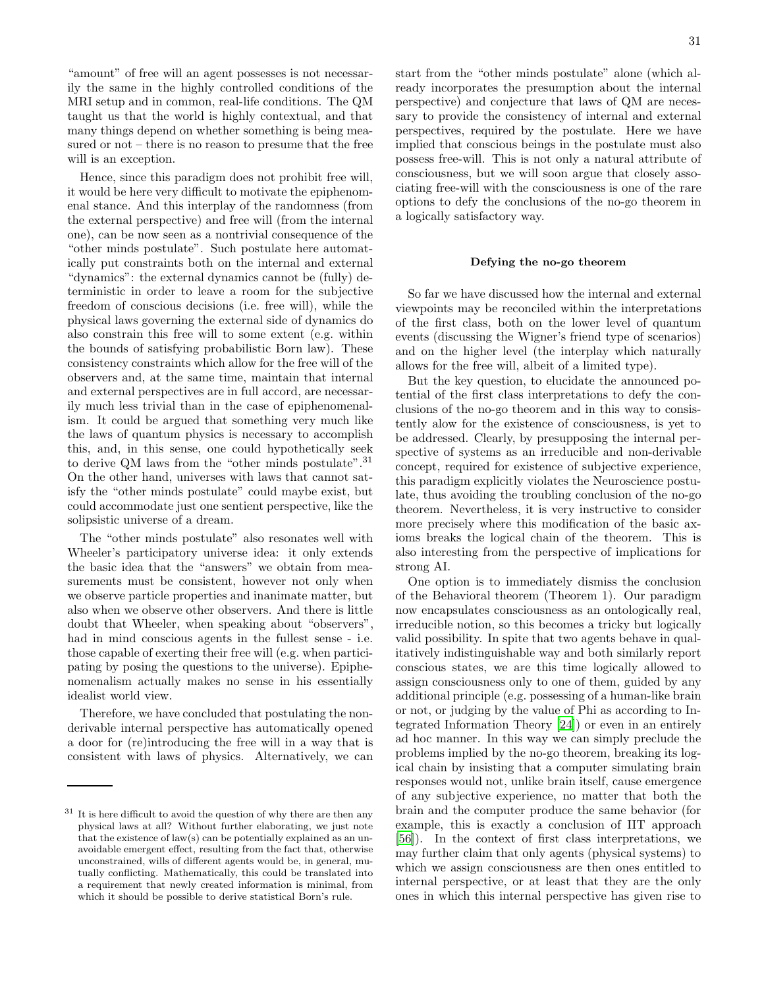"amount" of free will an agent possesses is not necessarily the same in the highly controlled conditions of the MRI setup and in common, real-life conditions. The QM taught us that the world is highly contextual, and that many things depend on whether something is being measured or not – there is no reason to presume that the free will is an exception.

Hence, since this paradigm does not prohibit free will, it would be here very difficult to motivate the epiphenomenal stance. And this interplay of the randomness (from the external perspective) and free will (from the internal one), can be now seen as a nontrivial consequence of the "other minds postulate". Such postulate here automatically put constraints both on the internal and external "dynamics": the external dynamics cannot be (fully) deterministic in order to leave a room for the subjective freedom of conscious decisions (i.e. free will), while the physical laws governing the external side of dynamics do also constrain this free will to some extent (e.g. within the bounds of satisfying probabilistic Born law). These consistency constraints which allow for the free will of the observers and, at the same time, maintain that internal and external perspectives are in full accord, are necessarily much less trivial than in the case of epiphenomenalism. It could be argued that something very much like the laws of quantum physics is necessary to accomplish this, and, in this sense, one could hypothetically seek to derive QM laws from the "other minds postulate".<sup>31</sup> On the other hand, universes with laws that cannot satisfy the "other minds postulate" could maybe exist, but could accommodate just one sentient perspective, like the solipsistic universe of a dream.

The "other minds postulate" also resonates well with Wheeler's participatory universe idea: it only extends the basic idea that the "answers" we obtain from measurements must be consistent, however not only when we observe particle properties and inanimate matter, but also when we observe other observers. And there is little doubt that Wheeler, when speaking about "observers", had in mind conscious agents in the fullest sense - i.e. those capable of exerting their free will (e.g. when participating by posing the questions to the universe). Epiphenomenalism actually makes no sense in his essentially idealist world view.

Therefore, we have concluded that postulating the nonderivable internal perspective has automatically opened a door for (re)introducing the free will in a way that is consistent with laws of physics. Alternatively, we can start from the "other minds postulate" alone (which already incorporates the presumption about the internal perspective) and conjecture that laws of QM are necessary to provide the consistency of internal and external perspectives, required by the postulate. Here we have implied that conscious beings in the postulate must also possess free-will. This is not only a natural attribute of consciousness, but we will soon argue that closely associating free-will with the consciousness is one of the rare options to defy the conclusions of the no-go theorem in a logically satisfactory way.

#### Defying the no-go theorem

So far we have discussed how the internal and external viewpoints may be reconciled within the interpretations of the first class, both on the lower level of quantum events (discussing the Wigner's friend type of scenarios) and on the higher level (the interplay which naturally allows for the free will, albeit of a limited type).

But the key question, to elucidate the announced potential of the first class interpretations to defy the conclusions of the no-go theorem and in this way to consistently alow for the existence of consciousness, is yet to be addressed. Clearly, by presupposing the internal perspective of systems as an irreducible and non-derivable concept, required for existence of subjective experience, this paradigm explicitly violates the Neuroscience postulate, thus avoiding the troubling conclusion of the no-go theorem. Nevertheless, it is very instructive to consider more precisely where this modification of the basic axioms breaks the logical chain of the theorem. This is also interesting from the perspective of implications for strong AI.

One option is to immediately dismiss the conclusion of the Behavioral theorem (Theorem 1). Our paradigm now encapsulates consciousness as an ontologically real, irreducible notion, so this becomes a tricky but logically valid possibility. In spite that two agents behave in qualitatively indistinguishable way and both similarly report conscious states, we are this time logically allowed to assign consciousness only to one of them, guided by any additional principle (e.g. possessing of a human-like brain or not, or judging by the value of Phi as according to Integrated Information Theory [\[24\]](#page-48-31)) or even in an entirely ad hoc manner. In this way we can simply preclude the problems implied by the no-go theorem, breaking its logical chain by insisting that a computer simulating brain responses would not, unlike brain itself, cause emergence of any subjective experience, no matter that both the brain and the computer produce the same behavior (for example, this is exactly a conclusion of IIT approach [\[56\]](#page-48-32)). In the context of first class interpretations, we may further claim that only agents (physical systems) to which we assign consciousness are then ones entitled to internal perspective, or at least that they are the only ones in which this internal perspective has given rise to

It is here difficult to avoid the question of why there are then any physical laws at all? Without further elaborating, we just note that the existence of law(s) can be potentially explained as an unavoidable emergent effect, resulting from the fact that, otherwise unconstrained, wills of different agents would be, in general, mutually conflicting. Mathematically, this could be translated into a requirement that newly created information is minimal, from which it should be possible to derive statistical Born's rule.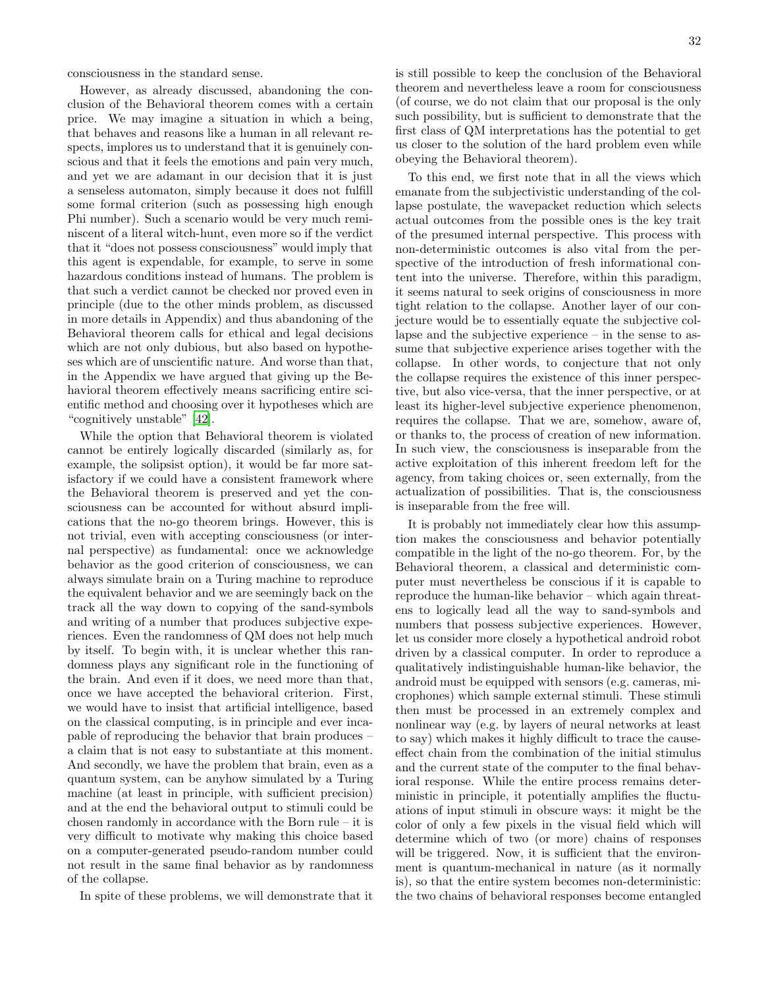consciousness in the standard sense.

However, as already discussed, abandoning the conclusion of the Behavioral theorem comes with a certain price. We may imagine a situation in which a being, that behaves and reasons like a human in all relevant respects, implores us to understand that it is genuinely conscious and that it feels the emotions and pain very much, and yet we are adamant in our decision that it is just a senseless automaton, simply because it does not fulfill some formal criterion (such as possessing high enough Phi number). Such a scenario would be very much reminiscent of a literal witch-hunt, even more so if the verdict that it "does not possess consciousness" would imply that this agent is expendable, for example, to serve in some hazardous conditions instead of humans. The problem is that such a verdict cannot be checked nor proved even in principle (due to the other minds problem, as discussed in more details in Appendix) and thus abandoning of the Behavioral theorem calls for ethical and legal decisions which are not only dubious, but also based on hypotheses which are of unscientific nature. And worse than that, in the Appendix we have argued that giving up the Behavioral theorem effectively means sacrificing entire scientific method and choosing over it hypotheses which are "cognitively unstable" [\[42\]](#page-48-17).

While the option that Behavioral theorem is violated cannot be entirely logically discarded (similarly as, for example, the solipsist option), it would be far more satisfactory if we could have a consistent framework where the Behavioral theorem is preserved and yet the consciousness can be accounted for without absurd implications that the no-go theorem brings. However, this is not trivial, even with accepting consciousness (or internal perspective) as fundamental: once we acknowledge behavior as the good criterion of consciousness, we can always simulate brain on a Turing machine to reproduce the equivalent behavior and we are seemingly back on the track all the way down to copying of the sand-symbols and writing of a number that produces subjective experiences. Even the randomness of QM does not help much by itself. To begin with, it is unclear whether this randomness plays any significant role in the functioning of the brain. And even if it does, we need more than that, once we have accepted the behavioral criterion. First, we would have to insist that artificial intelligence, based on the classical computing, is in principle and ever incapable of reproducing the behavior that brain produces – a claim that is not easy to substantiate at this moment. And secondly, we have the problem that brain, even as a quantum system, can be anyhow simulated by a Turing machine (at least in principle, with sufficient precision) and at the end the behavioral output to stimuli could be chosen randomly in accordance with the Born rule – it is very difficult to motivate why making this choice based on a computer-generated pseudo-random number could not result in the same final behavior as by randomness of the collapse.

In spite of these problems, we will demonstrate that it

is still possible to keep the conclusion of the Behavioral theorem and nevertheless leave a room for consciousness (of course, we do not claim that our proposal is the only such possibility, but is sufficient to demonstrate that the first class of QM interpretations has the potential to get us closer to the solution of the hard problem even while obeying the Behavioral theorem).

To this end, we first note that in all the views which emanate from the subjectivistic understanding of the collapse postulate, the wavepacket reduction which selects actual outcomes from the possible ones is the key trait of the presumed internal perspective. This process with non-deterministic outcomes is also vital from the perspective of the introduction of fresh informational content into the universe. Therefore, within this paradigm, it seems natural to seek origins of consciousness in more tight relation to the collapse. Another layer of our conjecture would be to essentially equate the subjective collapse and the subjective experience – in the sense to assume that subjective experience arises together with the collapse. In other words, to conjecture that not only the collapse requires the existence of this inner perspective, but also vice-versa, that the inner perspective, or at least its higher-level subjective experience phenomenon, requires the collapse. That we are, somehow, aware of, or thanks to, the process of creation of new information. In such view, the consciousness is inseparable from the active exploitation of this inherent freedom left for the agency, from taking choices or, seen externally, from the actualization of possibilities. That is, the consciousness is inseparable from the free will.

It is probably not immediately clear how this assumption makes the consciousness and behavior potentially compatible in the light of the no-go theorem. For, by the Behavioral theorem, a classical and deterministic computer must nevertheless be conscious if it is capable to reproduce the human-like behavior – which again threatens to logically lead all the way to sand-symbols and numbers that possess subjective experiences. However, let us consider more closely a hypothetical android robot driven by a classical computer. In order to reproduce a qualitatively indistinguishable human-like behavior, the android must be equipped with sensors (e.g. cameras, microphones) which sample external stimuli. These stimuli then must be processed in an extremely complex and nonlinear way (e.g. by layers of neural networks at least to say) which makes it highly difficult to trace the causeeffect chain from the combination of the initial stimulus and the current state of the computer to the final behavioral response. While the entire process remains deterministic in principle, it potentially amplifies the fluctuations of input stimuli in obscure ways: it might be the color of only a few pixels in the visual field which will determine which of two (or more) chains of responses will be triggered. Now, it is sufficient that the environment is quantum-mechanical in nature (as it normally is), so that the entire system becomes non-deterministic: the two chains of behavioral responses become entangled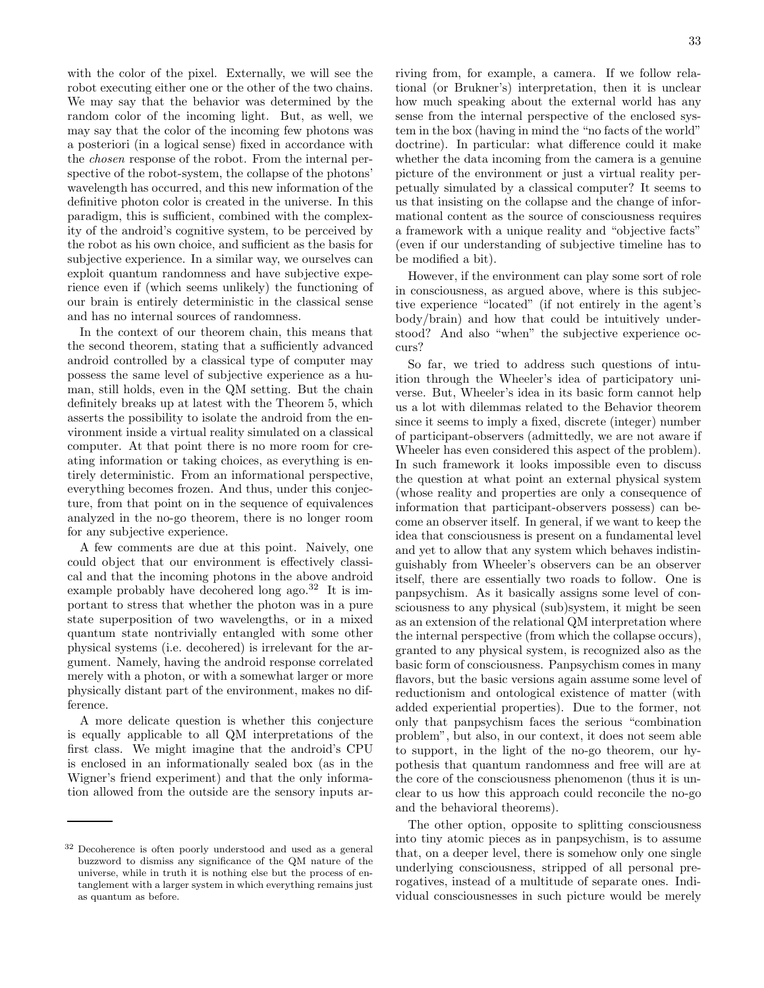with the color of the pixel. Externally, we will see the robot executing either one or the other of the two chains. We may say that the behavior was determined by the random color of the incoming light. But, as well, we may say that the color of the incoming few photons was a posteriori (in a logical sense) fixed in accordance with the chosen response of the robot. From the internal perspective of the robot-system, the collapse of the photons' wavelength has occurred, and this new information of the definitive photon color is created in the universe. In this paradigm, this is sufficient, combined with the complexity of the android's cognitive system, to be perceived by the robot as his own choice, and sufficient as the basis for subjective experience. In a similar way, we ourselves can exploit quantum randomness and have subjective experience even if (which seems unlikely) the functioning of our brain is entirely deterministic in the classical sense and has no internal sources of randomness.

In the context of our theorem chain, this means that the second theorem, stating that a sufficiently advanced android controlled by a classical type of computer may possess the same level of subjective experience as a human, still holds, even in the QM setting. But the chain definitely breaks up at latest with the Theorem 5, which asserts the possibility to isolate the android from the environment inside a virtual reality simulated on a classical computer. At that point there is no more room for creating information or taking choices, as everything is entirely deterministic. From an informational perspective, everything becomes frozen. And thus, under this conjecture, from that point on in the sequence of equivalences analyzed in the no-go theorem, there is no longer room for any subjective experience.

A few comments are due at this point. Naively, one could object that our environment is effectively classical and that the incoming photons in the above android example probably have decohered long ago.<sup>32</sup> It is important to stress that whether the photon was in a pure state superposition of two wavelengths, or in a mixed quantum state nontrivially entangled with some other physical systems (i.e. decohered) is irrelevant for the argument. Namely, having the android response correlated merely with a photon, or with a somewhat larger or more physically distant part of the environment, makes no difference.

A more delicate question is whether this conjecture is equally applicable to all QM interpretations of the first class. We might imagine that the android's CPU is enclosed in an informationally sealed box (as in the Wigner's friend experiment) and that the only information allowed from the outside are the sensory inputs arriving from, for example, a camera. If we follow relational (or Brukner's) interpretation, then it is unclear how much speaking about the external world has any sense from the internal perspective of the enclosed system in the box (having in mind the "no facts of the world" doctrine). In particular: what difference could it make whether the data incoming from the camera is a genuine picture of the environment or just a virtual reality perpetually simulated by a classical computer? It seems to us that insisting on the collapse and the change of informational content as the source of consciousness requires a framework with a unique reality and "objective facts" (even if our understanding of subjective timeline has to be modified a bit).

However, if the environment can play some sort of role in consciousness, as argued above, where is this subjective experience "located" (if not entirely in the agent's body/brain) and how that could be intuitively understood? And also "when" the subjective experience occurs?

So far, we tried to address such questions of intuition through the Wheeler's idea of participatory universe. But, Wheeler's idea in its basic form cannot help us a lot with dilemmas related to the Behavior theorem since it seems to imply a fixed, discrete (integer) number of participant-observers (admittedly, we are not aware if Wheeler has even considered this aspect of the problem). In such framework it looks impossible even to discuss the question at what point an external physical system (whose reality and properties are only a consequence of information that participant-observers possess) can become an observer itself. In general, if we want to keep the idea that consciousness is present on a fundamental level and yet to allow that any system which behaves indistinguishably from Wheeler's observers can be an observer itself, there are essentially two roads to follow. One is panpsychism. As it basically assigns some level of consciousness to any physical (sub)system, it might be seen as an extension of the relational QM interpretation where the internal perspective (from which the collapse occurs), granted to any physical system, is recognized also as the basic form of consciousness. Panpsychism comes in many flavors, but the basic versions again assume some level of reductionism and ontological existence of matter (with added experiential properties). Due to the former, not only that panpsychism faces the serious "combination problem", but also, in our context, it does not seem able to support, in the light of the no-go theorem, our hypothesis that quantum randomness and free will are at the core of the consciousness phenomenon (thus it is unclear to us how this approach could reconcile the no-go and the behavioral theorems).

The other option, opposite to splitting consciousness into tiny atomic pieces as in panpsychism, is to assume that, on a deeper level, there is somehow only one single underlying consciousness, stripped of all personal prerogatives, instead of a multitude of separate ones. Individual consciousnesses in such picture would be merely

Decoherence is often poorly understood and used as a general buzzword to dismiss any significance of the QM nature of the universe, while in truth it is nothing else but the process of entanglement with a larger system in which everything remains just as quantum as before.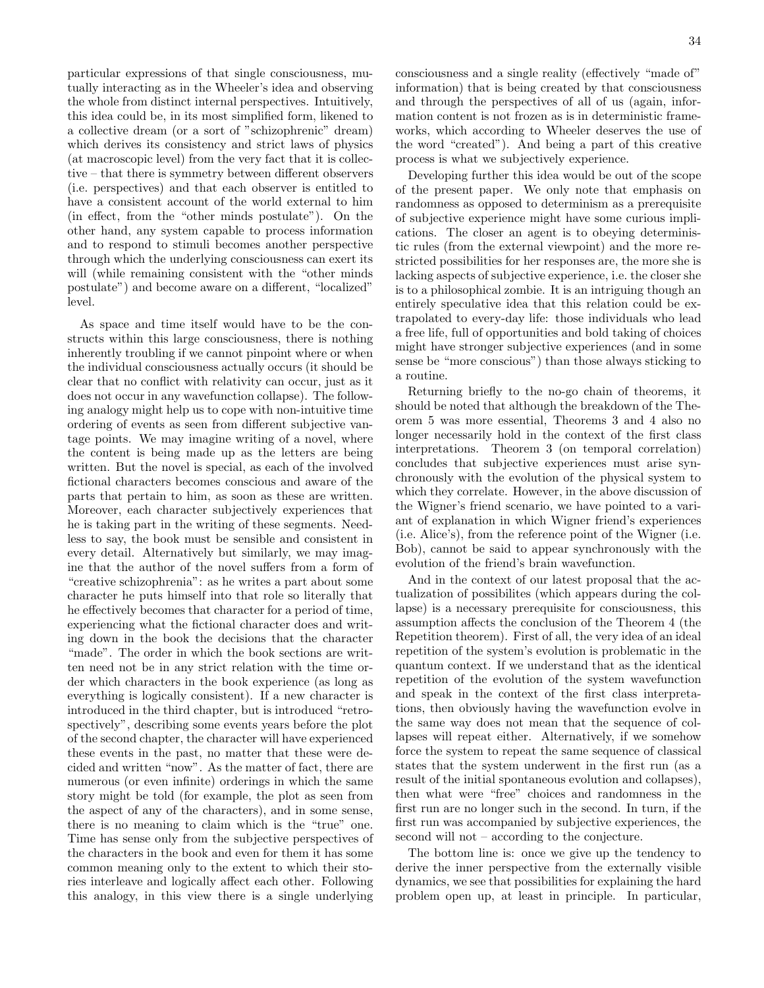particular expressions of that single consciousness, mutually interacting as in the Wheeler's idea and observing the whole from distinct internal perspectives. Intuitively, this idea could be, in its most simplified form, likened to a collective dream (or a sort of "schizophrenic" dream) which derives its consistency and strict laws of physics (at macroscopic level) from the very fact that it is collective – that there is symmetry between different observers (i.e. perspectives) and that each observer is entitled to have a consistent account of the world external to him (in effect, from the "other minds postulate"). On the other hand, any system capable to process information and to respond to stimuli becomes another perspective through which the underlying consciousness can exert its will (while remaining consistent with the "other minds") postulate") and become aware on a different, "localized" level.

As space and time itself would have to be the constructs within this large consciousness, there is nothing inherently troubling if we cannot pinpoint where or when the individual consciousness actually occurs (it should be clear that no conflict with relativity can occur, just as it does not occur in any wavefunction collapse). The following analogy might help us to cope with non-intuitive time ordering of events as seen from different subjective vantage points. We may imagine writing of a novel, where the content is being made up as the letters are being written. But the novel is special, as each of the involved fictional characters becomes conscious and aware of the parts that pertain to him, as soon as these are written. Moreover, each character subjectively experiences that he is taking part in the writing of these segments. Needless to say, the book must be sensible and consistent in every detail. Alternatively but similarly, we may imagine that the author of the novel suffers from a form of "creative schizophrenia": as he writes a part about some character he puts himself into that role so literally that he effectively becomes that character for a period of time, experiencing what the fictional character does and writing down in the book the decisions that the character "made". The order in which the book sections are written need not be in any strict relation with the time order which characters in the book experience (as long as everything is logically consistent). If a new character is introduced in the third chapter, but is introduced "retrospectively", describing some events years before the plot of the second chapter, the character will have experienced these events in the past, no matter that these were decided and written "now". As the matter of fact, there are numerous (or even infinite) orderings in which the same story might be told (for example, the plot as seen from the aspect of any of the characters), and in some sense, there is no meaning to claim which is the "true" one. Time has sense only from the subjective perspectives of the characters in the book and even for them it has some common meaning only to the extent to which their stories interleave and logically affect each other. Following this analogy, in this view there is a single underlying consciousness and a single reality (effectively "made of" information) that is being created by that consciousness and through the perspectives of all of us (again, information content is not frozen as is in deterministic frameworks, which according to Wheeler deserves the use of the word "created"). And being a part of this creative process is what we subjectively experience.

Developing further this idea would be out of the scope of the present paper. We only note that emphasis on randomness as opposed to determinism as a prerequisite of subjective experience might have some curious implications. The closer an agent is to obeying deterministic rules (from the external viewpoint) and the more restricted possibilities for her responses are, the more she is lacking aspects of subjective experience, i.e. the closer she is to a philosophical zombie. It is an intriguing though an entirely speculative idea that this relation could be extrapolated to every-day life: those individuals who lead a free life, full of opportunities and bold taking of choices might have stronger subjective experiences (and in some sense be "more conscious") than those always sticking to a routine.

Returning briefly to the no-go chain of theorems, it should be noted that although the breakdown of the Theorem 5 was more essential, Theorems 3 and 4 also no longer necessarily hold in the context of the first class interpretations. Theorem 3 (on temporal correlation) concludes that subjective experiences must arise synchronously with the evolution of the physical system to which they correlate. However, in the above discussion of the Wigner's friend scenario, we have pointed to a variant of explanation in which Wigner friend's experiences (i.e. Alice's), from the reference point of the Wigner (i.e. Bob), cannot be said to appear synchronously with the evolution of the friend's brain wavefunction.

And in the context of our latest proposal that the actualization of possibilites (which appears during the collapse) is a necessary prerequisite for consciousness, this assumption affects the conclusion of the Theorem 4 (the Repetition theorem). First of all, the very idea of an ideal repetition of the system's evolution is problematic in the quantum context. If we understand that as the identical repetition of the evolution of the system wavefunction and speak in the context of the first class interpretations, then obviously having the wavefunction evolve in the same way does not mean that the sequence of collapses will repeat either. Alternatively, if we somehow force the system to repeat the same sequence of classical states that the system underwent in the first run (as a result of the initial spontaneous evolution and collapses), then what were "free" choices and randomness in the first run are no longer such in the second. In turn, if the first run was accompanied by subjective experiences, the second will not – according to the conjecture.

The bottom line is: once we give up the tendency to derive the inner perspective from the externally visible dynamics, we see that possibilities for explaining the hard problem open up, at least in principle. In particular,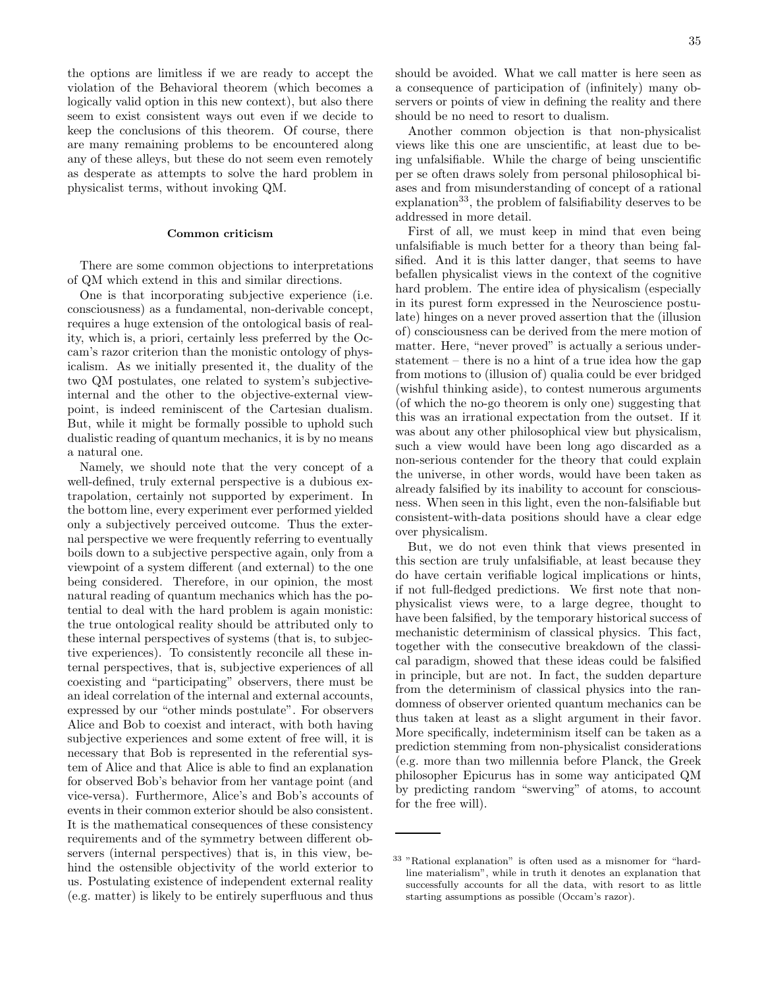the options are limitless if we are ready to accept the violation of the Behavioral theorem (which becomes a logically valid option in this new context), but also there seem to exist consistent ways out even if we decide to keep the conclusions of this theorem. Of course, there are many remaining problems to be encountered along any of these alleys, but these do not seem even remotely as desperate as attempts to solve the hard problem in physicalist terms, without invoking QM.

#### Common criticism

There are some common objections to interpretations of QM which extend in this and similar directions.

One is that incorporating subjective experience (i.e. consciousness) as a fundamental, non-derivable concept, requires a huge extension of the ontological basis of reality, which is, a priori, certainly less preferred by the Occam's razor criterion than the monistic ontology of physicalism. As we initially presented it, the duality of the two QM postulates, one related to system's subjectiveinternal and the other to the objective-external viewpoint, is indeed reminiscent of the Cartesian dualism. But, while it might be formally possible to uphold such dualistic reading of quantum mechanics, it is by no means a natural one.

Namely, we should note that the very concept of a well-defined, truly external perspective is a dubious extrapolation, certainly not supported by experiment. In the bottom line, every experiment ever performed yielded only a subjectively perceived outcome. Thus the external perspective we were frequently referring to eventually boils down to a subjective perspective again, only from a viewpoint of a system different (and external) to the one being considered. Therefore, in our opinion, the most natural reading of quantum mechanics which has the potential to deal with the hard problem is again monistic: the true ontological reality should be attributed only to these internal perspectives of systems (that is, to subjective experiences). To consistently reconcile all these internal perspectives, that is, subjective experiences of all coexisting and "participating" observers, there must be an ideal correlation of the internal and external accounts, expressed by our "other minds postulate". For observers Alice and Bob to coexist and interact, with both having subjective experiences and some extent of free will, it is necessary that Bob is represented in the referential system of Alice and that Alice is able to find an explanation for observed Bob's behavior from her vantage point (and vice-versa). Furthermore, Alice's and Bob's accounts of events in their common exterior should be also consistent. It is the mathematical consequences of these consistency requirements and of the symmetry between different observers (internal perspectives) that is, in this view, behind the ostensible objectivity of the world exterior to us. Postulating existence of independent external reality (e.g. matter) is likely to be entirely superfluous and thus

should be avoided. What we call matter is here seen as a consequence of participation of (infinitely) many observers or points of view in defining the reality and there should be no need to resort to dualism.

Another common objection is that non-physicalist views like this one are unscientific, at least due to being unfalsifiable. While the charge of being unscientific per se often draws solely from personal philosophical biases and from misunderstanding of concept of a rational  $explanation<sup>33</sup>$ , the problem of falsifiability deserves to be addressed in more detail.

First of all, we must keep in mind that even being unfalsifiable is much better for a theory than being falsified. And it is this latter danger, that seems to have befallen physicalist views in the context of the cognitive hard problem. The entire idea of physicalism (especially in its purest form expressed in the Neuroscience postulate) hinges on a never proved assertion that the (illusion of) consciousness can be derived from the mere motion of matter. Here, "never proved" is actually a serious understatement – there is no a hint of a true idea how the gap from motions to (illusion of) qualia could be ever bridged (wishful thinking aside), to contest numerous arguments (of which the no-go theorem is only one) suggesting that this was an irrational expectation from the outset. If it was about any other philosophical view but physicalism, such a view would have been long ago discarded as a non-serious contender for the theory that could explain the universe, in other words, would have been taken as already falsified by its inability to account for consciousness. When seen in this light, even the non-falsifiable but consistent-with-data positions should have a clear edge over physicalism.

But, we do not even think that views presented in this section are truly unfalsifiable, at least because they do have certain verifiable logical implications or hints, if not full-fledged predictions. We first note that nonphysicalist views were, to a large degree, thought to have been falsified, by the temporary historical success of mechanistic determinism of classical physics. This fact, together with the consecutive breakdown of the classical paradigm, showed that these ideas could be falsified in principle, but are not. In fact, the sudden departure from the determinism of classical physics into the randomness of observer oriented quantum mechanics can be thus taken at least as a slight argument in their favor. More specifically, indeterminism itself can be taken as a prediction stemming from non-physicalist considerations (e.g. more than two millennia before Planck, the Greek philosopher Epicurus has in some way anticipated QM by predicting random "swerving" of atoms, to account for the free will).

<sup>33</sup> "Rational explanation" is often used as a misnomer for "hardline materialism", while in truth it denotes an explanation that successfully accounts for all the data, with resort to as little starting assumptions as possible (Occam's razor).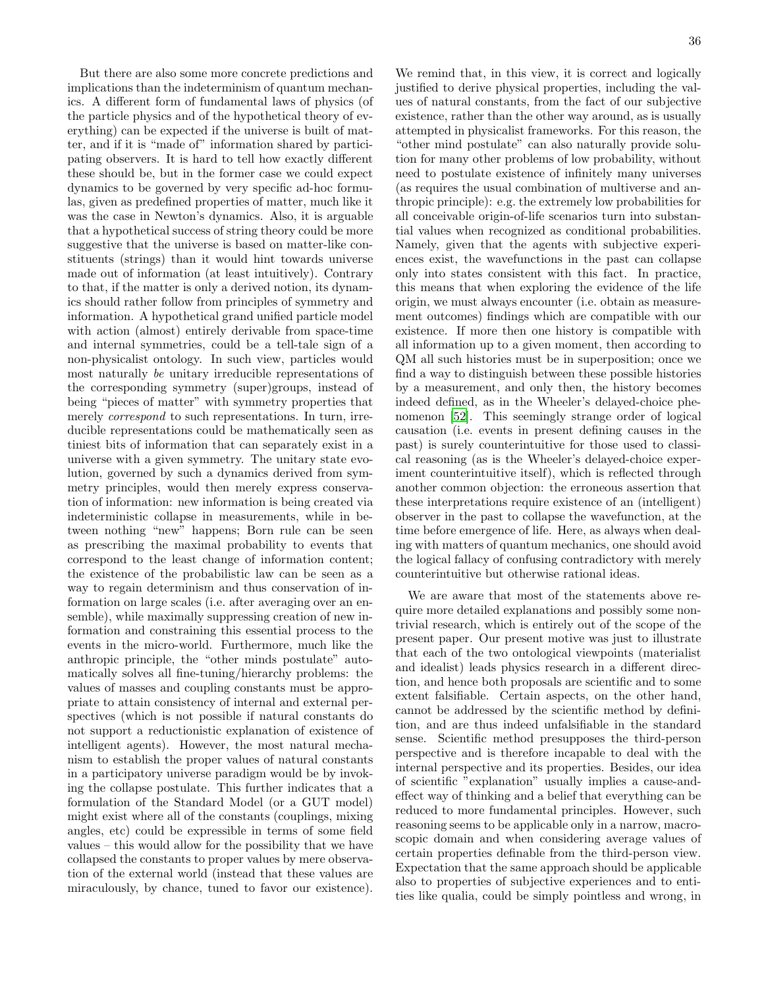36

But there are also some more concrete predictions and implications than the indeterminism of quantum mechanics. A different form of fundamental laws of physics (of the particle physics and of the hypothetical theory of everything) can be expected if the universe is built of matter, and if it is "made of" information shared by participating observers. It is hard to tell how exactly different these should be, but in the former case we could expect dynamics to be governed by very specific ad-hoc formulas, given as predefined properties of matter, much like it was the case in Newton's dynamics. Also, it is arguable that a hypothetical success of string theory could be more suggestive that the universe is based on matter-like constituents (strings) than it would hint towards universe made out of information (at least intuitively). Contrary to that, if the matter is only a derived notion, its dynamics should rather follow from principles of symmetry and information. A hypothetical grand unified particle model with action (almost) entirely derivable from space-time and internal symmetries, could be a tell-tale sign of a non-physicalist ontology. In such view, particles would most naturally be unitary irreducible representations of the corresponding symmetry (super)groups, instead of being "pieces of matter" with symmetry properties that merely *correspond* to such representations. In turn, irreducible representations could be mathematically seen as tiniest bits of information that can separately exist in a universe with a given symmetry. The unitary state evolution, governed by such a dynamics derived from symmetry principles, would then merely express conservation of information: new information is being created via indeterministic collapse in measurements, while in between nothing "new" happens; Born rule can be seen as prescribing the maximal probability to events that correspond to the least change of information content; the existence of the probabilistic law can be seen as a way to regain determinism and thus conservation of information on large scales (i.e. after averaging over an ensemble), while maximally suppressing creation of new information and constraining this essential process to the events in the micro-world. Furthermore, much like the anthropic principle, the "other minds postulate" automatically solves all fine-tuning/hierarchy problems: the values of masses and coupling constants must be appropriate to attain consistency of internal and external perspectives (which is not possible if natural constants do not support a reductionistic explanation of existence of intelligent agents). However, the most natural mechanism to establish the proper values of natural constants in a participatory universe paradigm would be by invoking the collapse postulate. This further indicates that a formulation of the Standard Model (or a GUT model) might exist where all of the constants (couplings, mixing angles, etc) could be expressible in terms of some field values – this would allow for the possibility that we have collapsed the constants to proper values by mere observation of the external world (instead that these values are miraculously, by chance, tuned to favor our existence).

We remind that, in this view, it is correct and logically justified to derive physical properties, including the values of natural constants, from the fact of our subjective existence, rather than the other way around, as is usually attempted in physicalist frameworks. For this reason, the "other mind postulate" can also naturally provide solution for many other problems of low probability, without need to postulate existence of infinitely many universes (as requires the usual combination of multiverse and anthropic principle): e.g. the extremely low probabilities for all conceivable origin-of-life scenarios turn into substantial values when recognized as conditional probabilities. Namely, given that the agents with subjective experiences exist, the wavefunctions in the past can collapse only into states consistent with this fact. In practice, this means that when exploring the evidence of the life origin, we must always encounter (i.e. obtain as measurement outcomes) findings which are compatible with our existence. If more then one history is compatible with all information up to a given moment, then according to QM all such histories must be in superposition; once we find a way to distinguish between these possible histories by a measurement, and only then, the history becomes indeed defined, as in the Wheeler's delayed-choice phenomenon [\[52\]](#page-48-27). This seemingly strange order of logical causation (i.e. events in present defining causes in the past) is surely counterintuitive for those used to classical reasoning (as is the Wheeler's delayed-choice experiment counterintuitive itself), which is reflected through another common objection: the erroneous assertion that these interpretations require existence of an (intelligent) observer in the past to collapse the wavefunction, at the time before emergence of life. Here, as always when dealing with matters of quantum mechanics, one should avoid the logical fallacy of confusing contradictory with merely counterintuitive but otherwise rational ideas.

We are aware that most of the statements above require more detailed explanations and possibly some nontrivial research, which is entirely out of the scope of the present paper. Our present motive was just to illustrate that each of the two ontological viewpoints (materialist and idealist) leads physics research in a different direction, and hence both proposals are scientific and to some extent falsifiable. Certain aspects, on the other hand, cannot be addressed by the scientific method by definition, and are thus indeed unfalsifiable in the standard sense. Scientific method presupposes the third-person perspective and is therefore incapable to deal with the internal perspective and its properties. Besides, our idea of scientific "explanation" usually implies a cause-andeffect way of thinking and a belief that everything can be reduced to more fundamental principles. However, such reasoning seems to be applicable only in a narrow, macroscopic domain and when considering average values of certain properties definable from the third-person view. Expectation that the same approach should be applicable also to properties of subjective experiences and to entities like qualia, could be simply pointless and wrong, in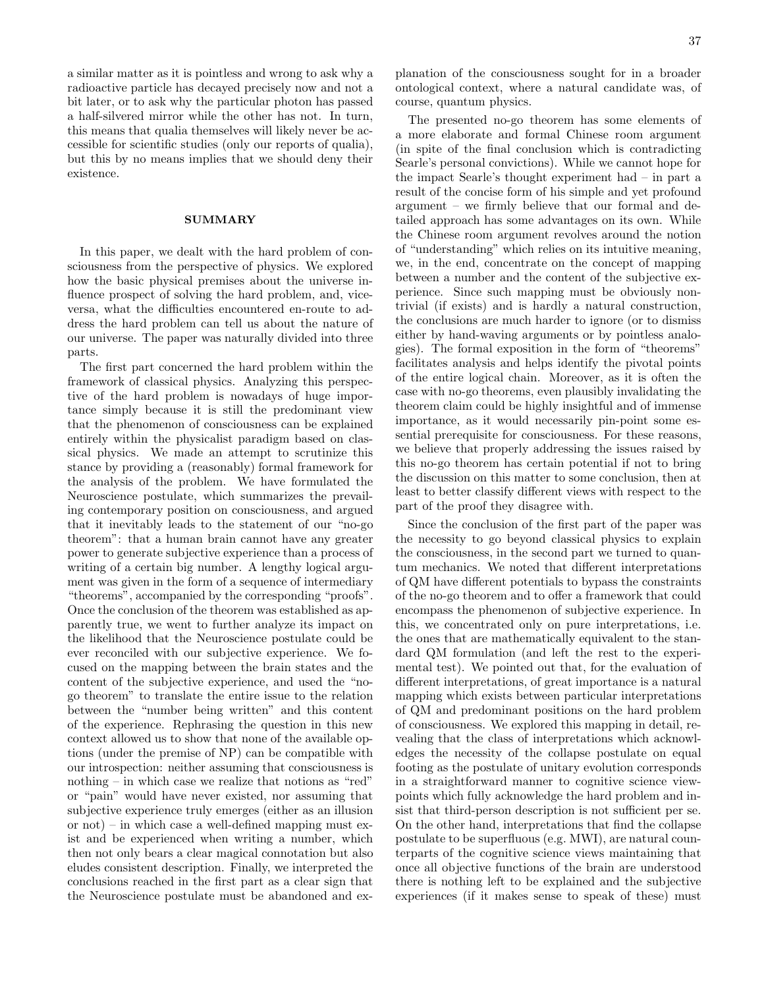a similar matter as it is pointless and wrong to ask why a radioactive particle has decayed precisely now and not a bit later, or to ask why the particular photon has passed a half-silvered mirror while the other has not. In turn, this means that qualia themselves will likely never be accessible for scientific studies (only our reports of qualia), but this by no means implies that we should deny their existence.

#### SUMMARY

In this paper, we dealt with the hard problem of consciousness from the perspective of physics. We explored how the basic physical premises about the universe influence prospect of solving the hard problem, and, viceversa, what the difficulties encountered en-route to address the hard problem can tell us about the nature of our universe. The paper was naturally divided into three parts.

The first part concerned the hard problem within the framework of classical physics. Analyzing this perspective of the hard problem is nowadays of huge importance simply because it is still the predominant view that the phenomenon of consciousness can be explained entirely within the physicalist paradigm based on classical physics. We made an attempt to scrutinize this stance by providing a (reasonably) formal framework for the analysis of the problem. We have formulated the Neuroscience postulate, which summarizes the prevailing contemporary position on consciousness, and argued that it inevitably leads to the statement of our "no-go theorem": that a human brain cannot have any greater power to generate subjective experience than a process of writing of a certain big number. A lengthy logical argument was given in the form of a sequence of intermediary "theorems", accompanied by the corresponding "proofs". Once the conclusion of the theorem was established as apparently true, we went to further analyze its impact on the likelihood that the Neuroscience postulate could be ever reconciled with our subjective experience. We focused on the mapping between the brain states and the content of the subjective experience, and used the "nogo theorem" to translate the entire issue to the relation between the "number being written" and this content of the experience. Rephrasing the question in this new context allowed us to show that none of the available options (under the premise of NP) can be compatible with our introspection: neither assuming that consciousness is nothing – in which case we realize that notions as "red" or "pain" would have never existed, nor assuming that subjective experience truly emerges (either as an illusion or not) – in which case a well-defined mapping must exist and be experienced when writing a number, which then not only bears a clear magical connotation but also eludes consistent description. Finally, we interpreted the conclusions reached in the first part as a clear sign that the Neuroscience postulate must be abandoned and explanation of the consciousness sought for in a broader ontological context, where a natural candidate was, of course, quantum physics.

The presented no-go theorem has some elements of a more elaborate and formal Chinese room argument (in spite of the final conclusion which is contradicting Searle's personal convictions). While we cannot hope for the impact Searle's thought experiment had – in part a result of the concise form of his simple and yet profound argument – we firmly believe that our formal and detailed approach has some advantages on its own. While the Chinese room argument revolves around the notion of "understanding" which relies on its intuitive meaning, we, in the end, concentrate on the concept of mapping between a number and the content of the subjective experience. Since such mapping must be obviously nontrivial (if exists) and is hardly a natural construction, the conclusions are much harder to ignore (or to dismiss either by hand-waving arguments or by pointless analogies). The formal exposition in the form of "theorems" facilitates analysis and helps identify the pivotal points of the entire logical chain. Moreover, as it is often the case with no-go theorems, even plausibly invalidating the theorem claim could be highly insightful and of immense importance, as it would necessarily pin-point some essential prerequisite for consciousness. For these reasons, we believe that properly addressing the issues raised by this no-go theorem has certain potential if not to bring the discussion on this matter to some conclusion, then at least to better classify different views with respect to the part of the proof they disagree with.

Since the conclusion of the first part of the paper was the necessity to go beyond classical physics to explain the consciousness, in the second part we turned to quantum mechanics. We noted that different interpretations of QM have different potentials to bypass the constraints of the no-go theorem and to offer a framework that could encompass the phenomenon of subjective experience. In this, we concentrated only on pure interpretations, i.e. the ones that are mathematically equivalent to the standard QM formulation (and left the rest to the experimental test). We pointed out that, for the evaluation of different interpretations, of great importance is a natural mapping which exists between particular interpretations of QM and predominant positions on the hard problem of consciousness. We explored this mapping in detail, revealing that the class of interpretations which acknowledges the necessity of the collapse postulate on equal footing as the postulate of unitary evolution corresponds in a straightforward manner to cognitive science viewpoints which fully acknowledge the hard problem and insist that third-person description is not sufficient per se. On the other hand, interpretations that find the collapse postulate to be superfluous (e.g. MWI), are natural counterparts of the cognitive science views maintaining that once all objective functions of the brain are understood there is nothing left to be explained and the subjective experiences (if it makes sense to speak of these) must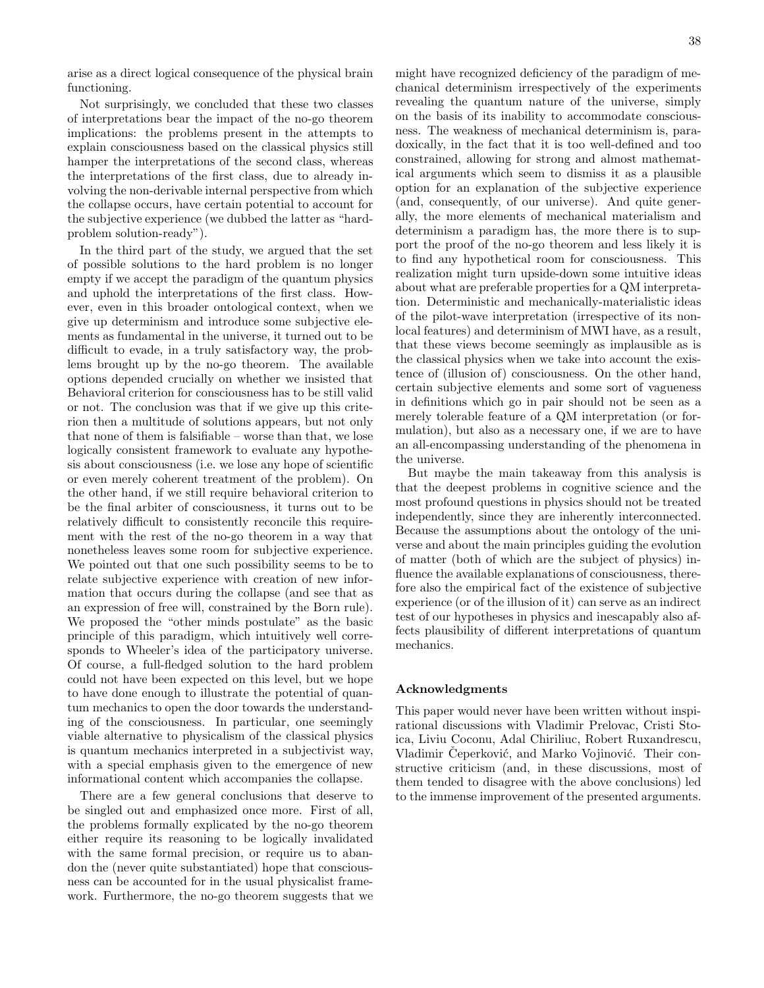arise as a direct logical consequence of the physical brain functioning.

Not surprisingly, we concluded that these two classes of interpretations bear the impact of the no-go theorem implications: the problems present in the attempts to explain consciousness based on the classical physics still hamper the interpretations of the second class, whereas the interpretations of the first class, due to already involving the non-derivable internal perspective from which the collapse occurs, have certain potential to account for the subjective experience (we dubbed the latter as "hardproblem solution-ready").

In the third part of the study, we argued that the set of possible solutions to the hard problem is no longer empty if we accept the paradigm of the quantum physics and uphold the interpretations of the first class. However, even in this broader ontological context, when we give up determinism and introduce some subjective elements as fundamental in the universe, it turned out to be difficult to evade, in a truly satisfactory way, the problems brought up by the no-go theorem. The available options depended crucially on whether we insisted that Behavioral criterion for consciousness has to be still valid or not. The conclusion was that if we give up this criterion then a multitude of solutions appears, but not only that none of them is falsifiable – worse than that, we lose logically consistent framework to evaluate any hypothesis about consciousness (i.e. we lose any hope of scientific or even merely coherent treatment of the problem). On the other hand, if we still require behavioral criterion to be the final arbiter of consciousness, it turns out to be relatively difficult to consistently reconcile this requirement with the rest of the no-go theorem in a way that nonetheless leaves some room for subjective experience. We pointed out that one such possibility seems to be to relate subjective experience with creation of new information that occurs during the collapse (and see that as an expression of free will, constrained by the Born rule). We proposed the "other minds postulate" as the basic principle of this paradigm, which intuitively well corresponds to Wheeler's idea of the participatory universe. Of course, a full-fledged solution to the hard problem could not have been expected on this level, but we hope to have done enough to illustrate the potential of quantum mechanics to open the door towards the understanding of the consciousness. In particular, one seemingly viable alternative to physicalism of the classical physics is quantum mechanics interpreted in a subjectivist way, with a special emphasis given to the emergence of new informational content which accompanies the collapse.

There are a few general conclusions that deserve to be singled out and emphasized once more. First of all, the problems formally explicated by the no-go theorem either require its reasoning to be logically invalidated with the same formal precision, or require us to abandon the (never quite substantiated) hope that consciousness can be accounted for in the usual physicalist framework. Furthermore, the no-go theorem suggests that we might have recognized deficiency of the paradigm of mechanical determinism irrespectively of the experiments revealing the quantum nature of the universe, simply on the basis of its inability to accommodate consciousness. The weakness of mechanical determinism is, paradoxically, in the fact that it is too well-defined and too constrained, allowing for strong and almost mathematical arguments which seem to dismiss it as a plausible option for an explanation of the subjective experience (and, consequently, of our universe). And quite generally, the more elements of mechanical materialism and determinism a paradigm has, the more there is to support the proof of the no-go theorem and less likely it is to find any hypothetical room for consciousness. This realization might turn upside-down some intuitive ideas about what are preferable properties for a QM interpretation. Deterministic and mechanically-materialistic ideas of the pilot-wave interpretation (irrespective of its nonlocal features) and determinism of MWI have, as a result, that these views become seemingly as implausible as is the classical physics when we take into account the existence of (illusion of) consciousness. On the other hand, certain subjective elements and some sort of vagueness in definitions which go in pair should not be seen as a merely tolerable feature of a QM interpretation (or formulation), but also as a necessary one, if we are to have an all-encompassing understanding of the phenomena in the universe.

But maybe the main takeaway from this analysis is that the deepest problems in cognitive science and the most profound questions in physics should not be treated independently, since they are inherently interconnected. Because the assumptions about the ontology of the universe and about the main principles guiding the evolution of matter (both of which are the subject of physics) influence the available explanations of consciousness, therefore also the empirical fact of the existence of subjective experience (or of the illusion of it) can serve as an indirect test of our hypotheses in physics and inescapably also affects plausibility of different interpretations of quantum mechanics.

## Acknowledgments

This paper would never have been written without inspirational discussions with Vladimir Prelovac, Cristi Stoica, Liviu Coconu, Adal Chiriliuc, Robert Ruxandrescu, Vladimir Čeperković, and Marko Vojinović. Their constructive criticism (and, in these discussions, most of them tended to disagree with the above conclusions) led to the immense improvement of the presented arguments.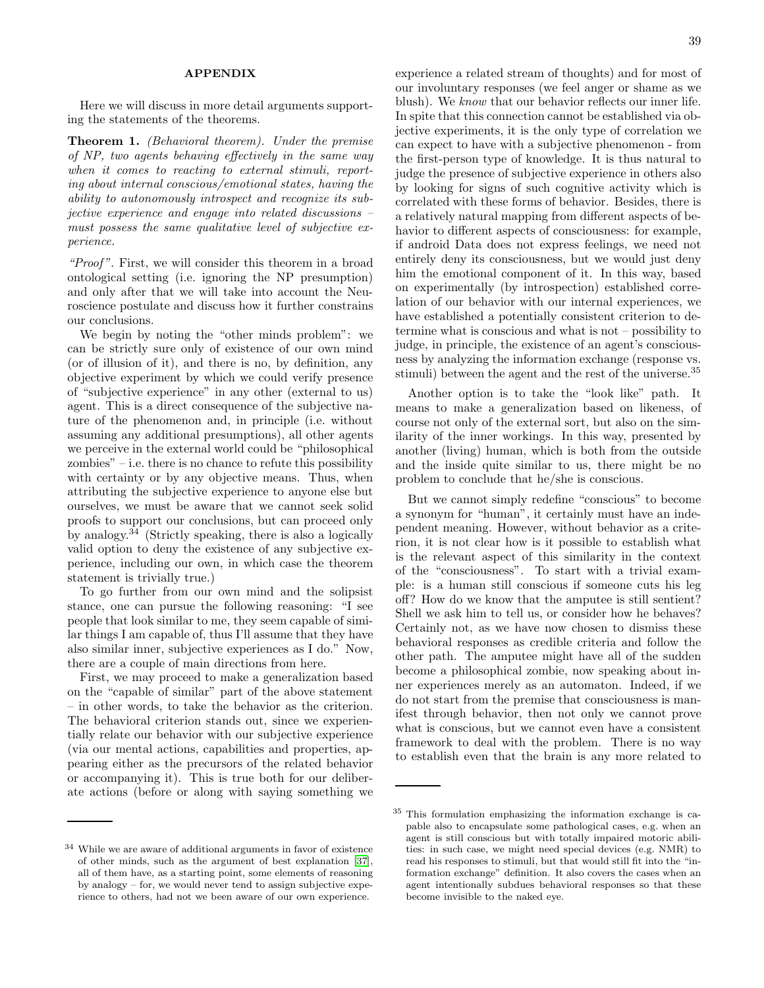## APPENDIX

Here we will discuss in more detail arguments supporting the statements of the theorems.

Theorem 1. (Behavioral theorem). Under the premise of NP, two agents behaving effectively in the same way when it comes to reacting to external stimuli, reporting about internal conscious/emotional states, having the ability to autonomously introspect and recognize its subjective experience and engage into related discussions – must possess the same qualitative level of subjective experience.

"Proof". First, we will consider this theorem in a broad ontological setting (i.e. ignoring the NP presumption) and only after that we will take into account the Neuroscience postulate and discuss how it further constrains our conclusions.

We begin by noting the "other minds problem": we can be strictly sure only of existence of our own mind (or of illusion of it), and there is no, by definition, any objective experiment by which we could verify presence of "subjective experience" in any other (external to us) agent. This is a direct consequence of the subjective nature of the phenomenon and, in principle (i.e. without assuming any additional presumptions), all other agents we perceive in the external world could be "philosophical zombies" – i.e. there is no chance to refute this possibility with certainty or by any objective means. Thus, when attributing the subjective experience to anyone else but ourselves, we must be aware that we cannot seek solid proofs to support our conclusions, but can proceed only by analogy.<sup>34</sup> (Strictly speaking, there is also a logically valid option to deny the existence of any subjective experience, including our own, in which case the theorem statement is trivially true.)

To go further from our own mind and the solipsist stance, one can pursue the following reasoning: "I see people that look similar to me, they seem capable of similar things I am capable of, thus I'll assume that they have also similar inner, subjective experiences as I do." Now, there are a couple of main directions from here.

First, we may proceed to make a generalization based on the "capable of similar" part of the above statement – in other words, to take the behavior as the criterion. The behavioral criterion stands out, since we experientially relate our behavior with our subjective experience (via our mental actions, capabilities and properties, appearing either as the precursors of the related behavior or accompanying it). This is true both for our deliberate actions (before or along with saying something we

experience a related stream of thoughts) and for most of our involuntary responses (we feel anger or shame as we blush). We know that our behavior reflects our inner life. In spite that this connection cannot be established via objective experiments, it is the only type of correlation we can expect to have with a subjective phenomenon - from the first-person type of knowledge. It is thus natural to judge the presence of subjective experience in others also by looking for signs of such cognitive activity which is correlated with these forms of behavior. Besides, there is a relatively natural mapping from different aspects of behavior to different aspects of consciousness: for example, if android Data does not express feelings, we need not entirely deny its consciousness, but we would just deny him the emotional component of it. In this way, based on experimentally (by introspection) established correlation of our behavior with our internal experiences, we have established a potentially consistent criterion to determine what is conscious and what is not – possibility to judge, in principle, the existence of an agent's consciousness by analyzing the information exchange (response vs. stimuli) between the agent and the rest of the universe.<sup>35</sup>

Another option is to take the "look like" path. It means to make a generalization based on likeness, of course not only of the external sort, but also on the similarity of the inner workings. In this way, presented by another (living) human, which is both from the outside and the inside quite similar to us, there might be no problem to conclude that he/she is conscious.

But we cannot simply redefine "conscious" to become a synonym for "human", it certainly must have an independent meaning. However, without behavior as a criterion, it is not clear how is it possible to establish what is the relevant aspect of this similarity in the context of the "consciousness". To start with a trivial example: is a human still conscious if someone cuts his leg off? How do we know that the amputee is still sentient? Shell we ask him to tell us, or consider how he behaves? Certainly not, as we have now chosen to dismiss these behavioral responses as credible criteria and follow the other path. The amputee might have all of the sudden become a philosophical zombie, now speaking about inner experiences merely as an automaton. Indeed, if we do not start from the premise that consciousness is manifest through behavior, then not only we cannot prove what is conscious, but we cannot even have a consistent framework to deal with the problem. There is no way to establish even that the brain is any more related to

<sup>34</sup> While we are aware of additional arguments in favor of existence of other minds, such as the argument of best explanation [\[37](#page-48-12)], all of them have, as a starting point, some elements of reasoning by analogy – for, we would never tend to assign subjective experience to others, had not we been aware of our own experience.

<sup>35</sup> This formulation emphasizing the information exchange is capable also to encapsulate some pathological cases, e.g. when an agent is still conscious but with totally impaired motoric abilities: in such case, we might need special devices (e.g. NMR) to read his responses to stimuli, but that would still fit into the "information exchange" definition. It also covers the cases when an agent intentionally subdues behavioral responses so that these become invisible to the naked eye.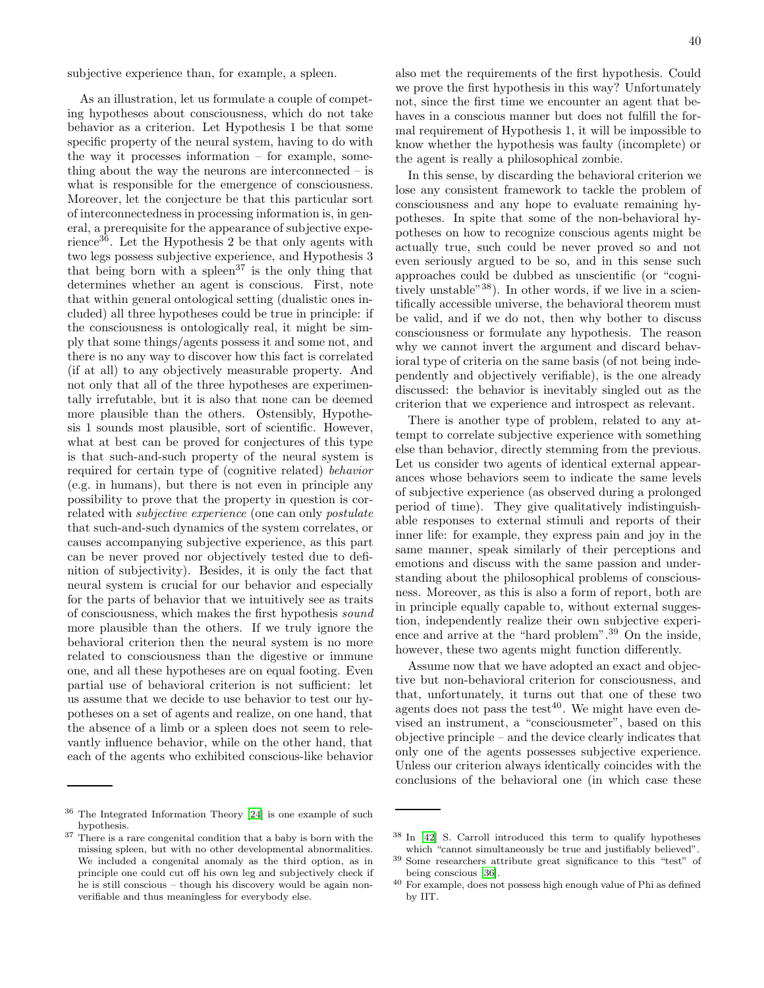subjective experience than, for example, a spleen.

As an illustration, let us formulate a couple of competing hypotheses about consciousness, which do not take behavior as a criterion. Let Hypothesis 1 be that some specific property of the neural system, having to do with the way it processes information – for example, something about the way the neurons are interconnected – is what is responsible for the emergence of consciousness. Moreover, let the conjecture be that this particular sort of interconnectedness in processing information is, in general, a prerequisite for the appearance of subjective experience<sup>36</sup>. Let the Hypothesis 2 be that only agents with two legs possess subjective experience, and Hypothesis 3 that being born with a spleen<sup>37</sup> is the only thing that determines whether an agent is conscious. First, note that within general ontological setting (dualistic ones included) all three hypotheses could be true in principle: if the consciousness is ontologically real, it might be simply that some things/agents possess it and some not, and there is no any way to discover how this fact is correlated (if at all) to any objectively measurable property. And not only that all of the three hypotheses are experimentally irrefutable, but it is also that none can be deemed more plausible than the others. Ostensibly, Hypothesis 1 sounds most plausible, sort of scientific. However, what at best can be proved for conjectures of this type is that such-and-such property of the neural system is required for certain type of (cognitive related) behavior (e.g. in humans), but there is not even in principle any possibility to prove that the property in question is correlated with subjective experience (one can only postulate that such-and-such dynamics of the system correlates, or causes accompanying subjective experience, as this part can be never proved nor objectively tested due to definition of subjectivity). Besides, it is only the fact that neural system is crucial for our behavior and especially for the parts of behavior that we intuitively see as traits of consciousness, which makes the first hypothesis sound more plausible than the others. If we truly ignore the behavioral criterion then the neural system is no more related to consciousness than the digestive or immune one, and all these hypotheses are on equal footing. Even partial use of behavioral criterion is not sufficient: let us assume that we decide to use behavior to test our hypotheses on a set of agents and realize, on one hand, that the absence of a limb or a spleen does not seem to relevantly influence behavior, while on the other hand, that each of the agents who exhibited conscious-like behavior

also met the requirements of the first hypothesis. Could we prove the first hypothesis in this way? Unfortunately not, since the first time we encounter an agent that behaves in a conscious manner but does not fulfill the formal requirement of Hypothesis 1, it will be impossible to know whether the hypothesis was faulty (incomplete) or the agent is really a philosophical zombie.

In this sense, by discarding the behavioral criterion we lose any consistent framework to tackle the problem of consciousness and any hope to evaluate remaining hypotheses. In spite that some of the non-behavioral hypotheses on how to recognize conscious agents might be actually true, such could be never proved so and not even seriously argued to be so, and in this sense such approaches could be dubbed as unscientific (or "cognitively unstable"<sup>38</sup>). In other words, if we live in a scientifically accessible universe, the behavioral theorem must be valid, and if we do not, then why bother to discuss consciousness or formulate any hypothesis. The reason why we cannot invert the argument and discard behavioral type of criteria on the same basis (of not being independently and objectively verifiable), is the one already discussed: the behavior is inevitably singled out as the criterion that we experience and introspect as relevant.

There is another type of problem, related to any attempt to correlate subjective experience with something else than behavior, directly stemming from the previous. Let us consider two agents of identical external appearances whose behaviors seem to indicate the same levels of subjective experience (as observed during a prolonged period of time). They give qualitatively indistinguishable responses to external stimuli and reports of their inner life: for example, they express pain and joy in the same manner, speak similarly of their perceptions and emotions and discuss with the same passion and understanding about the philosophical problems of consciousness. Moreover, as this is also a form of report, both are in principle equally capable to, without external suggestion, independently realize their own subjective experience and arrive at the "hard problem".<sup>39</sup> On the inside, however, these two agents might function differently.

Assume now that we have adopted an exact and objective but non-behavioral criterion for consciousness, and that, unfortunately, it turns out that one of these two agents does not pass the test<sup>40</sup>. We might have even devised an instrument, a "consciousmeter", based on this objective principle – and the device clearly indicates that only one of the agents possesses subjective experience. Unless our criterion always identically coincides with the conclusions of the behavioral one (in which case these

<sup>36</sup> The Integrated Information Theory [\[24](#page-48-31)] is one example of such hypothesis.

<sup>&</sup>lt;sup>37</sup> There is a rare congenital condition that a baby is born with the missing spleen, but with no other developmental abnormalities. We included a congenital anomaly as the third option, as in principle one could cut off his own leg and subjectively check if he is still conscious – though his discovery would be again nonverifiable and thus meaningless for everybody else.

<sup>38</sup> In [\[42](#page-48-17)] S. Carroll introduced this term to qualify hypotheses which "cannot simultaneously be true and justifiably believed".

<sup>39</sup> Some researchers attribute great significance to this "test" of being conscious [\[36](#page-48-11)].

<sup>40</sup> For example, does not possess high enough value of Phi as defined by IIT.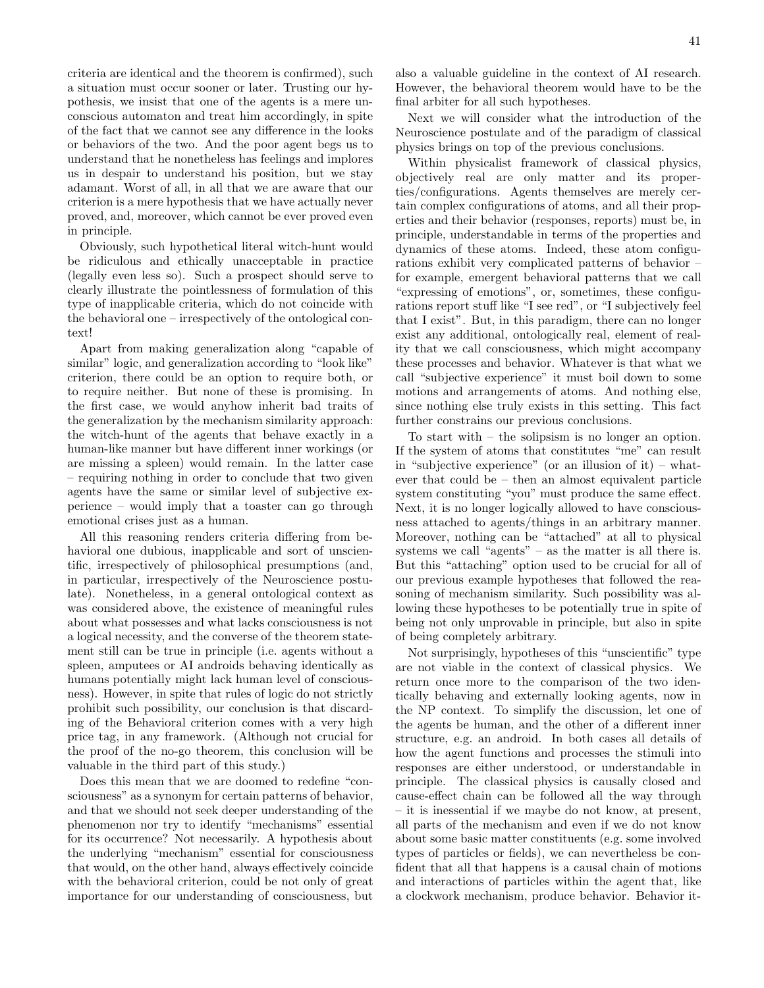criteria are identical and the theorem is confirmed), such a situation must occur sooner or later. Trusting our hypothesis, we insist that one of the agents is a mere unconscious automaton and treat him accordingly, in spite of the fact that we cannot see any difference in the looks or behaviors of the two. And the poor agent begs us to understand that he nonetheless has feelings and implores us in despair to understand his position, but we stay adamant. Worst of all, in all that we are aware that our criterion is a mere hypothesis that we have actually never proved, and, moreover, which cannot be ever proved even in principle.

Obviously, such hypothetical literal witch-hunt would be ridiculous and ethically unacceptable in practice (legally even less so). Such a prospect should serve to clearly illustrate the pointlessness of formulation of this type of inapplicable criteria, which do not coincide with the behavioral one – irrespectively of the ontological context!

Apart from making generalization along "capable of similar" logic, and generalization according to "look like" criterion, there could be an option to require both, or to require neither. But none of these is promising. In the first case, we would anyhow inherit bad traits of the generalization by the mechanism similarity approach: the witch-hunt of the agents that behave exactly in a human-like manner but have different inner workings (or are missing a spleen) would remain. In the latter case – requiring nothing in order to conclude that two given agents have the same or similar level of subjective experience – would imply that a toaster can go through emotional crises just as a human.

All this reasoning renders criteria differing from behavioral one dubious, inapplicable and sort of unscientific, irrespectively of philosophical presumptions (and, in particular, irrespectively of the Neuroscience postulate). Nonetheless, in a general ontological context as was considered above, the existence of meaningful rules about what possesses and what lacks consciousness is not a logical necessity, and the converse of the theorem statement still can be true in principle (i.e. agents without a spleen, amputees or AI androids behaving identically as humans potentially might lack human level of consciousness). However, in spite that rules of logic do not strictly prohibit such possibility, our conclusion is that discarding of the Behavioral criterion comes with a very high price tag, in any framework. (Although not crucial for the proof of the no-go theorem, this conclusion will be valuable in the third part of this study.)

Does this mean that we are doomed to redefine "consciousness" as a synonym for certain patterns of behavior, and that we should not seek deeper understanding of the phenomenon nor try to identify "mechanisms" essential for its occurrence? Not necessarily. A hypothesis about the underlying "mechanism" essential for consciousness that would, on the other hand, always effectively coincide with the behavioral criterion, could be not only of great importance for our understanding of consciousness, but

also a valuable guideline in the context of AI research. However, the behavioral theorem would have to be the final arbiter for all such hypotheses.

Next we will consider what the introduction of the Neuroscience postulate and of the paradigm of classical physics brings on top of the previous conclusions.

Within physicalist framework of classical physics, objectively real are only matter and its properties/configurations. Agents themselves are merely certain complex configurations of atoms, and all their properties and their behavior (responses, reports) must be, in principle, understandable in terms of the properties and dynamics of these atoms. Indeed, these atom configurations exhibit very complicated patterns of behavior – for example, emergent behavioral patterns that we call "expressing of emotions", or, sometimes, these configurations report stuff like "I see red", or "I subjectively feel that I exist". But, in this paradigm, there can no longer exist any additional, ontologically real, element of reality that we call consciousness, which might accompany these processes and behavior. Whatever is that what we call "subjective experience" it must boil down to some motions and arrangements of atoms. And nothing else, since nothing else truly exists in this setting. This fact further constrains our previous conclusions.

To start with – the solipsism is no longer an option. If the system of atoms that constitutes "me" can result in "subjective experience" (or an illusion of it) – whatever that could be – then an almost equivalent particle system constituting "you" must produce the same effect. Next, it is no longer logically allowed to have consciousness attached to agents/things in an arbitrary manner. Moreover, nothing can be "attached" at all to physical systems we call "agents" – as the matter is all there is. But this "attaching" option used to be crucial for all of our previous example hypotheses that followed the reasoning of mechanism similarity. Such possibility was allowing these hypotheses to be potentially true in spite of being not only unprovable in principle, but also in spite of being completely arbitrary.

Not surprisingly, hypotheses of this "unscientific" type are not viable in the context of classical physics. We return once more to the comparison of the two identically behaving and externally looking agents, now in the NP context. To simplify the discussion, let one of the agents be human, and the other of a different inner structure, e.g. an android. In both cases all details of how the agent functions and processes the stimuli into responses are either understood, or understandable in principle. The classical physics is causally closed and cause-effect chain can be followed all the way through – it is inessential if we maybe do not know, at present, all parts of the mechanism and even if we do not know about some basic matter constituents (e.g. some involved types of particles or fields), we can nevertheless be confident that all that happens is a causal chain of motions and interactions of particles within the agent that, like a clockwork mechanism, produce behavior. Behavior it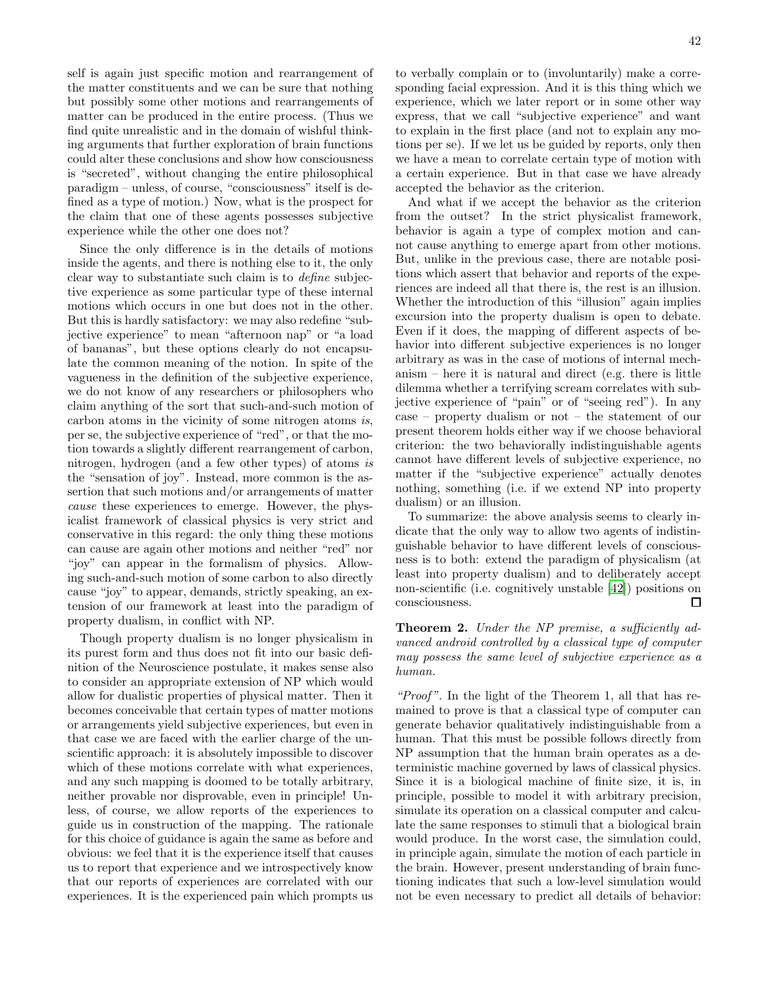self is again just specific motion and rearrangement of the matter constituents and we can be sure that nothing but possibly some other motions and rearrangements of matter can be produced in the entire process. (Thus we find quite unrealistic and in the domain of wishful thinking arguments that further exploration of brain functions could alter these conclusions and show how consciousness is "secreted", without changing the entire philosophical paradigm – unless, of course, "consciousness" itself is defined as a type of motion.) Now, what is the prospect for the claim that one of these agents possesses subjective experience while the other one does not?

Since the only difference is in the details of motions inside the agents, and there is nothing else to it, the only clear way to substantiate such claim is to define subjective experience as some particular type of these internal motions which occurs in one but does not in the other. But this is hardly satisfactory: we may also redefine "subjective experience" to mean "afternoon nap" or "a load of bananas", but these options clearly do not encapsulate the common meaning of the notion. In spite of the vagueness in the definition of the subjective experience, we do not know of any researchers or philosophers who claim anything of the sort that such-and-such motion of carbon atoms in the vicinity of some nitrogen atoms is, per se, the subjective experience of "red", or that the motion towards a slightly different rearrangement of carbon, nitrogen, hydrogen (and a few other types) of atoms is the "sensation of joy". Instead, more common is the assertion that such motions and/or arrangements of matter cause these experiences to emerge. However, the physicalist framework of classical physics is very strict and conservative in this regard: the only thing these motions can cause are again other motions and neither "red" nor "joy" can appear in the formalism of physics. Allowing such-and-such motion of some carbon to also directly cause "joy" to appear, demands, strictly speaking, an extension of our framework at least into the paradigm of property dualism, in conflict with NP.

Though property dualism is no longer physicalism in its purest form and thus does not fit into our basic definition of the Neuroscience postulate, it makes sense also to consider an appropriate extension of NP which would allow for dualistic properties of physical matter. Then it becomes conceivable that certain types of matter motions or arrangements yield subjective experiences, but even in that case we are faced with the earlier charge of the unscientific approach: it is absolutely impossible to discover which of these motions correlate with what experiences, and any such mapping is doomed to be totally arbitrary, neither provable nor disprovable, even in principle! Unless, of course, we allow reports of the experiences to guide us in construction of the mapping. The rationale for this choice of guidance is again the same as before and obvious: we feel that it is the experience itself that causes us to report that experience and we introspectively know that our reports of experiences are correlated with our experiences. It is the experienced pain which prompts us 42

to verbally complain or to (involuntarily) make a corresponding facial expression. And it is this thing which we experience, which we later report or in some other way express, that we call "subjective experience" and want to explain in the first place (and not to explain any motions per se). If we let us be guided by reports, only then we have a mean to correlate certain type of motion with a certain experience. But in that case we have already accepted the behavior as the criterion.

And what if we accept the behavior as the criterion from the outset? In the strict physicalist framework, behavior is again a type of complex motion and cannot cause anything to emerge apart from other motions. But, unlike in the previous case, there are notable positions which assert that behavior and reports of the experiences are indeed all that there is, the rest is an illusion. Whether the introduction of this "illusion" again implies excursion into the property dualism is open to debate. Even if it does, the mapping of different aspects of behavior into different subjective experiences is no longer arbitrary as was in the case of motions of internal mechanism – here it is natural and direct (e.g. there is little dilemma whether a terrifying scream correlates with subjective experience of "pain" or of "seeing red"). In any case – property dualism or not – the statement of our present theorem holds either way if we choose behavioral criterion: the two behaviorally indistinguishable agents cannot have different levels of subjective experience, no matter if the "subjective experience" actually denotes nothing, something (i.e. if we extend NP into property dualism) or an illusion.

To summarize: the above analysis seems to clearly indicate that the only way to allow two agents of indistinguishable behavior to have different levels of consciousness is to both: extend the paradigm of physicalism (at least into property dualism) and to deliberately accept non-scientific (i.e. cognitively unstable [\[42\]](#page-48-17)) positions on consciousness.  $\Box$ 

# **Theorem 2.** Under the NP premise, a sufficiently advanced android controlled by a classical type of computer may possess the same level of subjective experience as a human.

"Proof". In the light of the Theorem 1, all that has remained to prove is that a classical type of computer can generate behavior qualitatively indistinguishable from a human. That this must be possible follows directly from NP assumption that the human brain operates as a deterministic machine governed by laws of classical physics. Since it is a biological machine of finite size, it is, in principle, possible to model it with arbitrary precision, simulate its operation on a classical computer and calculate the same responses to stimuli that a biological brain would produce. In the worst case, the simulation could, in principle again, simulate the motion of each particle in the brain. However, present understanding of brain functioning indicates that such a low-level simulation would not be even necessary to predict all details of behavior: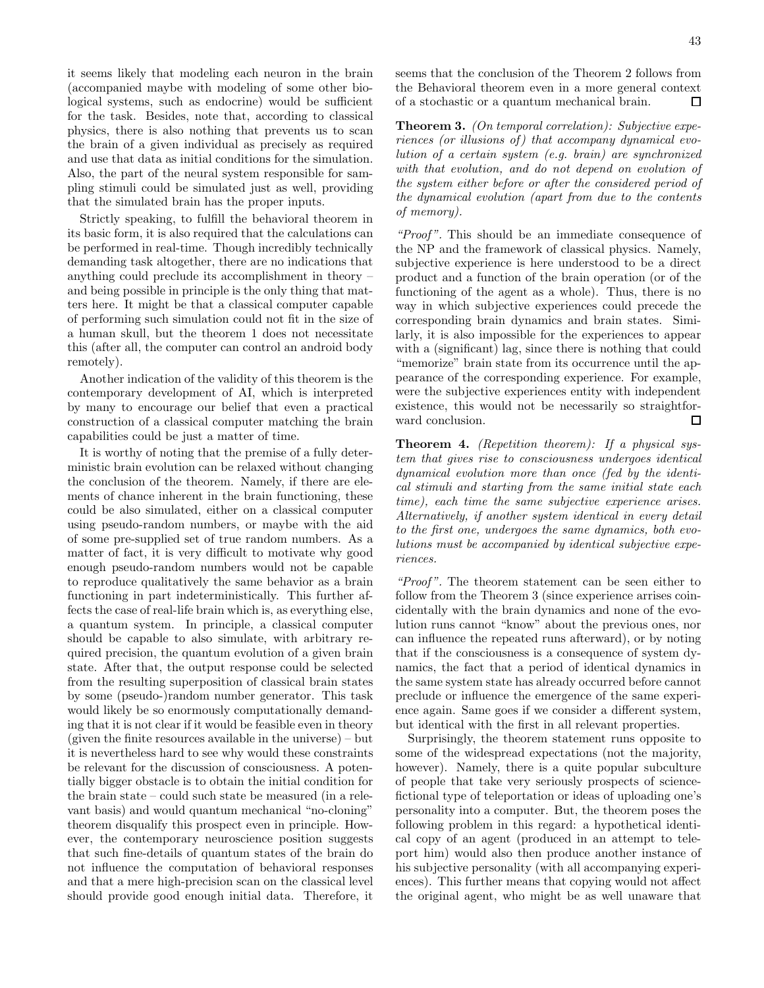it seems likely that modeling each neuron in the brain (accompanied maybe with modeling of some other biological systems, such as endocrine) would be sufficient for the task. Besides, note that, according to classical physics, there is also nothing that prevents us to scan the brain of a given individual as precisely as required and use that data as initial conditions for the simulation. Also, the part of the neural system responsible for sampling stimuli could be simulated just as well, providing that the simulated brain has the proper inputs.

Strictly speaking, to fulfill the behavioral theorem in its basic form, it is also required that the calculations can be performed in real-time. Though incredibly technically demanding task altogether, there are no indications that anything could preclude its accomplishment in theory – and being possible in principle is the only thing that matters here. It might be that a classical computer capable of performing such simulation could not fit in the size of a human skull, but the theorem 1 does not necessitate this (after all, the computer can control an android body remotely).

Another indication of the validity of this theorem is the contemporary development of AI, which is interpreted by many to encourage our belief that even a practical construction of a classical computer matching the brain capabilities could be just a matter of time.

It is worthy of noting that the premise of a fully deterministic brain evolution can be relaxed without changing the conclusion of the theorem. Namely, if there are elements of chance inherent in the brain functioning, these could be also simulated, either on a classical computer using pseudo-random numbers, or maybe with the aid of some pre-supplied set of true random numbers. As a matter of fact, it is very difficult to motivate why good enough pseudo-random numbers would not be capable to reproduce qualitatively the same behavior as a brain functioning in part indeterministically. This further affects the case of real-life brain which is, as everything else, a quantum system. In principle, a classical computer should be capable to also simulate, with arbitrary required precision, the quantum evolution of a given brain state. After that, the output response could be selected from the resulting superposition of classical brain states by some (pseudo-)random number generator. This task would likely be so enormously computationally demanding that it is not clear if it would be feasible even in theory (given the finite resources available in the universe) – but it is nevertheless hard to see why would these constraints be relevant for the discussion of consciousness. A potentially bigger obstacle is to obtain the initial condition for the brain state – could such state be measured (in a relevant basis) and would quantum mechanical "no-cloning" theorem disqualify this prospect even in principle. However, the contemporary neuroscience position suggests that such fine-details of quantum states of the brain do not influence the computation of behavioral responses and that a mere high-precision scan on the classical level should provide good enough initial data. Therefore, it seems that the conclusion of the Theorem 2 follows from the Behavioral theorem even in a more general context of a stochastic or a quantum mechanical brain.  $\Box$ 

Theorem 3. (On temporal correlation): Subjective experiences (or illusions of) that accompany dynamical evolution of a certain system (e.g. brain) are synchronized with that evolution, and do not depend on evolution of the system either before or after the considered period of the dynamical evolution (apart from due to the contents of memory).

"Proof". This should be an immediate consequence of the NP and the framework of classical physics. Namely, subjective experience is here understood to be a direct product and a function of the brain operation (or of the functioning of the agent as a whole). Thus, there is no way in which subjective experiences could precede the corresponding brain dynamics and brain states. Similarly, it is also impossible for the experiences to appear with a (significant) lag, since there is nothing that could "memorize" brain state from its occurrence until the appearance of the corresponding experience. For example, were the subjective experiences entity with independent existence, this would not be necessarily so straightforward conclusion. □

**Theorem 4.** (Repetition theorem): If a physical system that gives rise to consciousness undergoes identical dynamical evolution more than once (fed by the identical stimuli and starting from the same initial state each time), each time the same subjective experience arises. Alternatively, if another system identical in every detail to the first one, undergoes the same dynamics, both evolutions must be accompanied by identical subjective experiences.

"Proof". The theorem statement can be seen either to follow from the Theorem 3 (since experience arrises coincidentally with the brain dynamics and none of the evolution runs cannot "know" about the previous ones, nor can influence the repeated runs afterward), or by noting that if the consciousness is a consequence of system dynamics, the fact that a period of identical dynamics in the same system state has already occurred before cannot preclude or influence the emergence of the same experience again. Same goes if we consider a different system, but identical with the first in all relevant properties.

Surprisingly, the theorem statement runs opposite to some of the widespread expectations (not the majority, however). Namely, there is a quite popular subculture of people that take very seriously prospects of sciencefictional type of teleportation or ideas of uploading one's personality into a computer. But, the theorem poses the following problem in this regard: a hypothetical identical copy of an agent (produced in an attempt to teleport him) would also then produce another instance of his subjective personality (with all accompanying experiences). This further means that copying would not affect the original agent, who might be as well unaware that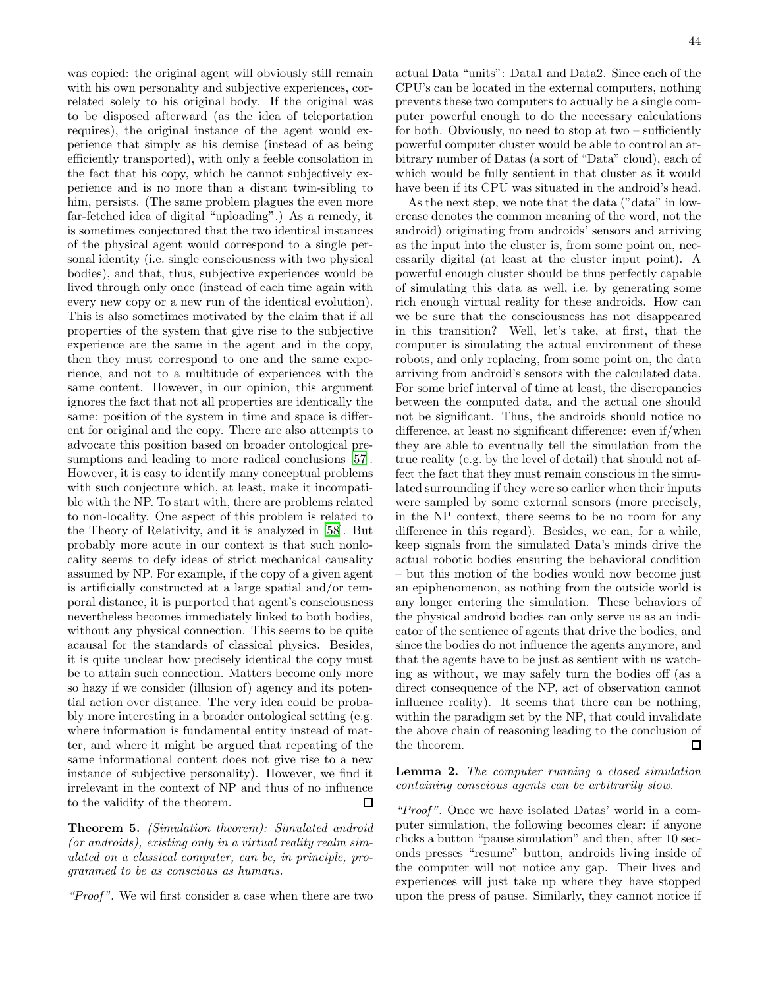was copied: the original agent will obviously still remain with his own personality and subjective experiences, correlated solely to his original body. If the original was to be disposed afterward (as the idea of teleportation requires), the original instance of the agent would experience that simply as his demise (instead of as being efficiently transported), with only a feeble consolation in the fact that his copy, which he cannot subjectively experience and is no more than a distant twin-sibling to him, persists. (The same problem plagues the even more far-fetched idea of digital "uploading".) As a remedy, it is sometimes conjectured that the two identical instances of the physical agent would correspond to a single personal identity (i.e. single consciousness with two physical bodies), and that, thus, subjective experiences would be lived through only once (instead of each time again with every new copy or a new run of the identical evolution). This is also sometimes motivated by the claim that if all properties of the system that give rise to the subjective experience are the same in the agent and in the copy, then they must correspond to one and the same experience, and not to a multitude of experiences with the same content. However, in our opinion, this argument ignores the fact that not all properties are identically the same: position of the system in time and space is different for original and the copy. There are also attempts to advocate this position based on broader ontological pre-sumptions and leading to more radical conclusions [\[57\]](#page-48-33). However, it is easy to identify many conceptual problems with such conjecture which, at least, make it incompatible with the NP. To start with, there are problems related to non-locality. One aspect of this problem is related to the Theory of Relativity, and it is analyzed in [\[58](#page-48-34)]. But probably more acute in our context is that such nonlocality seems to defy ideas of strict mechanical causality assumed by NP. For example, if the copy of a given agent is artificially constructed at a large spatial and/or temporal distance, it is purported that agent's consciousness nevertheless becomes immediately linked to both bodies, without any physical connection. This seems to be quite acausal for the standards of classical physics. Besides, it is quite unclear how precisely identical the copy must be to attain such connection. Matters become only more so hazy if we consider (illusion of) agency and its potential action over distance. The very idea could be probably more interesting in a broader ontological setting (e.g. where information is fundamental entity instead of matter, and where it might be argued that repeating of the same informational content does not give rise to a new instance of subjective personality). However, we find it irrelevant in the context of NP and thus of no influence to the validity of the theorem. П

Theorem 5. (Simulation theorem): Simulated android (or androids), existing only in a virtual reality realm simulated on a classical computer, can be, in principle, programmed to be as conscious as humans.

"Proof". We wil first consider a case when there are two

actual Data "units": Data1 and Data2. Since each of the CPU's can be located in the external computers, nothing prevents these two computers to actually be a single computer powerful enough to do the necessary calculations for both. Obviously, no need to stop at two – sufficiently powerful computer cluster would be able to control an arbitrary number of Datas (a sort of "Data" cloud), each of which would be fully sentient in that cluster as it would have been if its CPU was situated in the android's head.

As the next step, we note that the data ("data" in lowercase denotes the common meaning of the word, not the android) originating from androids' sensors and arriving as the input into the cluster is, from some point on, necessarily digital (at least at the cluster input point). A powerful enough cluster should be thus perfectly capable of simulating this data as well, i.e. by generating some rich enough virtual reality for these androids. How can we be sure that the consciousness has not disappeared in this transition? Well, let's take, at first, that the computer is simulating the actual environment of these robots, and only replacing, from some point on, the data arriving from android's sensors with the calculated data. For some brief interval of time at least, the discrepancies between the computed data, and the actual one should not be significant. Thus, the androids should notice no difference, at least no significant difference: even if/when they are able to eventually tell the simulation from the true reality (e.g. by the level of detail) that should not affect the fact that they must remain conscious in the simulated surrounding if they were so earlier when their inputs were sampled by some external sensors (more precisely, in the NP context, there seems to be no room for any difference in this regard). Besides, we can, for a while, keep signals from the simulated Data's minds drive the actual robotic bodies ensuring the behavioral condition – but this motion of the bodies would now become just an epiphenomenon, as nothing from the outside world is any longer entering the simulation. These behaviors of the physical android bodies can only serve us as an indicator of the sentience of agents that drive the bodies, and since the bodies do not influence the agents anymore, and that the agents have to be just as sentient with us watching as without, we may safely turn the bodies off (as a direct consequence of the NP, act of observation cannot influence reality). It seems that there can be nothing, within the paradigm set by the NP, that could invalidate the above chain of reasoning leading to the conclusion of the theorem.  $\Box$ 

# Lemma 2. The computer running a closed simulation containing conscious agents can be arbitrarily slow.

"Proof". Once we have isolated Datas' world in a computer simulation, the following becomes clear: if anyone clicks a button "pause simulation" and then, after 10 seconds presses "resume" button, androids living inside of the computer will not notice any gap. Their lives and experiences will just take up where they have stopped upon the press of pause. Similarly, they cannot notice if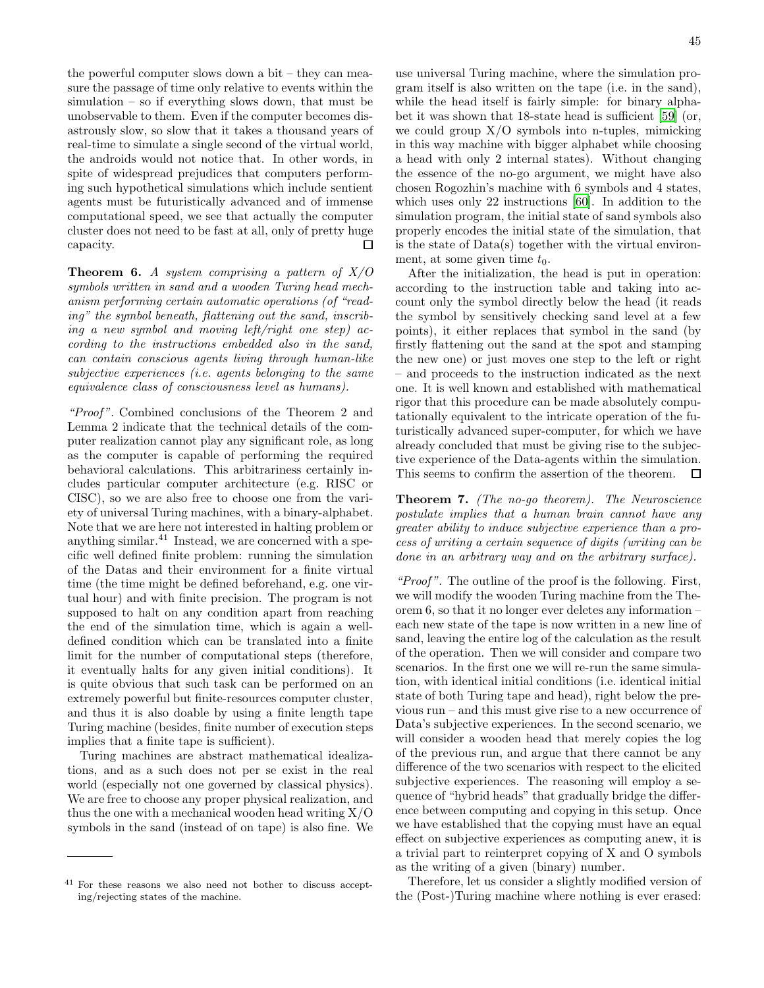the powerful computer slows down a bit – they can measure the passage of time only relative to events within the simulation – so if everything slows down, that must be unobservable to them. Even if the computer becomes disastrously slow, so slow that it takes a thousand years of real-time to simulate a single second of the virtual world, the androids would not notice that. In other words, in spite of widespread prejudices that computers performing such hypothetical simulations which include sentient agents must be futuristically advanced and of immense computational speed, we see that actually the computer cluster does not need to be fast at all, only of pretty huge capacity. П

**Theorem 6.** A system comprising a pattern of  $X/O$ symbols written in sand and a wooden Turing head mechanism performing certain automatic operations (of "reading" the symbol beneath, flattening out the sand, inscribing a new symbol and moving left/right one step) according to the instructions embedded also in the sand, can contain conscious agents living through human-like subjective experiences (i.e. agents belonging to the same equivalence class of consciousness level as humans).

"Proof". Combined conclusions of the Theorem 2 and Lemma 2 indicate that the technical details of the computer realization cannot play any significant role, as long as the computer is capable of performing the required behavioral calculations. This arbitrariness certainly includes particular computer architecture (e.g. RISC or CISC), so we are also free to choose one from the variety of universal Turing machines, with a binary-alphabet. Note that we are here not interested in halting problem or anything similar. $41$  Instead, we are concerned with a specific well defined finite problem: running the simulation of the Datas and their environment for a finite virtual time (the time might be defined beforehand, e.g. one virtual hour) and with finite precision. The program is not supposed to halt on any condition apart from reaching the end of the simulation time, which is again a welldefined condition which can be translated into a finite limit for the number of computational steps (therefore, it eventually halts for any given initial conditions). It is quite obvious that such task can be performed on an extremely powerful but finite-resources computer cluster, and thus it is also doable by using a finite length tape Turing machine (besides, finite number of execution steps implies that a finite tape is sufficient).

Turing machines are abstract mathematical idealizations, and as a such does not per se exist in the real world (especially not one governed by classical physics). We are free to choose any proper physical realization, and thus the one with a mechanical wooden head writing  $X/O$ symbols in the sand (instead of on tape) is also fine. We use universal Turing machine, where the simulation program itself is also written on the tape (i.e. in the sand), while the head itself is fairly simple: for binary alphabet it was shown that 18-state head is sufficient [\[59\]](#page-48-35) (or, we could group  $X/O$  symbols into n-tuples, mimicking in this way machine with bigger alphabet while choosing a head with only 2 internal states). Without changing the essence of the no-go argument, we might have also chosen Rogozhin's machine with 6 symbols and 4 states, which uses only 22 instructions [\[60](#page-48-36)]. In addition to the simulation program, the initial state of sand symbols also properly encodes the initial state of the simulation, that is the state of Data(s) together with the virtual environment, at some given time  $t_0$ .

After the initialization, the head is put in operation: according to the instruction table and taking into account only the symbol directly below the head (it reads the symbol by sensitively checking sand level at a few points), it either replaces that symbol in the sand (by firstly flattening out the sand at the spot and stamping the new one) or just moves one step to the left or right – and proceeds to the instruction indicated as the next one. It is well known and established with mathematical rigor that this procedure can be made absolutely computationally equivalent to the intricate operation of the futuristically advanced super-computer, for which we have already concluded that must be giving rise to the subjective experience of the Data-agents within the simulation. This seems to confirm the assertion of the theorem.  $\Box$ 

Theorem 7. (The no-go theorem). The Neuroscience postulate implies that a human brain cannot have any greater ability to induce subjective experience than a process of writing a certain sequence of digits (writing can be done in an arbitrary way and on the arbitrary surface).

"Proof". The outline of the proof is the following. First, we will modify the wooden Turing machine from the Theorem 6, so that it no longer ever deletes any information – each new state of the tape is now written in a new line of sand, leaving the entire log of the calculation as the result of the operation. Then we will consider and compare two scenarios. In the first one we will re-run the same simulation, with identical initial conditions (i.e. identical initial state of both Turing tape and head), right below the previous run – and this must give rise to a new occurrence of Data's subjective experiences. In the second scenario, we will consider a wooden head that merely copies the log of the previous run, and argue that there cannot be any difference of the two scenarios with respect to the elicited subjective experiences. The reasoning will employ a sequence of "hybrid heads" that gradually bridge the difference between computing and copying in this setup. Once we have established that the copying must have an equal effect on subjective experiences as computing anew, it is a trivial part to reinterpret copying of X and O symbols as the writing of a given (binary) number.

Therefore, let us consider a slightly modified version of the (Post-)Turing machine where nothing is ever erased:

<sup>41</sup> For these reasons we also need not bother to discuss accepting/rejecting states of the machine.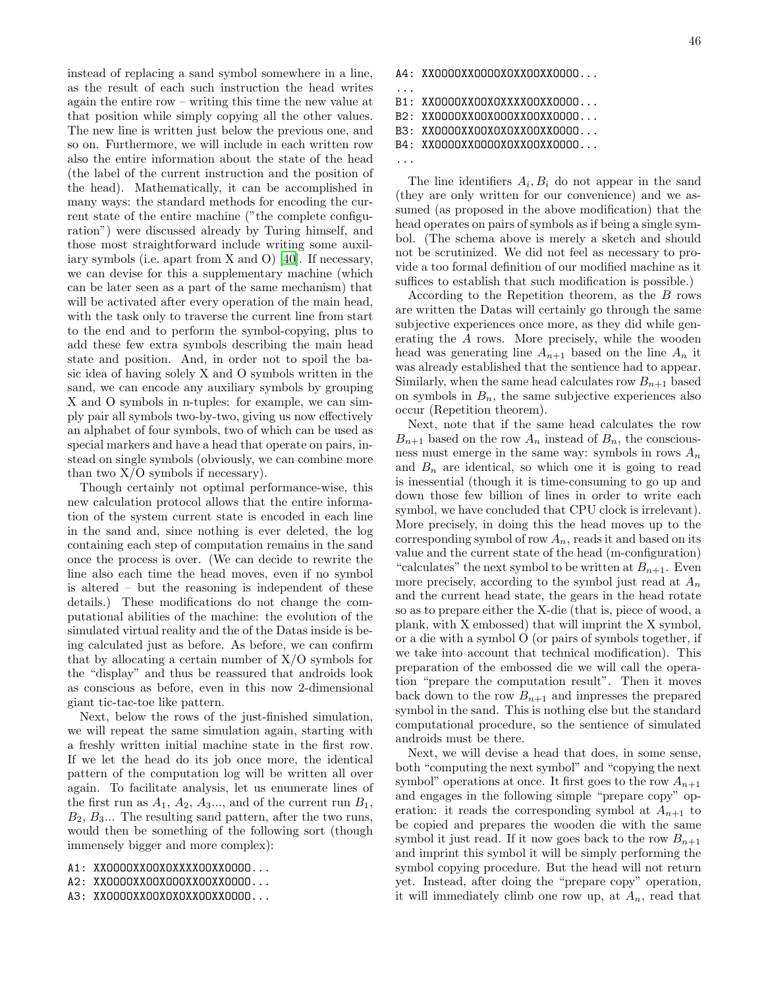instead of replacing a sand symbol somewhere in a line, as the result of each such instruction the head writes again the entire row – writing this time the new value at that position while simply copying all the other values. The new line is written just below the previous one, and so on. Furthermore, we will include in each written row also the entire information about the state of the head (the label of the current instruction and the position of the head). Mathematically, it can be accomplished in many ways: the standard methods for encoding the current state of the entire machine ("the complete configuration") were discussed already by Turing himself, and those most straightforward include writing some auxiliary symbols (i.e. apart from X and O) [\[40\]](#page-48-15). If necessary, we can devise for this a supplementary machine (which can be later seen as a part of the same mechanism) that will be activated after every operation of the main head, with the task only to traverse the current line from start to the end and to perform the symbol-copying, plus to add these few extra symbols describing the main head state and position. And, in order not to spoil the basic idea of having solely X and O symbols written in the sand, we can encode any auxiliary symbols by grouping X and O symbols in n-tuples: for example, we can simply pair all symbols two-by-two, giving us now effectively an alphabet of four symbols, two of which can be used as special markers and have a head that operate on pairs, instead on single symbols (obviously, we can combine more than two  $X/O$  symbols if necessary).

Though certainly not optimal performance-wise, this new calculation protocol allows that the entire information of the system current state is encoded in each line in the sand and, since nothing is ever deleted, the log containing each step of computation remains in the sand once the process is over. (We can decide to rewrite the line also each time the head moves, even if no symbol is altered – but the reasoning is independent of these details.) These modifications do not change the computational abilities of the machine: the evolution of the simulated virtual reality and the of the Datas inside is being calculated just as before. As before, we can confirm that by allocating a certain number of  $X/O$  symbols for the "display" and thus be reassured that androids look as conscious as before, even in this now 2-dimensional giant tic-tac-toe like pattern.

Next, below the rows of the just-finished simulation, we will repeat the same simulation again, starting with a freshly written initial machine state in the first row. If we let the head do its job once more, the identical pattern of the computation log will be written all over again. To facilitate analysis, let us enumerate lines of the first run as  $A_1$ ,  $A_2$ ,  $A_3$ ..., and of the current run  $B_1$ ,  $B_2, B_3...$  The resulting sand pattern, after the two runs, would then be something of the following sort (though immensely bigger and more complex):

- A1: XXOOOOXXOOXOXXXXOOXXOOOO...
- A2: XXOOOOXXOOXOOOXXOOXXOOOO...
- A3: XXOOOOXXOOXOXOXXOOXXOOOO...

46

A4: XXOOOOXXOOOOXOXXOOXXOOOO...

```
...
B1: XXOOOOXXOOXOXXXXOOXXOOOO...
B2: XXOOOOXXOOXOOOXXOOXXOOOO...
```

```
B3: XXOOOOXXOOXOXOXXOOXXOOOO...
```

```
B4: XXOOOOXXOOOOXOXXOOXXOOOO...
```
The line identifiers  $A_i, B_i$  do not appear in the sand (they are only written for our convenience) and we assumed (as proposed in the above modification) that the head operates on pairs of symbols as if being a single symbol. (The schema above is merely a sketch and should not be scrutinized. We did not feel as necessary to provide a too formal definition of our modified machine as it suffices to establish that such modification is possible.)

According to the Repetition theorem, as the B rows are written the Datas will certainly go through the same subjective experiences once more, as they did while generating the A rows. More precisely, while the wooden head was generating line  $A_{n+1}$  based on the line  $A_n$  it was already established that the sentience had to appear. Similarly, when the same head calculates row  $B_{n+1}$  based on symbols in  $B_n$ , the same subjective experiences also occur (Repetition theorem).

Next, note that if the same head calculates the row  $B_{n+1}$  based on the row  $A_n$  instead of  $B_n$ , the consciousness must emerge in the same way: symbols in rows  $A_n$ and  $B_n$  are identical, so which one it is going to read is inessential (though it is time-consuming to go up and down those few billion of lines in order to write each symbol, we have concluded that CPU clock is irrelevant). More precisely, in doing this the head moves up to the corresponding symbol of row  $A_n$ , reads it and based on its value and the current state of the head (m-configuration) "calculates" the next symbol to be written at  $B_{n+1}$ . Even more precisely, according to the symbol just read at  $A_n$ and the current head state, the gears in the head rotate so as to prepare either the X-die (that is, piece of wood, a plank, with X embossed) that will imprint the X symbol, or a die with a symbol O (or pairs of symbols together, if we take into account that technical modification). This preparation of the embossed die we will call the operation "prepare the computation result". Then it moves back down to the row  $B_{n+1}$  and impresses the prepared symbol in the sand. This is nothing else but the standard computational procedure, so the sentience of simulated androids must be there.

Next, we will devise a head that does, in some sense, both "computing the next symbol" and "copying the next symbol" operations at once. It first goes to the row  $A_{n+1}$ and engages in the following simple "prepare copy" operation: it reads the corresponding symbol at  $A_{n+1}$  to be copied and prepares the wooden die with the same symbol it just read. If it now goes back to the row  $B_{n+1}$ and imprint this symbol it will be simply performing the symbol copying procedure. But the head will not return yet. Instead, after doing the "prepare copy" operation, it will immediately climb one row up, at  $A_n$ , read that

<sup>...</sup>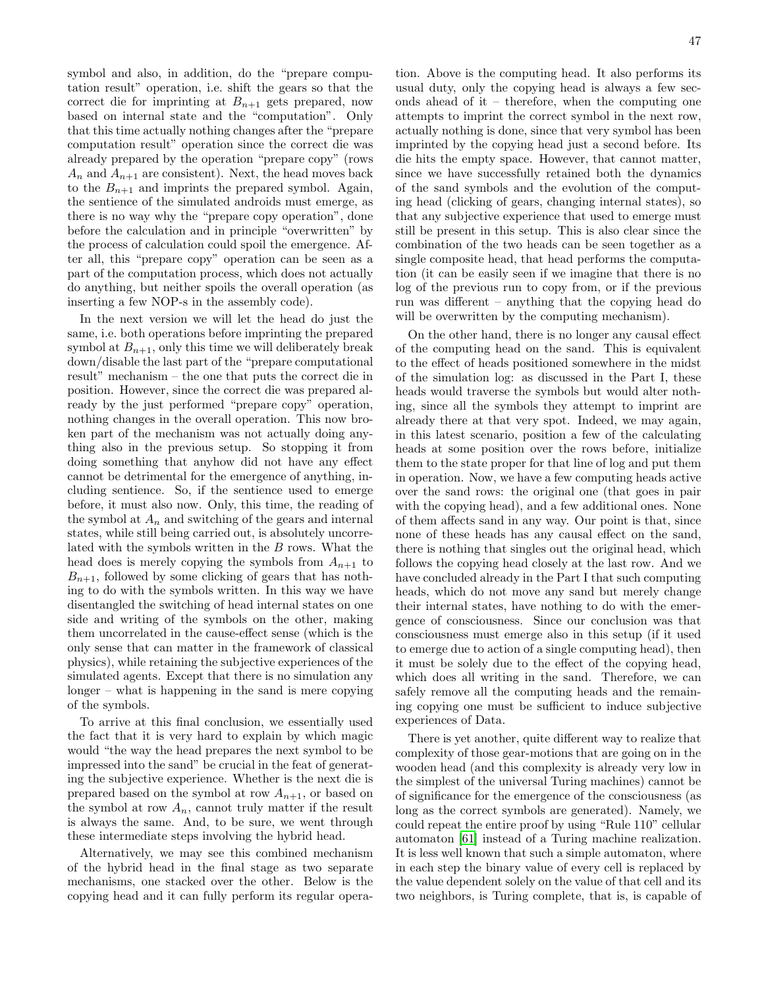symbol and also, in addition, do the "prepare computation result" operation, i.e. shift the gears so that the correct die for imprinting at  $B_{n+1}$  gets prepared, now based on internal state and the "computation". Only that this time actually nothing changes after the "prepare computation result" operation since the correct die was already prepared by the operation "prepare copy" (rows  $A_n$  and  $A_{n+1}$  are consistent). Next, the head moves back to the  $B_{n+1}$  and imprints the prepared symbol. Again, the sentience of the simulated androids must emerge, as there is no way why the "prepare copy operation", done before the calculation and in principle "overwritten" by the process of calculation could spoil the emergence. After all, this "prepare copy" operation can be seen as a part of the computation process, which does not actually do anything, but neither spoils the overall operation (as inserting a few NOP-s in the assembly code).

In the next version we will let the head do just the same, i.e. both operations before imprinting the prepared symbol at  $B_{n+1}$ , only this time we will deliberately break down/disable the last part of the "prepare computational result" mechanism – the one that puts the correct die in position. However, since the correct die was prepared already by the just performed "prepare copy" operation, nothing changes in the overall operation. This now broken part of the mechanism was not actually doing anything also in the previous setup. So stopping it from doing something that anyhow did not have any effect cannot be detrimental for the emergence of anything, including sentience. So, if the sentience used to emerge before, it must also now. Only, this time, the reading of the symbol at  $A_n$  and switching of the gears and internal states, while still being carried out, is absolutely uncorrelated with the symbols written in the B rows. What the head does is merely copying the symbols from  $A_{n+1}$  to  $B_{n+1}$ , followed by some clicking of gears that has nothing to do with the symbols written. In this way we have disentangled the switching of head internal states on one side and writing of the symbols on the other, making them uncorrelated in the cause-effect sense (which is the only sense that can matter in the framework of classical physics), while retaining the subjective experiences of the simulated agents. Except that there is no simulation any longer – what is happening in the sand is mere copying of the symbols.

To arrive at this final conclusion, we essentially used the fact that it is very hard to explain by which magic would "the way the head prepares the next symbol to be impressed into the sand" be crucial in the feat of generating the subjective experience. Whether is the next die is prepared based on the symbol at row  $A_{n+1}$ , or based on the symbol at row  $A_n$ , cannot truly matter if the result is always the same. And, to be sure, we went through these intermediate steps involving the hybrid head.

Alternatively, we may see this combined mechanism of the hybrid head in the final stage as two separate mechanisms, one stacked over the other. Below is the copying head and it can fully perform its regular opera-

tion. Above is the computing head. It also performs its usual duty, only the copying head is always a few seconds ahead of it – therefore, when the computing one attempts to imprint the correct symbol in the next row, actually nothing is done, since that very symbol has been imprinted by the copying head just a second before. Its die hits the empty space. However, that cannot matter, since we have successfully retained both the dynamics of the sand symbols and the evolution of the computing head (clicking of gears, changing internal states), so that any subjective experience that used to emerge must still be present in this setup. This is also clear since the combination of the two heads can be seen together as a single composite head, that head performs the computation (it can be easily seen if we imagine that there is no log of the previous run to copy from, or if the previous run was different – anything that the copying head do will be overwritten by the computing mechanism).

On the other hand, there is no longer any causal effect of the computing head on the sand. This is equivalent to the effect of heads positioned somewhere in the midst of the simulation log: as discussed in the Part I, these heads would traverse the symbols but would alter nothing, since all the symbols they attempt to imprint are already there at that very spot. Indeed, we may again, in this latest scenario, position a few of the calculating heads at some position over the rows before, initialize them to the state proper for that line of log and put them in operation. Now, we have a few computing heads active over the sand rows: the original one (that goes in pair with the copying head), and a few additional ones. None of them affects sand in any way. Our point is that, since none of these heads has any causal effect on the sand, there is nothing that singles out the original head, which follows the copying head closely at the last row. And we have concluded already in the Part I that such computing heads, which do not move any sand but merely change their internal states, have nothing to do with the emergence of consciousness. Since our conclusion was that consciousness must emerge also in this setup (if it used to emerge due to action of a single computing head), then it must be solely due to the effect of the copying head, which does all writing in the sand. Therefore, we can safely remove all the computing heads and the remaining copying one must be sufficient to induce subjective experiences of Data.

There is yet another, quite different way to realize that complexity of those gear-motions that are going on in the wooden head (and this complexity is already very low in the simplest of the universal Turing machines) cannot be of significance for the emergence of the consciousness (as long as the correct symbols are generated). Namely, we could repeat the entire proof by using "Rule 110" cellular automaton [\[61\]](#page-48-37) instead of a Turing machine realization. It is less well known that such a simple automaton, where in each step the binary value of every cell is replaced by the value dependent solely on the value of that cell and its two neighbors, is Turing complete, that is, is capable of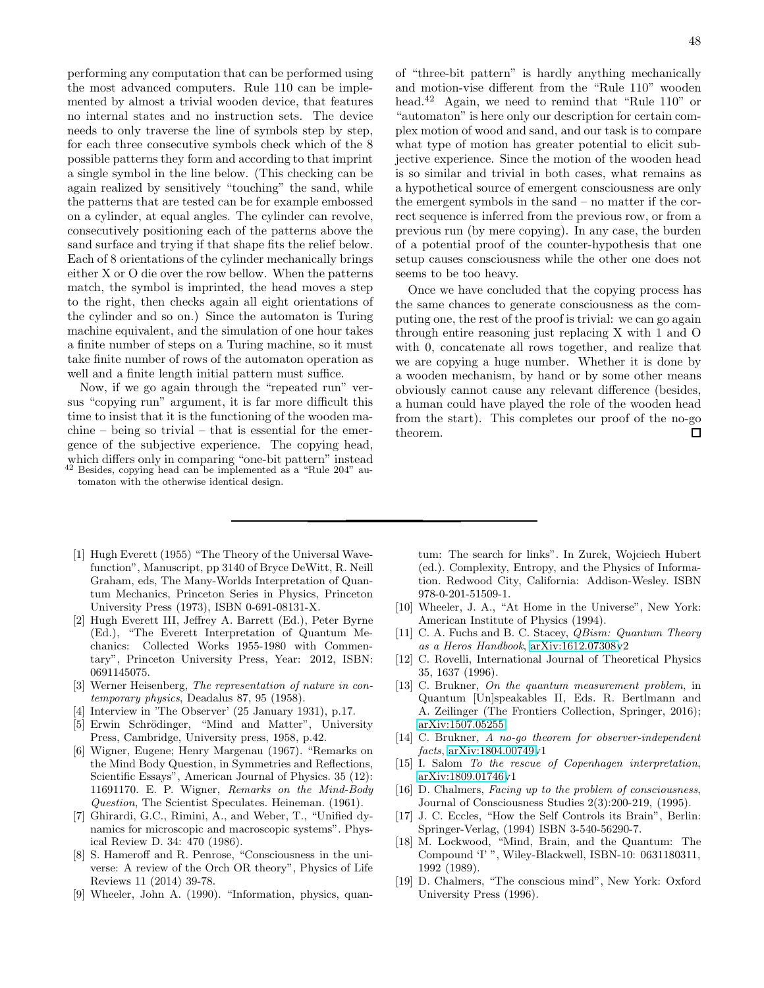performing any computation that can be performed using the most advanced computers. Rule 110 can be implemented by almost a trivial wooden device, that features no internal states and no instruction sets. The device needs to only traverse the line of symbols step by step, for each three consecutive symbols check which of the 8 possible patterns they form and according to that imprint a single symbol in the line below. (This checking can be again realized by sensitively "touching" the sand, while the patterns that are tested can be for example embossed on a cylinder, at equal angles. The cylinder can revolve, consecutively positioning each of the patterns above the sand surface and trying if that shape fits the relief below. Each of 8 orientations of the cylinder mechanically brings either X or O die over the row bellow. When the patterns match, the symbol is imprinted, the head moves a step to the right, then checks again all eight orientations of the cylinder and so on.) Since the automaton is Turing machine equivalent, and the simulation of one hour takes a finite number of steps on a Turing machine, so it must take finite number of rows of the automaton operation as well and a finite length initial pattern must suffice.

Now, if we go again through the "repeated run" versus "copying run" argument, it is far more difficult this time to insist that it is the functioning of the wooden machine – being so trivial – that is essential for the emergence of the subjective experience. The copying head, which differs only in comparing "one-bit pattern" instead Besides, copying head can be implemented as a "Rule 204" au-

tomaton with the otherwise identical design.

48

of "three-bit pattern" is hardly anything mechanically and motion-vise different from the "Rule 110" wooden head.<sup>42</sup> Again, we need to remind that "Rule 110" or "automaton" is here only our description for certain complex motion of wood and sand, and our task is to compare what type of motion has greater potential to elicit subjective experience. Since the motion of the wooden head is so similar and trivial in both cases, what remains as a hypothetical source of emergent consciousness are only the emergent symbols in the sand – no matter if the correct sequence is inferred from the previous row, or from a previous run (by mere copying). In any case, the burden of a potential proof of the counter-hypothesis that one setup causes consciousness while the other one does not seems to be too heavy.

Once we have concluded that the copying process has the same chances to generate consciousness as the computing one, the rest of the proof is trivial: we can go again through entire reasoning just replacing X with 1 and O with 0, concatenate all rows together, and realize that we are copying a huge number. Whether it is done by a wooden mechanism, by hand or by some other means obviously cannot cause any relevant difference (besides, a human could have played the role of the wooden head from the start). This completes our proof of the no-go theorem.  $\Box$ 

- <span id="page-47-0"></span>[1] Hugh Everett (1955) "The Theory of the Universal Wavefunction", Manuscript, pp 3140 of Bryce DeWitt, R. Neill Graham, eds, The Many-Worlds Interpretation of Quantum Mechanics, Princeton Series in Physics, Princeton University Press (1973), ISBN 0-691-08131-X.
- <span id="page-47-1"></span>[2] Hugh Everett III, Jeffrey A. Barrett (Ed.), Peter Byrne (Ed.), "The Everett Interpretation of Quantum Mechanics: Collected Works 1955-1980 with Commentary", Princeton University Press, Year: 2012, ISBN: 0691145075.
- <span id="page-47-2"></span>[3] Werner Heisenberg, The representation of nature in contemporary physics, Deadalus 87, 95 (1958).
- <span id="page-47-3"></span>Interview in 'The Observer' (25 January 1931), p.17.
- <span id="page-47-4"></span>[5] Erwin Schrödinger, "Mind and Matter", University Press, Cambridge, University press, 1958, p.42.
- <span id="page-47-5"></span>[6] Wigner, Eugene; Henry Margenau (1967). "Remarks on the Mind Body Question, in Symmetries and Reflections, Scientific Essays", American Journal of Physics. 35 (12): 11691170. E. P. Wigner, Remarks on the Mind-Body Question, The Scientist Speculates. Heineman. (1961).
- <span id="page-47-6"></span>[7] Ghirardi, G.C., Rimini, A., and Weber, T., "Unified dynamics for microscopic and macroscopic systems". Physical Review D. 34: 470 (1986).
- <span id="page-47-7"></span>[8] S. Hameroff and R. Penrose, "Consciousness in the universe: A review of the Orch OR theory", Physics of Life Reviews 11 (2014) 39-78.
- <span id="page-47-8"></span>[9] Wheeler, John A. (1990). "Information, physics, quan-

tum: The search for links". In Zurek, Wojciech Hubert (ed.). Complexity, Entropy, and the Physics of Information. Redwood City, California: Addison-Wesley. ISBN 978-0-201-51509-1.

- <span id="page-47-9"></span>[10] Wheeler, J. A., "At Home in the Universe", New York: American Institute of Physics (1994).
- <span id="page-47-10"></span>[11] C. A. Fuchs and B. C. Stacey, *QBism: Quantum Theory* as a Heros Handbook, [arXiv:1612.07308v](http://arxiv.org/abs/1612.07308)2
- <span id="page-47-11"></span>[12] C. Rovelli, International Journal of Theoretical Physics 35, 1637 (1996).
- <span id="page-47-12"></span>[13] C. Brukner, On the quantum measurement problem, in Quantum [Un]speakables II, Eds. R. Bertlmann and A. Zeilinger (The Frontiers Collection, Springer, 2016); [arXiv:1507.05255](http://arxiv.org/abs/1507.05255)
- <span id="page-47-13"></span>[14] C. Brukner, A no-go theorem for observer-independent facts, [arXiv:1804.00749v](http://arxiv.org/abs/1804.00749)1
- <span id="page-47-14"></span>[15] I. Salom To the rescue of Copenhagen interpretation, [arXiv:1809.01746v](http://arxiv.org/abs/1809.01746)1
- <span id="page-47-15"></span>[16] D. Chalmers, Facing up to the problem of consciousness, Journal of Consciousness Studies 2(3):200-219, (1995).
- <span id="page-47-16"></span>[17] J. C. Eccles, "How the Self Controls its Brain", Berlin: Springer-Verlag, (1994) ISBN 3-540-56290-7.
- [18] M. Lockwood, "Mind, Brain, and the Quantum: The Compound 'I' ", Wiley-Blackwell, ISBN-10: 0631180311, 1992 (1989).
- [19] D. Chalmers, "The conscious mind", New York: Oxford University Press (1996).